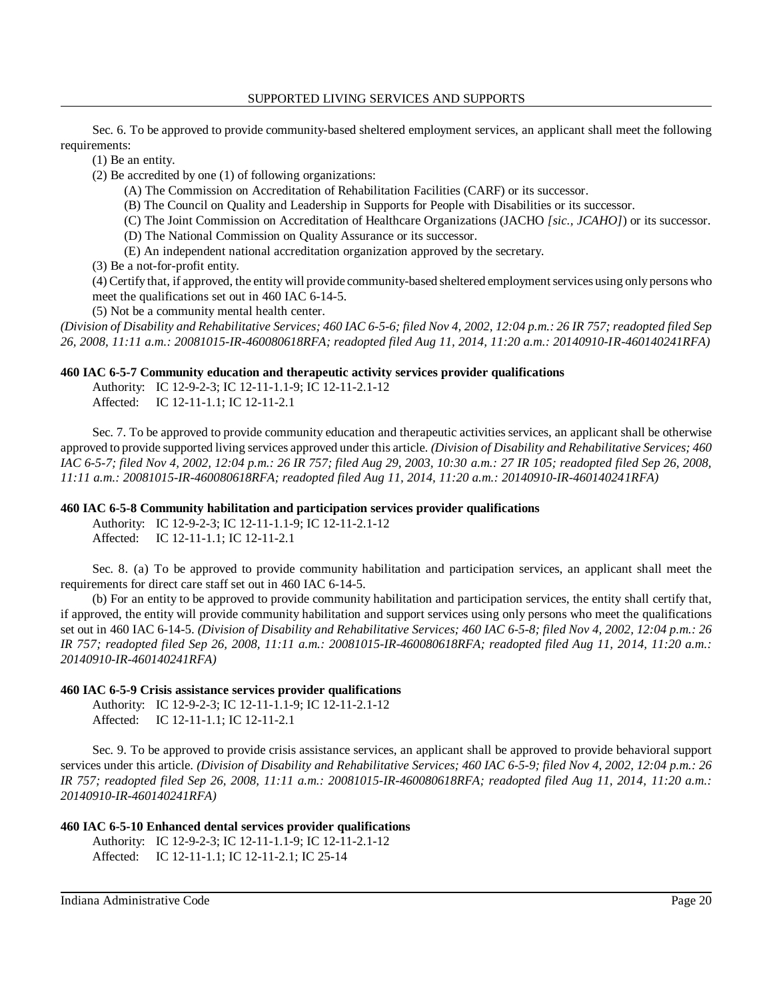Sec. 6. To be approved to provide community-based sheltered employment services, an applicant shall meet the following requirements:

(1) Be an entity.

(2) Be accredited by one (1) of following organizations:

(A) The Commission on Accreditation of Rehabilitation Facilities (CARF) or its successor.

(B) The Council on Quality and Leadership in Supports for People with Disabilities or its successor.

(C) The Joint Commission on Accreditation of Healthcare Organizations (JACHO *[sic., JCAHO]*) or its successor.

(D) The National Commission on Quality Assurance or its successor.

(E) An independent national accreditation organization approved by the secretary.

(3) Be a not-for-profit entity.

 (4) Certify that, if approved, the entity will provide community-based sheltered employment services using onlypersons who meet the qualifications set out in 460 IAC 6-14-5.

(5) Not be a community mental health center.

 *(Division of Disability and Rehabilitative Services; 460 IAC 6-5-6; filed Nov 4, 2002, 12:04 p.m.: 26 IR 757; readopted filed Sep 26, 2008, 11:11 a.m.: 20081015-IR-460080618RFA; readopted filed Aug 11, 2014, 11:20 a.m.: 20140910-IR-460140241RFA)* 

### **460 IAC 6-5-7 Community education and therapeutic activity services provider qualifications**

Authority: IC 12-9-2-3; IC 12-11-1.1-9; IC 12-11-2.1-12 Affected: IC 12-11-1.1; IC 12-11-2.1

 Sec. 7. To be approved to provide community education and therapeutic activities services, an applicant shall be otherwise approved to provide supported living services approved under this article. *(Division of Disability and Rehabilitative Services; 460 IAC 6-5-7; filed Nov 4, 2002, 12:04 p.m.: 26 IR 757; filed Aug 29, 2003, 10:30 a.m.: 27 IR 105; readopted filed Sep 26, 2008, 11:11 a.m.: 20081015-IR-460080618RFA; readopted filed Aug 11, 2014, 11:20 a.m.: 20140910-IR-460140241RFA)* 

### **460 IAC 6-5-8 Community habilitation and participation services provider qualifications**

Authority: IC 12-9-2-3; IC 12-11-1.1-9; IC 12-11-2.1-12 Affected: IC 12-11-1.1; IC 12-11-2.1

 Sec. 8. (a) To be approved to provide community habilitation and participation services, an applicant shall meet the requirements for direct care staff set out in 460 IAC 6-14-5.

 (b) For an entity to be approved to provide community habilitation and participation services, the entity shall certify that, if approved, the entity will provide community habilitation and support services using only persons who meet the qualifications set out in 460 IAC 6-14-5. *(Division of Disability and Rehabilitative Services; 460 IAC 6-5-8; filed Nov 4, 2002, 12:04 p.m.: 26 IR 757; readopted filed Sep 26, 2008, 11:11 a.m.: 20081015-IR-460080618RFA; readopted filed Aug 11, 2014, 11:20 a.m.: 20140910-IR-460140241RFA)* 

### **460 IAC 6-5-9 Crisis assistance services provider qualifications**

Authority: IC 12-9-2-3; IC 12-11-1.1-9; IC 12-11-2.1-12 Affected: IC 12-11-1.1; IC 12-11-2.1

 Sec. 9. To be approved to provide crisis assistance services, an applicant shall be approved to provide behavioral support services under this article. *(Division of Disability and Rehabilitative Services; 460 IAC 6-5-9; filed Nov 4, 2002, 12:04 p.m.: 26 IR 757; readopted filed Sep 26, 2008, 11:11 a.m.: 20081015-IR-460080618RFA; readopted filed Aug 11, 2014, 11:20 a.m.: 20140910-IR-460140241RFA)* 

### **460 IAC 6-5-10 Enhanced dental services provider qualifications**

Authority: IC 12-9-2-3; IC 12-11-1.1-9; IC 12-11-2.1-12 Affected: IC 12-11-1.1; IC 12-11-2.1; IC 25-14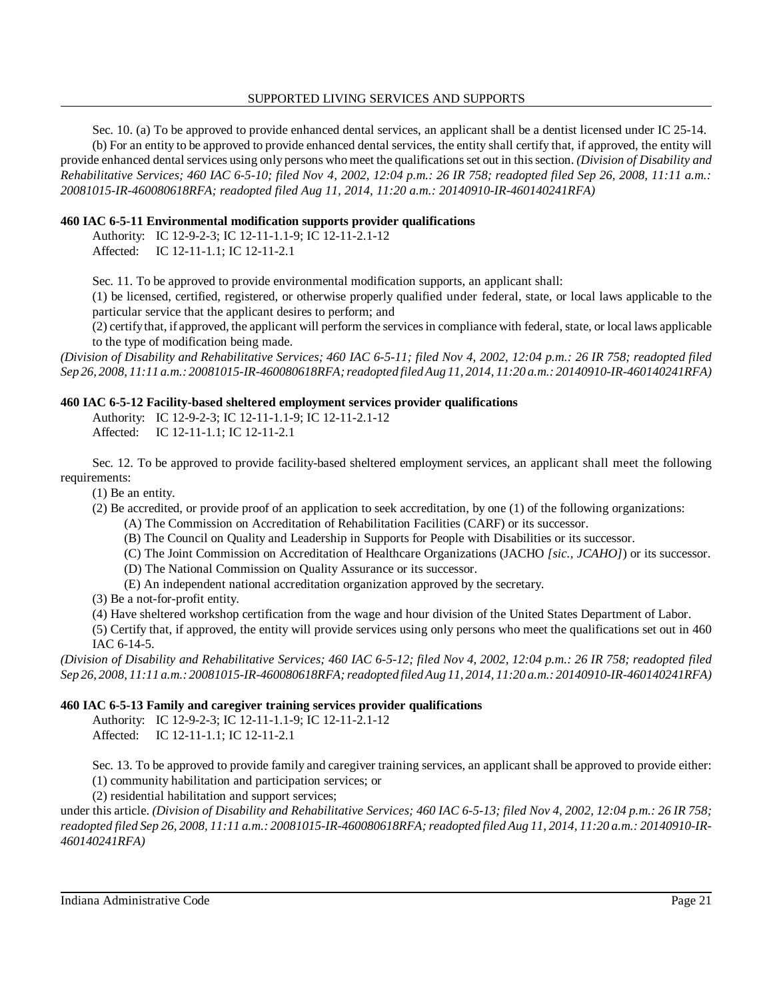#### SUPPORTED LIVING SERVICES AND SUPPORTS

 Sec. 10. (a) To be approved to provide enhanced dental services, an applicant shall be a dentist licensed under IC 25-14. (b) For an entity to be approved to provide enhanced dental services, the entity shall certify that, if approved, the entity will provide enhanced dental services using only persons who meet the qualifications set out in this section. *(Division of Disability and Rehabilitative Services; 460 IAC 6-5-10; filed Nov 4, 2002, 12:04 p.m.: 26 IR 758; readopted filed Sep 26, 2008, 11:11 a.m.: 20081015-IR-460080618RFA; readopted filed Aug 11, 2014, 11:20 a.m.: 20140910-IR-460140241RFA)* 

## **460 IAC 6-5-11 Environmental modification supports provider qualifications**

Authority: IC 12-9-2-3; IC 12-11-1.1-9; IC 12-11-2.1-12

Affected: IC 12-11-1.1; IC 12-11-2.1

Sec. 11. To be approved to provide environmental modification supports, an applicant shall:

 (1) be licensed, certified, registered, or otherwise properly qualified under federal, state, or local laws applicable to the particular service that the applicant desires to perform; and

 (2) certifythat, if approved, the applicant will perform the services in compliance with federal, state, or local laws applicable to the type of modification being made.

 *(Division of Disability and Rehabilitative Services; 460 IAC 6-5-11; filed Nov 4, 2002, 12:04 p.m.: 26 IR 758; readopted filed Sep 26, 2008, 11:11 a.m.: 20081015-IR-460080618RFA; readopted filed Aug 11, 2014, 11:20 a.m.: 20140910-IR-460140241RFA)* 

## **460 IAC 6-5-12 Facility-based sheltered employment services provider qualifications**

Authority: IC 12-9-2-3; IC 12-11-1.1-9; IC 12-11-2.1-12 Affected: IC 12-11-1.1; IC 12-11-2.1

 Sec. 12. To be approved to provide facility-based sheltered employment services, an applicant shall meet the following requirements:

(1) Be an entity.

(2) Be accredited, or provide proof of an application to seek accreditation, by one (1) of the following organizations:

(A) The Commission on Accreditation of Rehabilitation Facilities (CARF) or its successor.

- (B) The Council on Quality and Leadership in Supports for People with Disabilities or its successor.
- (C) The Joint Commission on Accreditation of Healthcare Organizations (JACHO *[sic., JCAHO]*) or its successor.
- (D) The National Commission on Quality Assurance or its successor.
- (E) An independent national accreditation organization approved by the secretary.

(3) Be a not-for-profit entity.

(4) Have sheltered workshop certification from the wage and hour division of the United States Department of Labor.

 (5) Certify that, if approved, the entity will provide services using only persons who meet the qualifications set out in 460 IAC 6-14-5.

 *(Division of Disability and Rehabilitative Services; 460 IAC 6-5-12; filed Nov 4, 2002, 12:04 p.m.: 26 IR 758; readopted filed Sep 26, 2008, 11:11 a.m.: 20081015-IR-460080618RFA; readopted filed Aug 11, 2014, 11:20 a.m.: 20140910-IR-460140241RFA)* 

## **460 IAC 6-5-13 Family and caregiver training services provider qualifications**

Authority: IC 12-9-2-3; IC 12-11-1.1-9; IC 12-11-2.1-12 Affected: IC 12-11-1.1; IC 12-11-2.1

 Sec. 13. To be approved to provide family and caregiver training services, an applicant shall be approved to provide either: (1) community habilitation and participation services; or

(2) residential habilitation and support services;

 under this article. *(Division of Disability and Rehabilitative Services; 460 IAC 6-5-13; filed Nov 4, 2002, 12:04 p.m.: 26 IR 758; readopted filed Sep 26, 2008, 11:11 a.m.: 20081015-IR-460080618RFA; readopted filed Aug 11, 2014, 11:20 a.m.: 20140910-IR-460140241RFA)*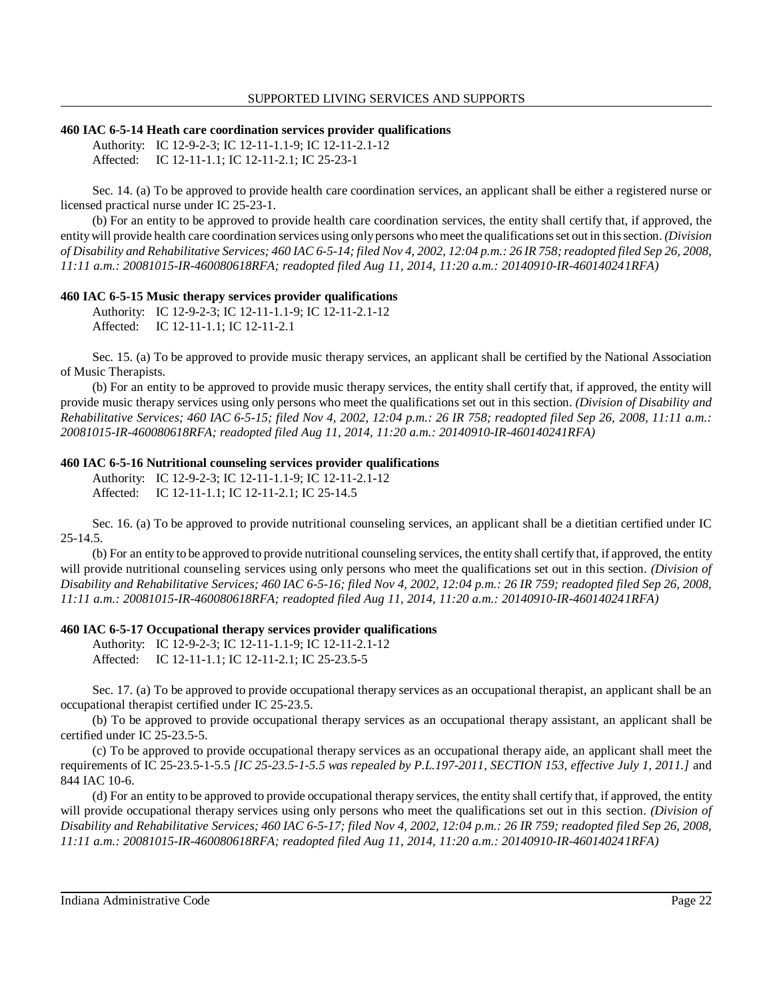#### **460 IAC 6-5-14 Heath care coordination services provider qualifications**

Authority: IC 12-9-2-3; IC 12-11-1.1-9; IC 12-11-2.1-12 Affected: IC 12-11-1.1; IC 12-11-2.1; IC 25-23-1

 Sec. 14. (a) To be approved to provide health care coordination services, an applicant shall be either a registered nurse or licensed practical nurse under IC 25-23-1.

 (b) For an entity to be approved to provide health care coordination services, the entity shall certify that, if approved, the entitywill provide health care coordination services using onlypersons who meet the qualifications set out in this section. *(Division of Disability and Rehabilitative Services; 460 IAC 6-5-14; filed Nov 4, 2002, 12:04 p.m.: 26 IR 758; readopted filed Sep 26, 2008, 11:11 a.m.: 20081015-IR-460080618RFA; readopted filed Aug 11, 2014, 11:20 a.m.: 20140910-IR-460140241RFA)* 

#### **460 IAC 6-5-15 Music therapy services provider qualifications**

Authority: IC 12-9-2-3; IC 12-11-1.1-9; IC 12-11-2.1-12 Affected: IC 12-11-1.1; IC 12-11-2.1

 Sec. 15. (a) To be approved to provide music therapy services, an applicant shall be certified by the National Association of Music Therapists.

 (b) For an entity to be approved to provide music therapy services, the entity shall certify that, if approved, the entity will provide music therapy services using only persons who meet the qualifications set out in this section. *(Division of Disability and Rehabilitative Services; 460 IAC 6-5-15; filed Nov 4, 2002, 12:04 p.m.: 26 IR 758; readopted filed Sep 26, 2008, 11:11 a.m.: 20081015-IR-460080618RFA; readopted filed Aug 11, 2014, 11:20 a.m.: 20140910-IR-460140241RFA)* 

### **460 IAC 6-5-16 Nutritional counseling services provider qualifications**

Authority: IC 12-9-2-3; IC 12-11-1.1-9; IC 12-11-2.1-12 Affected: IC 12-11-1.1; IC 12-11-2.1; IC 25-14.5

 Sec. 16. (a) To be approved to provide nutritional counseling services, an applicant shall be a dietitian certified under IC 25-14.5.

 (b) For an entity to be approved to provide nutritional counseling services, the entity shall certify that, if approved, the entity will provide nutritional counseling services using only persons who meet the qualifications set out in this section. *(Division of Disability and Rehabilitative Services; 460 IAC 6-5-16; filed Nov 4, 2002, 12:04 p.m.: 26 IR 759; readopted filed Sep 26, 2008, 11:11 a.m.: 20081015-IR-460080618RFA; readopted filed Aug 11, 2014, 11:20 a.m.: 20140910-IR-460140241RFA)* 

### **460 IAC 6-5-17 Occupational therapy services provider qualifications**

Authority: IC 12-9-2-3; IC 12-11-1.1-9; IC 12-11-2.1-12 Affected: IC 12-11-1.1; IC 12-11-2.1; IC 25-23.5-5

 Sec. 17. (a) To be approved to provide occupational therapy services as an occupational therapist, an applicant shall be an occupational therapist certified under IC 25-23.5.

 (b) To be approved to provide occupational therapy services as an occupational therapy assistant, an applicant shall be certified under IC 25-23.5-5.

 (c) To be approved to provide occupational therapy services as an occupational therapy aide, an applicant shall meet the requirements of IC 25-23.5-1-5.5 *[IC 25-23.5-1-5.5 was repealed by P.L.197-2011, SECTION 153, effective July 1, 2011.]* and 844 IAC 10-6.

 (d) For an entity to be approved to provide occupational therapy services, the entity shall certify that, if approved, the entity will provide occupational therapy services using only persons who meet the qualifications set out in this section. *(Division of Disability and Rehabilitative Services; 460 IAC 6-5-17; filed Nov 4, 2002, 12:04 p.m.: 26 IR 759; readopted filed Sep 26, 2008, 11:11 a.m.: 20081015-IR-460080618RFA; readopted filed Aug 11, 2014, 11:20 a.m.: 20140910-IR-460140241RFA)*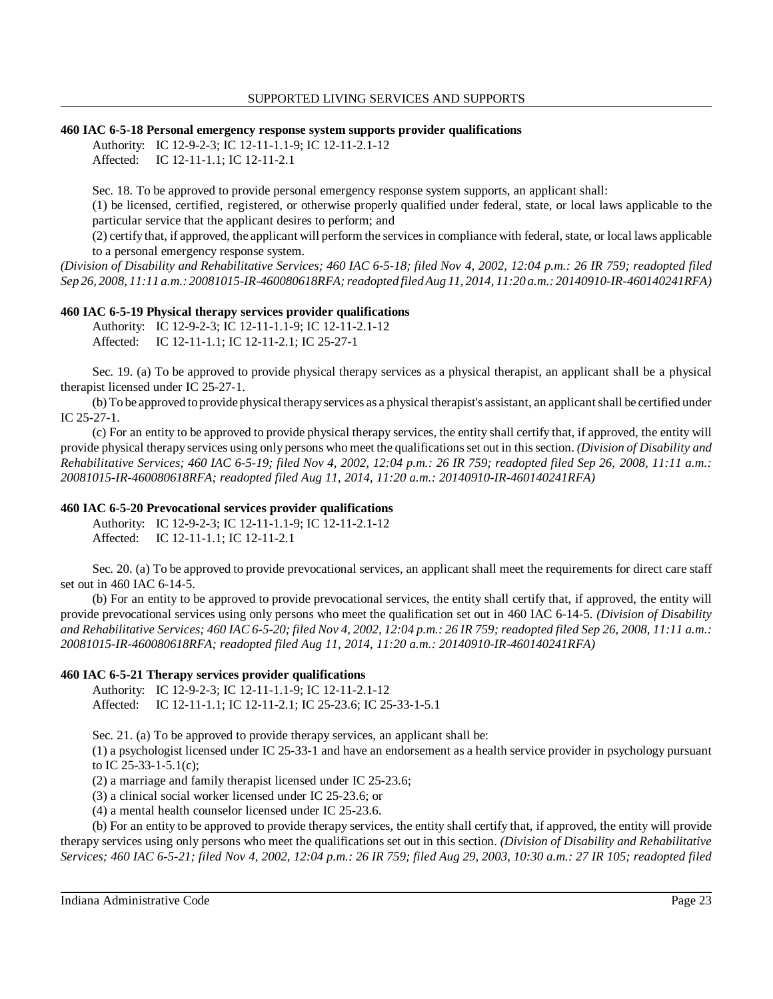#### **460 IAC 6-5-18 Personal emergency response system supports provider qualifications**

Authority: IC 12-9-2-3; IC 12-11-1.1-9; IC 12-11-2.1-12

Affected: IC 12-11-1.1; IC 12-11-2.1

Sec. 18. To be approved to provide personal emergency response system supports, an applicant shall:

 (1) be licensed, certified, registered, or otherwise properly qualified under federal, state, or local laws applicable to the particular service that the applicant desires to perform; and

 (2) certify that, if approved, the applicant will perform the services in compliance with federal, state, or local laws applicable to a personal emergency response system.

 *(Division of Disability and Rehabilitative Services; 460 IAC 6-5-18; filed Nov 4, 2002, 12:04 p.m.: 26 IR 759; readopted filed Sep 26, 2008, 11:11 a.m.: 20081015-IR-460080618RFA; readopted filed Aug 11, 2014, 11:20 a.m.: 20140910-IR-460140241RFA)* 

### **460 IAC 6-5-19 Physical therapy services provider qualifications**

Authority: IC 12-9-2-3; IC 12-11-1.1-9; IC 12-11-2.1-12 Affected: IC 12-11-1.1; IC 12-11-2.1; IC 25-27-1

 Sec. 19. (a) To be approved to provide physical therapy services as a physical therapist, an applicant shall be a physical therapist licensed under IC 25-27-1.

 (b) To be approved toprovide physical therapyservices as a physical therapist's assistant, an applicant shall be certified under IC 25-27-1.

 (c) For an entity to be approved to provide physical therapy services, the entity shall certify that, if approved, the entity will provide physical therapy services using only persons who meet the qualifications set out in this section. *(Division of Disability and Rehabilitative Services; 460 IAC 6-5-19; filed Nov 4, 2002, 12:04 p.m.: 26 IR 759; readopted filed Sep 26, 2008, 11:11 a.m.: 20081015-IR-460080618RFA; readopted filed Aug 11, 2014, 11:20 a.m.: 20140910-IR-460140241RFA)* 

### **460 IAC 6-5-20 Prevocational services provider qualifications**

Authority: IC 12-9-2-3; IC 12-11-1.1-9; IC 12-11-2.1-12 Affected: IC 12-11-1.1; IC 12-11-2.1

 Sec. 20. (a) To be approved to provide prevocational services, an applicant shall meet the requirements for direct care staff set out in 460 IAC 6-14-5.

 (b) For an entity to be approved to provide prevocational services, the entity shall certify that, if approved, the entity will provide prevocational services using only persons who meet the qualification set out in 460 IAC 6-14-5. *(Division of Disability and Rehabilitative Services; 460 IAC 6-5-20; filed Nov 4, 2002, 12:04 p.m.: 26 IR 759; readopted filed Sep 26, 2008, 11:11 a.m.: 20081015-IR-460080618RFA; readopted filed Aug 11, 2014, 11:20 a.m.: 20140910-IR-460140241RFA)* 

### **460 IAC 6-5-21 Therapy services provider qualifications**

 Affected: IC 12-11-1.1; IC 12-11-2.1; IC 25-23.6; IC 25-33-1-5.1 Authority: IC 12-9-2-3; IC 12-11-1.1-9; IC 12-11-2.1-12

Sec. 21. (a) To be approved to provide therapy services, an applicant shall be:

 (1) a psychologist licensed under IC 25-33-1 and have an endorsement as a health service provider in psychology pursuant to IC 25-33-1-5.1(c);

(2) a marriage and family therapist licensed under IC 25-23.6;

(3) a clinical social worker licensed under IC 25-23.6; or

(4) a mental health counselor licensed under IC 25-23.6.

 (b) For an entity to be approved to provide therapy services, the entity shall certify that, if approved, the entity will provide therapy services using only persons who meet the qualifications set out in this section. *(Division of Disability and Rehabilitative Services; 460 IAC 6-5-21; filed Nov 4, 2002, 12:04 p.m.: 26 IR 759; filed Aug 29, 2003, 10:30 a.m.: 27 IR 105; readopted filed*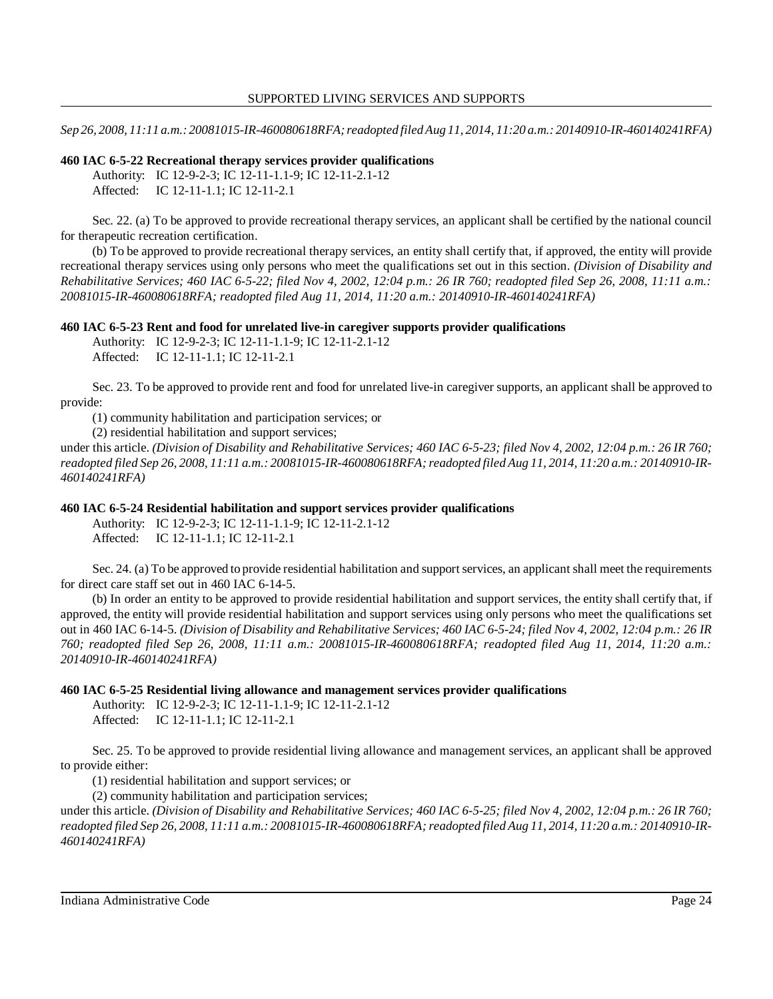*Sep 26, 2008, 11:11 a.m.: 20081015-IR-460080618RFA; readopted filed Aug 11, 2014, 11:20 a.m.: 20140910-IR-460140241RFA)* 

### **460 IAC 6-5-22 Recreational therapy services provider qualifications**

Authority: IC 12-9-2-3; IC 12-11-1.1-9; IC 12-11-2.1-12 Affected: IC 12-11-1.1; IC 12-11-2.1

 Sec. 22. (a) To be approved to provide recreational therapy services, an applicant shall be certified by the national council for therapeutic recreation certification.

 (b) To be approved to provide recreational therapy services, an entity shall certify that, if approved, the entity will provide recreational therapy services using only persons who meet the qualifications set out in this section. *(Division of Disability and Rehabilitative Services; 460 IAC 6-5-22; filed Nov 4, 2002, 12:04 p.m.: 26 IR 760; readopted filed Sep 26, 2008, 11:11 a.m.: 20081015-IR-460080618RFA; readopted filed Aug 11, 2014, 11:20 a.m.: 20140910-IR-460140241RFA)* 

### **460 IAC 6-5-23 Rent and food for unrelated live-in caregiver supports provider qualifications**

Authority: IC 12-9-2-3; IC 12-11-1.1-9; IC 12-11-2.1-12

Affected: IC 12-11-1.1; IC 12-11-2.1

 Sec. 23. To be approved to provide rent and food for unrelated live-in caregiver supports, an applicant shall be approved to provide:

(1) community habilitation and participation services; or

(2) residential habilitation and support services;

 under this article. *(Division of Disability and Rehabilitative Services; 460 IAC 6-5-23; filed Nov 4, 2002, 12:04 p.m.: 26 IR 760; readopted filed Sep 26, 2008, 11:11 a.m.: 20081015-IR-460080618RFA; readopted filed Aug 11, 2014, 11:20 a.m.: 20140910-IR-460140241RFA)* 

### **460 IAC 6-5-24 Residential habilitation and support services provider qualifications**

Authority: IC 12-9-2-3; IC 12-11-1.1-9; IC 12-11-2.1-12 Affected: IC 12-11-1.1; IC 12-11-2.1

 Sec. 24. (a) To be approved to provide residential habilitation and support services, an applicant shall meet the requirements for direct care staff set out in 460 IAC 6-14-5.

 (b) In order an entity to be approved to provide residential habilitation and support services, the entity shall certify that, if approved, the entity will provide residential habilitation and support services using only persons who meet the qualifications set out in 460 IAC 6-14-5. *(Division of Disability and Rehabilitative Services; 460 IAC 6-5-24; filed Nov 4, 2002, 12:04 p.m.: 26 IR 760; readopted filed Sep 26, 2008, 11:11 a.m.: 20081015-IR-460080618RFA; readopted filed Aug 11, 2014, 11:20 a.m.: 20140910-IR-460140241RFA)* 

### **460 IAC 6-5-25 Residential living allowance and management services provider qualifications**

Authority: IC 12-9-2-3; IC 12-11-1.1-9; IC 12-11-2.1-12 Affected: IC 12-11-1.1; IC 12-11-2.1

 Sec. 25. To be approved to provide residential living allowance and management services, an applicant shall be approved to provide either:

(1) residential habilitation and support services; or

(2) community habilitation and participation services;

 under this article. *(Division of Disability and Rehabilitative Services; 460 IAC 6-5-25; filed Nov 4, 2002, 12:04 p.m.: 26 IR 760; readopted filed Sep 26, 2008, 11:11 a.m.: 20081015-IR-460080618RFA; readopted filed Aug 11, 2014, 11:20 a.m.: 20140910-IR-460140241RFA)*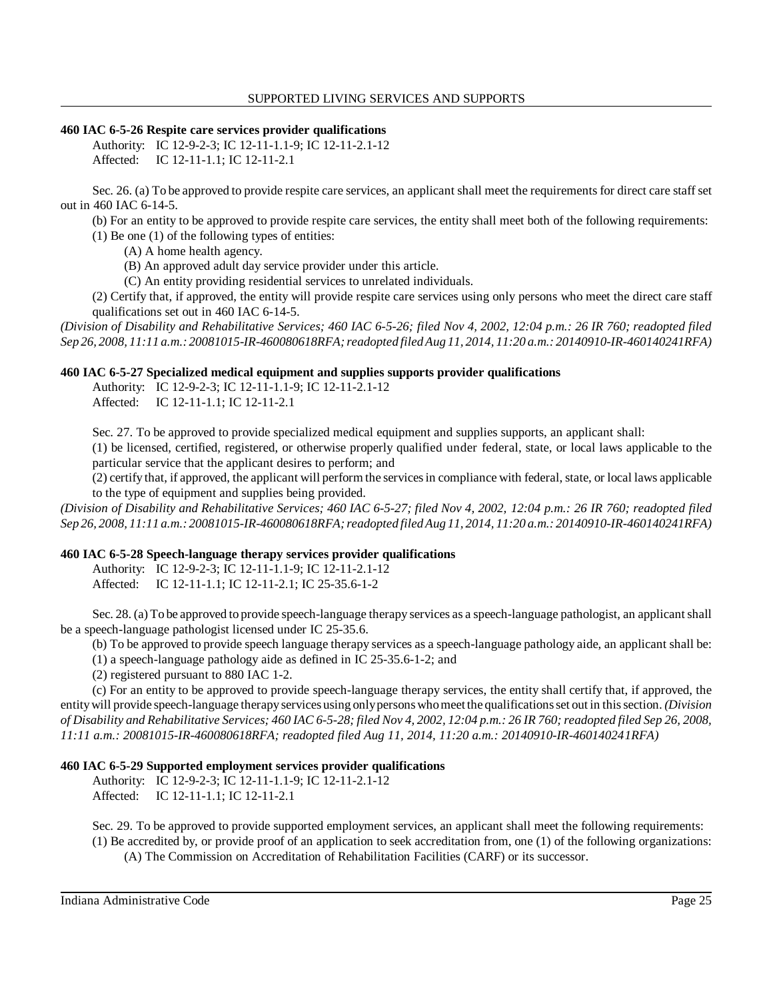## **460 IAC 6-5-26 Respite care services provider qualifications**

Authority: IC 12-9-2-3; IC 12-11-1.1-9; IC 12-11-2.1-12 Affected: IC 12-11-1.1; IC 12-11-2.1

 Sec. 26. (a) To be approved to provide respite care services, an applicant shall meet the requirements for direct care staff set out in 460 IAC 6-14-5.

(b) For an entity to be approved to provide respite care services, the entity shall meet both of the following requirements:

- (1) Be one (1) of the following types of entities:
	- (A) A home health agency.
	- (B) An approved adult day service provider under this article.
	- (C) An entity providing residential services to unrelated individuals.

 (2) Certify that, if approved, the entity will provide respite care services using only persons who meet the direct care staff qualifications set out in 460 IAC 6-14-5.

 *(Division of Disability and Rehabilitative Services; 460 IAC 6-5-26; filed Nov 4, 2002, 12:04 p.m.: 26 IR 760; readopted filed Sep 26, 2008, 11:11 a.m.: 20081015-IR-460080618RFA; readopted filed Aug 11, 2014, 11:20 a.m.: 20140910-IR-460140241RFA)* 

## **460 IAC 6-5-27 Specialized medical equipment and supplies supports provider qualifications**

Authority: IC 12-9-2-3; IC 12-11-1.1-9; IC 12-11-2.1-12

Affected: IC 12-11-1.1; IC 12-11-2.1

Sec. 27. To be approved to provide specialized medical equipment and supplies supports, an applicant shall:

 (1) be licensed, certified, registered, or otherwise properly qualified under federal, state, or local laws applicable to the particular service that the applicant desires to perform; and

 (2) certify that, if approved, the applicant will perform the services in compliance with federal, state, or local laws applicable to the type of equipment and supplies being provided.

 *(Division of Disability and Rehabilitative Services; 460 IAC 6-5-27; filed Nov 4, 2002, 12:04 p.m.: 26 IR 760; readopted filed Sep 26, 2008, 11:11 a.m.: 20081015-IR-460080618RFA; readopted filed Aug 11, 2014, 11:20 a.m.: 20140910-IR-460140241RFA)* 

## **460 IAC 6-5-28 Speech-language therapy services provider qualifications**

Authority: IC 12-9-2-3; IC 12-11-1.1-9; IC 12-11-2.1-12 Affected: IC 12-11-1.1; IC 12-11-2.1; IC 25-35.6-1-2

 Sec. 28. (a) To be approved to provide speech-language therapy services as a speech-language pathologist, an applicant shall be a speech-language pathologist licensed under IC 25-35.6.

(b) To be approved to provide speech language therapy services as a speech-language pathology aide, an applicant shall be:

(1) a speech-language pathology aide as defined in IC 25-35.6-1-2; and

(2) registered pursuant to 880 IAC 1-2.

 (c) For an entity to be approved to provide speech-language therapy services, the entity shall certify that, if approved, the entitywill provide speech-language therapyservices using onlypersons whomeet the qualifications set out in this section. *(Division of Disability and Rehabilitative Services; 460 IAC 6-5-28; filed Nov 4, 2002, 12:04 p.m.: 26 IR 760; readopted filed Sep 26, 2008, 11:11 a.m.: 20081015-IR-460080618RFA; readopted filed Aug 11, 2014, 11:20 a.m.: 20140910-IR-460140241RFA)* 

## **460 IAC 6-5-29 Supported employment services provider qualifications**

Authority: IC 12-9-2-3; IC 12-11-1.1-9; IC 12-11-2.1-12 Affected: IC 12-11-1.1; IC 12-11-2.1

Sec. 29. To be approved to provide supported employment services, an applicant shall meet the following requirements:

 (1) Be accredited by, or provide proof of an application to seek accreditation from, one (1) of the following organizations: (A) The Commission on Accreditation of Rehabilitation Facilities (CARF) or its successor.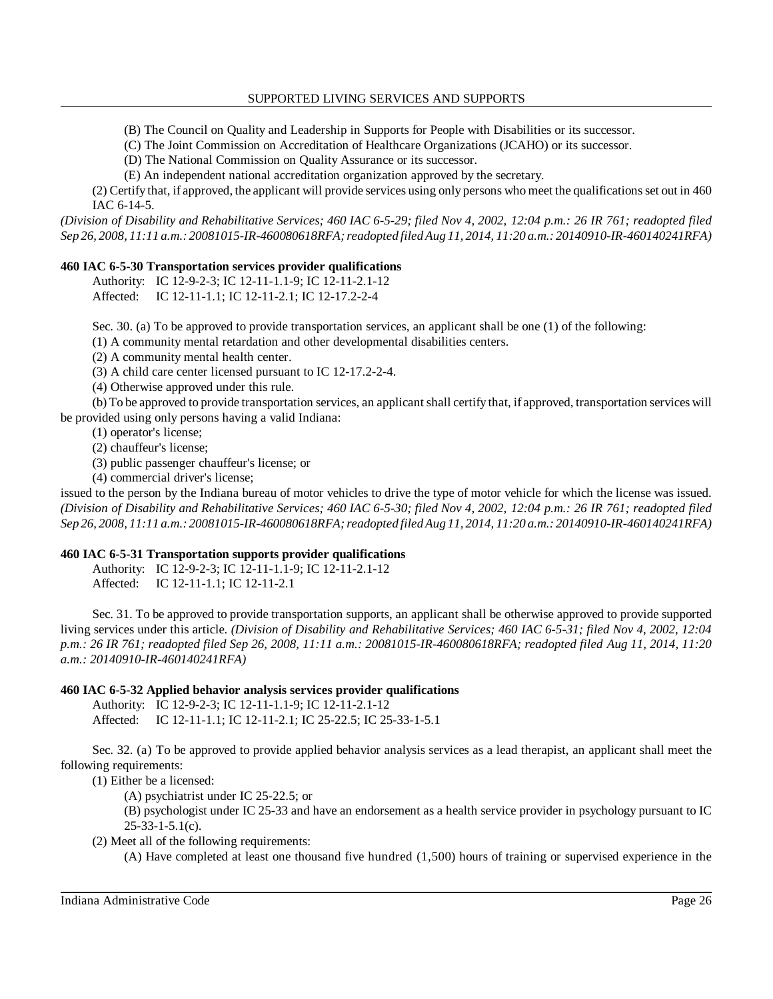(B) The Council on Quality and Leadership in Supports for People with Disabilities or its successor.

(C) The Joint Commission on Accreditation of Healthcare Organizations (JCAHO) or its successor.

(D) The National Commission on Quality Assurance or its successor.

(E) An independent national accreditation organization approved by the secretary.

 (2) Certify that, if approved, the applicant will provide services using only persons who meet the qualifications set out in 460 IAC 6-14-5.

 *(Division of Disability and Rehabilitative Services; 460 IAC 6-5-29; filed Nov 4, 2002, 12:04 p.m.: 26 IR 761; readopted filed Sep 26, 2008, 11:11 a.m.: 20081015-IR-460080618RFA; readopted filed Aug 11, 2014, 11:20 a.m.: 20140910-IR-460140241RFA)* 

## **460 IAC 6-5-30 Transportation services provider qualifications**

Authority: IC 12-9-2-3; IC 12-11-1.1-9; IC 12-11-2.1-12 Affected: IC 12-11-1.1; IC 12-11-2.1; IC 12-17.2-2-4

Sec. 30. (a) To be approved to provide transportation services, an applicant shall be one (1) of the following:

(1) A community mental retardation and other developmental disabilities centers.

(2) A community mental health center.

(3) A child care center licensed pursuant to IC 12-17.2-2-4.

(4) Otherwise approved under this rule.

 (b) To be approved to provide transportation services, an applicant shall certify that, if approved, transportation services will be provided using only persons having a valid Indiana:

(1) operator's license;

(2) chauffeur's license;

(3) public passenger chauffeur's license; or

(4) commercial driver's license;

 issued to the person by the Indiana bureau of motor vehicles to drive the type of motor vehicle for which the license was issued.  *(Division of Disability and Rehabilitative Services; 460 IAC 6-5-30; filed Nov 4, 2002, 12:04 p.m.: 26 IR 761; readopted filed Sep 26, 2008, 11:11 a.m.: 20081015-IR-460080618RFA; readopted filed Aug 11, 2014, 11:20 a.m.: 20140910-IR-460140241RFA)* 

### **460 IAC 6-5-31 Transportation supports provider qualifications**

Authority: IC 12-9-2-3; IC 12-11-1.1-9; IC 12-11-2.1-12 Affected: IC 12-11-1.1; IC 12-11-2.1

 Sec. 31. To be approved to provide transportation supports, an applicant shall be otherwise approved to provide supported living services under this article. *(Division of Disability and Rehabilitative Services; 460 IAC 6-5-31; filed Nov 4, 2002, 12:04 p.m.: 26 IR 761; readopted filed Sep 26, 2008, 11:11 a.m.: 20081015-IR-460080618RFA; readopted filed Aug 11, 2014, 11:20 a.m.: 20140910-IR-460140241RFA)* 

## **460 IAC 6-5-32 Applied behavior analysis services provider qualifications**

 Affected: IC 12-11-1.1; IC 12-11-2.1; IC 25-22.5; IC 25-33-1-5.1 Authority: IC 12-9-2-3; IC 12-11-1.1-9; IC 12-11-2.1-12

 Sec. 32. (a) To be approved to provide applied behavior analysis services as a lead therapist, an applicant shall meet the following requirements:

(1) Either be a licensed:

(A) psychiatrist under IC 25-22.5; or

 (B) psychologist under IC 25-33 and have an endorsement as a health service provider in psychology pursuant to IC 25-33-1-5.1(c).

(2) Meet all of the following requirements:

(A) Have completed at least one thousand five hundred (1,500) hours of training or supervised experience in the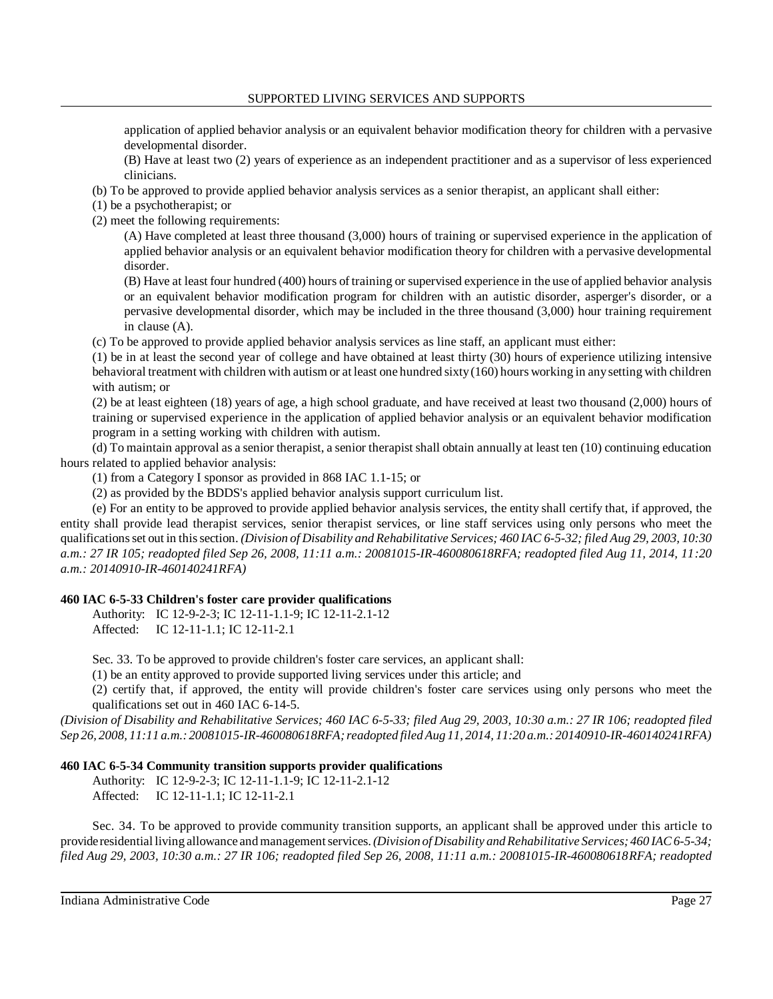application of applied behavior analysis or an equivalent behavior modification theory for children with a pervasive developmental disorder.

 (B) Have at least two (2) years of experience as an independent practitioner and as a supervisor of less experienced clinicians.

(b) To be approved to provide applied behavior analysis services as a senior therapist, an applicant shall either:

(1) be a psychotherapist; or

(2) meet the following requirements:

 (A) Have completed at least three thousand (3,000) hours of training or supervised experience in the application of applied behavior analysis or an equivalent behavior modification theory for children with a pervasive developmental disorder.

 (B) Have at least four hundred (400) hours of training or supervised experience in the use of applied behavior analysis or an equivalent behavior modification program for children with an autistic disorder, asperger's disorder, or a pervasive developmental disorder, which may be included in the three thousand (3,000) hour training requirement in clause (A).

(c) To be approved to provide applied behavior analysis services as line staff, an applicant must either:

 (1) be in at least the second year of college and have obtained at least thirty (30) hours of experience utilizing intensive behavioral treatment with children with autism or at least one hundred sixty(160) hours working in anysetting with children with autism; or

 (2) be at least eighteen (18) years of age, a high school graduate, and have received at least two thousand (2,000) hours of training or supervised experience in the application of applied behavior analysis or an equivalent behavior modification program in a setting working with children with autism.

 (d) To maintain approval as a senior therapist, a senior therapist shall obtain annually at least ten (10) continuing education hours related to applied behavior analysis:

(1) from a Category I sponsor as provided in 868 IAC 1.1-15; or

(2) as provided by the BDDS's applied behavior analysis support curriculum list.

 (e) For an entity to be approved to provide applied behavior analysis services, the entity shall certify that, if approved, the entity shall provide lead therapist services, senior therapist services, or line staff services using only persons who meet the qualifications set out in this section. *(Division of Disability and Rehabilitative Services; 460 IAC 6-5-32; filed Aug 29, 2003, 10:30 a.m.: 27 IR 105; readopted filed Sep 26, 2008, 11:11 a.m.: 20081015-IR-460080618RFA; readopted filed Aug 11, 2014, 11:20 a.m.: 20140910-IR-460140241RFA)* 

## **460 IAC 6-5-33 Children's foster care provider qualifications**

Authority: IC 12-9-2-3; IC 12-11-1.1-9; IC 12-11-2.1-12 Affected: IC 12-11-1.1; IC 12-11-2.1

Sec. 33. To be approved to provide children's foster care services, an applicant shall:

(1) be an entity approved to provide supported living services under this article; and

 (2) certify that, if approved, the entity will provide children's foster care services using only persons who meet the qualifications set out in 460 IAC 6-14-5.

 *(Division of Disability and Rehabilitative Services; 460 IAC 6-5-33; filed Aug 29, 2003, 10:30 a.m.: 27 IR 106; readopted filed Sep 26, 2008, 11:11 a.m.: 20081015-IR-460080618RFA; readopted filed Aug 11, 2014, 11:20 a.m.: 20140910-IR-460140241RFA)* 

## **460 IAC 6-5-34 Community transition supports provider qualifications**

Authority: IC 12-9-2-3; IC 12-11-1.1-9; IC 12-11-2.1-12 Affected: IC 12-11-1.1; IC 12-11-2.1

 Sec. 34. To be approved to provide community transition supports, an applicant shall be approved under this article to provideresidential living allowance and management services. *(Division of Disability and Rehabilitative Services; 460 IAC 6-5-34; filed Aug 29, 2003, 10:30 a.m.: 27 IR 106; readopted filed Sep 26, 2008, 11:11 a.m.: 20081015-IR-460080618RFA; readopted*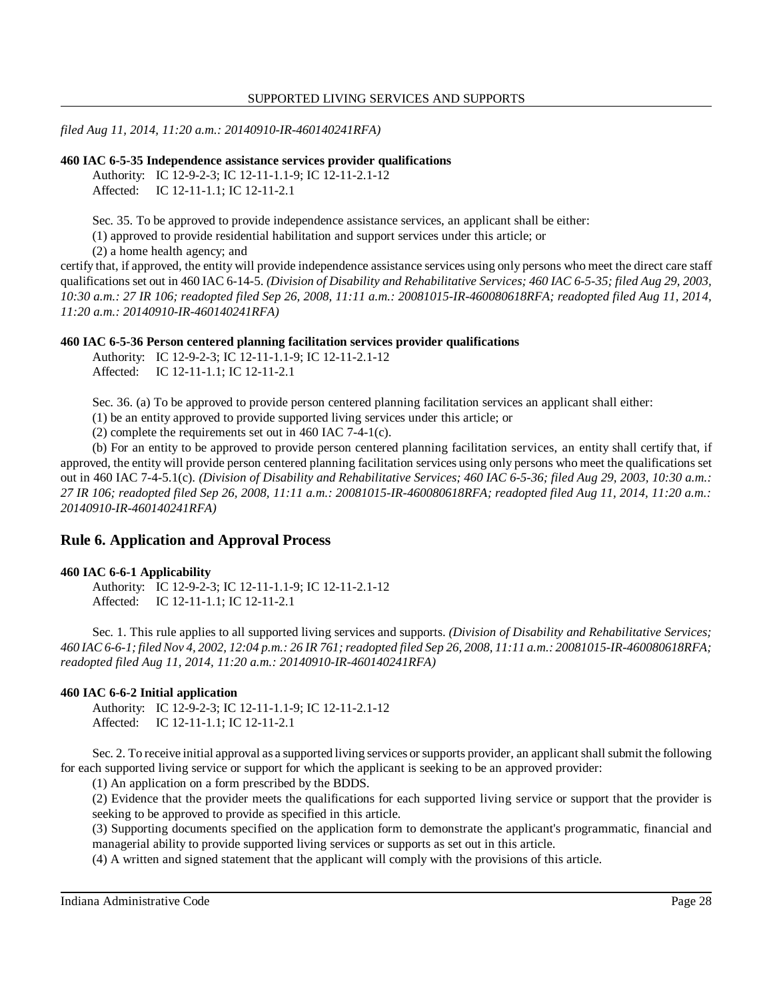*filed Aug 11, 2014, 11:20 a.m.: 20140910-IR-460140241RFA)* 

#### **460 IAC 6-5-35 Independence assistance services provider qualifications**

Authority: IC 12-9-2-3; IC 12-11-1.1-9; IC 12-11-2.1-12 Affected: IC 12-11-1.1; IC 12-11-2.1

Sec. 35. To be approved to provide independence assistance services, an applicant shall be either:

(1) approved to provide residential habilitation and support services under this article; or

(2) a home health agency; and

 certify that, if approved, the entity will provide independence assistance services using only persons who meet the direct care staff qualifications set out in 460 IAC 6-14-5. *(Division of Disability and Rehabilitative Services; 460 IAC 6-5-35; filed Aug 29, 2003, 10:30 a.m.: 27 IR 106; readopted filed Sep 26, 2008, 11:11 a.m.: 20081015-IR-460080618RFA; readopted filed Aug 11, 2014, 11:20 a.m.: 20140910-IR-460140241RFA)* 

#### **460 IAC 6-5-36 Person centered planning facilitation services provider qualifications**

Authority: IC 12-9-2-3; IC 12-11-1.1-9; IC 12-11-2.1-12 Affected: IC 12-11-1.1; IC 12-11-2.1

Sec. 36. (a) To be approved to provide person centered planning facilitation services an applicant shall either:

(1) be an entity approved to provide supported living services under this article; or

(2) complete the requirements set out in 460 IAC 7-4-1(c).

 (b) For an entity to be approved to provide person centered planning facilitation services, an entity shall certify that, if approved, the entity will provide person centered planning facilitation services using only persons who meet the qualifications set out in 460 IAC 7-4-5.1(c). *(Division of Disability and Rehabilitative Services; 460 IAC 6-5-36; filed Aug 29, 2003, 10:30 a.m.: 27 IR 106; readopted filed Sep 26, 2008, 11:11 a.m.: 20081015-IR-460080618RFA; readopted filed Aug 11, 2014, 11:20 a.m.: 20140910-IR-460140241RFA)* 

## **Rule 6. Application and Approval Process**

#### **460 IAC 6-6-1 Applicability**

Authority: IC 12-9-2-3; IC 12-11-1.1-9; IC 12-11-2.1-12 Affected: IC 12-11-1.1; IC 12-11-2.1

 Sec. 1. This rule applies to all supported living services and supports. *(Division of Disability and Rehabilitative Services; 460 IAC 6-6-1; filed Nov 4, 2002, 12:04 p.m.: 26 IR 761; readopted filed Sep 26, 2008, 11:11 a.m.: 20081015-IR-460080618RFA; readopted filed Aug 11, 2014, 11:20 a.m.: 20140910-IR-460140241RFA)* 

### **460 IAC 6-6-2 Initial application**

Authority: IC 12-9-2-3; IC 12-11-1.1-9; IC 12-11-2.1-12 Affected: IC 12-11-1.1; IC 12-11-2.1

 Sec. 2. To receive initial approval as a supported living services or supports provider, an applicant shall submit the following for each supported living service or support for which the applicant is seeking to be an approved provider:

(1) An application on a form prescribed by the BDDS.

 (2) Evidence that the provider meets the qualifications for each supported living service or support that the provider is seeking to be approved to provide as specified in this article.

 (3) Supporting documents specified on the application form to demonstrate the applicant's programmatic, financial and managerial ability to provide supported living services or supports as set out in this article.

(4) A written and signed statement that the applicant will comply with the provisions of this article.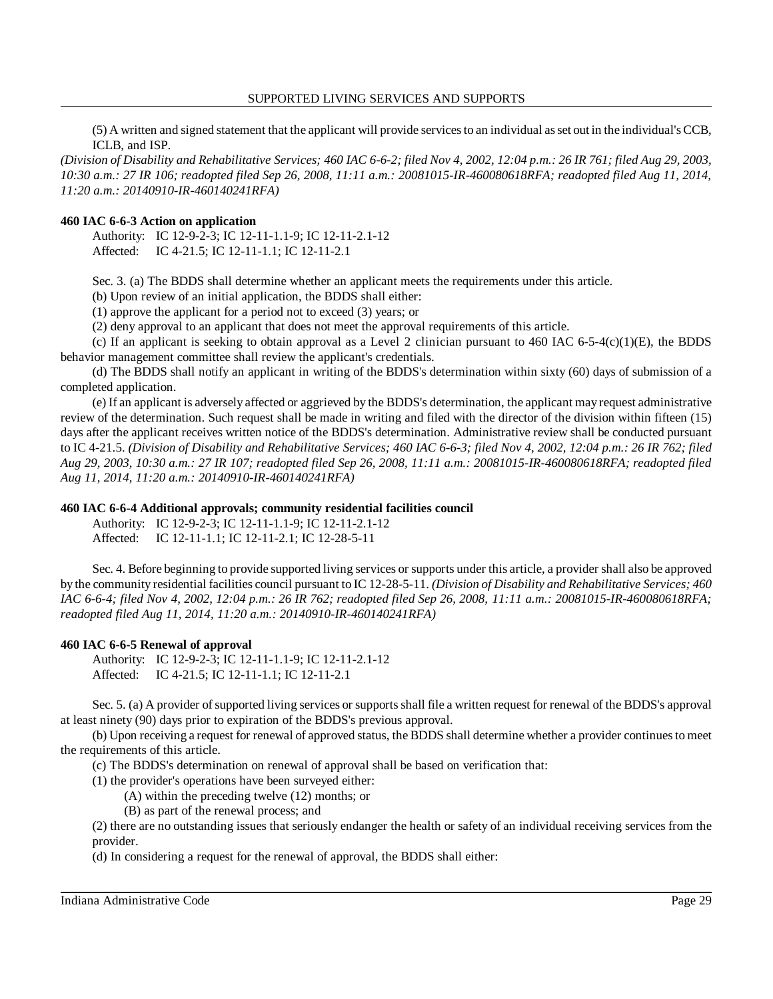#### SUPPORTED LIVING SERVICES AND SUPPORTS

 (5) A written and signed statement that the applicant will provide services to an individual as set out in the individual's CCB, ICLB, and ISP.

 *(Division of Disability and Rehabilitative Services; 460 IAC 6-6-2; filed Nov 4, 2002, 12:04 p.m.: 26 IR 761; filed Aug 29, 2003, 10:30 a.m.: 27 IR 106; readopted filed Sep 26, 2008, 11:11 a.m.: 20081015-IR-460080618RFA; readopted filed Aug 11, 2014, 11:20 a.m.: 20140910-IR-460140241RFA)* 

#### **460 IAC 6-6-3 Action on application**

Authority: IC 12-9-2-3; IC 12-11-1.1-9; IC 12-11-2.1-12 Affected: IC 4-21.5; IC 12-11-1.1; IC 12-11-2.1

Sec. 3. (a) The BDDS shall determine whether an applicant meets the requirements under this article.

(b) Upon review of an initial application, the BDDS shall either:

(1) approve the applicant for a period not to exceed (3) years; or

(2) deny approval to an applicant that does not meet the approval requirements of this article.

(c) If an applicant is seeking to obtain approval as a Level 2 clinician pursuant to 460 IAC 6-5-4(c)(1)(E), the BDDS behavior management committee shall review the applicant's credentials.

 (d) The BDDS shall notify an applicant in writing of the BDDS's determination within sixty (60) days of submission of a completed application.

 (e) If an applicant is adversely affected or aggrieved by the BDDS's determination, the applicant may request administrative review of the determination. Such request shall be made in writing and filed with the director of the division within fifteen (15) days after the applicant receives written notice of the BDDS's determination. Administrative review shall be conducted pursuant to IC 4-21.5. *(Division of Disability and Rehabilitative Services; 460 IAC 6-6-3; filed Nov 4, 2002, 12:04 p.m.: 26 IR 762; filed Aug 29, 2003, 10:30 a.m.: 27 IR 107; readopted filed Sep 26, 2008, 11:11 a.m.: 20081015-IR-460080618RFA; readopted filed Aug 11, 2014, 11:20 a.m.: 20140910-IR-460140241RFA)* 

#### **460 IAC 6-6-4 Additional approvals; community residential facilities council**

Authority: IC 12-9-2-3; IC 12-11-1.1-9; IC 12-11-2.1-12 Affected: IC 12-11-1.1; IC 12-11-2.1; IC 12-28-5-11

 Sec. 4. Before beginning to provide supported living services or supports under this article, a provider shall also be approved by the community residential facilities council pursuant to IC 12-28-5-11. *(Division of Disability and Rehabilitative Services; 460 IAC 6-6-4; filed Nov 4, 2002, 12:04 p.m.: 26 IR 762; readopted filed Sep 26, 2008, 11:11 a.m.: 20081015-IR-460080618RFA; readopted filed Aug 11, 2014, 11:20 a.m.: 20140910-IR-460140241RFA)* 

#### **460 IAC 6-6-5 Renewal of approval**

Authority: IC 12-9-2-3; IC 12-11-1.1-9; IC 12-11-2.1-12 Affected: IC 4-21.5; IC 12-11-1.1; IC 12-11-2.1

 Sec. 5. (a) A provider of supported living services or supports shall file a written request for renewal of the BDDS's approval at least ninety (90) days prior to expiration of the BDDS's previous approval.

 (b) Upon receiving a request for renewal of approved status, the BDDS shall determine whether a provider continues to meet the requirements of this article.

(c) The BDDS's determination on renewal of approval shall be based on verification that:

(1) the provider's operations have been surveyed either:

(A) within the preceding twelve (12) months; or

(B) as part of the renewal process; and

 (2) there are no outstanding issues that seriously endanger the health or safety of an individual receiving services from the provider.

(d) In considering a request for the renewal of approval, the BDDS shall either: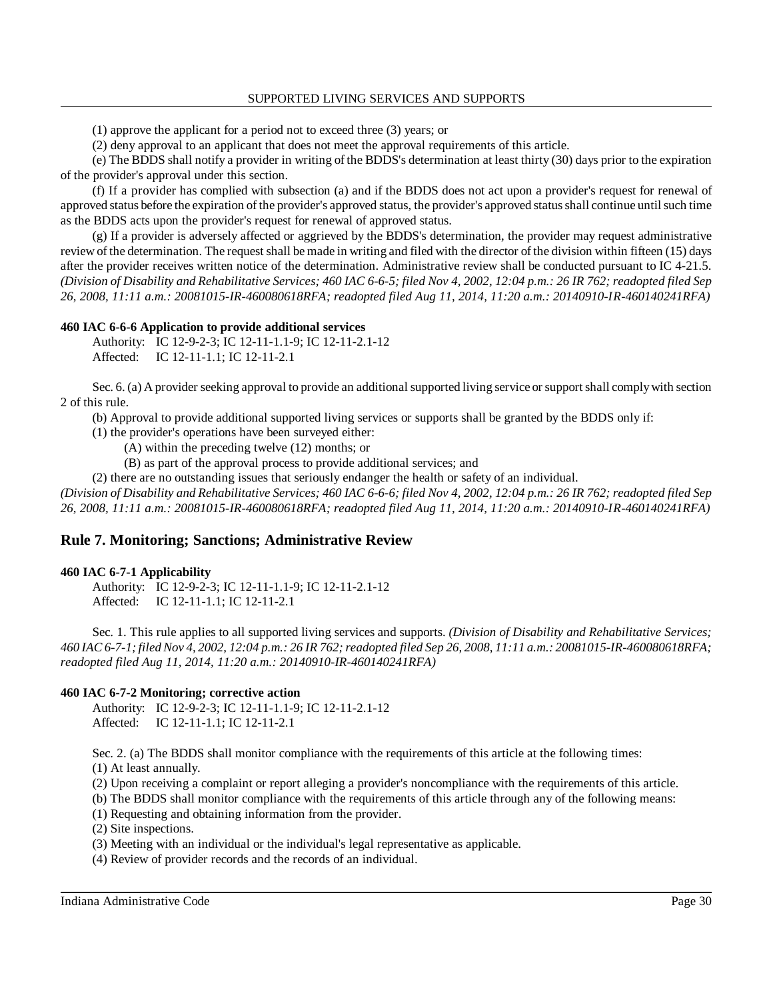(1) approve the applicant for a period not to exceed three (3) years; or

(2) deny approval to an applicant that does not meet the approval requirements of this article.

 (e) The BDDS shall notify a provider in writing of the BDDS's determination at least thirty (30) days prior to the expiration of the provider's approval under this section.

 (f) If a provider has complied with subsection (a) and if the BDDS does not act upon a provider's request for renewal of approved status before the expiration of the provider's approved status, the provider's approved status shall continue until such time as the BDDS acts upon the provider's request for renewal of approved status.

 (g) If a provider is adversely affected or aggrieved by the BDDS's determination, the provider may request administrative review of the determination. The request shall be made in writing and filed with the director of the division within fifteen (15) days after the provider receives written notice of the determination. Administrative review shall be conducted pursuant to IC 4-21.5.  *(Division of Disability and Rehabilitative Services; 460 IAC 6-6-5; filed Nov 4, 2002, 12:04 p.m.: 26 IR 762; readopted filed Sep 26, 2008, 11:11 a.m.: 20081015-IR-460080618RFA; readopted filed Aug 11, 2014, 11:20 a.m.: 20140910-IR-460140241RFA)* 

#### **460 IAC 6-6-6 Application to provide additional services**

Authority: IC 12-9-2-3; IC 12-11-1.1-9; IC 12-11-2.1-12 Affected: IC 12-11-1.1; IC 12-11-2.1

Sec. 6. (a) A provider seeking approval to provide an additional supported living service or support shall comply with section 2 of this rule.

(b) Approval to provide additional supported living services or supports shall be granted by the BDDS only if:

- (1) the provider's operations have been surveyed either:
	- (A) within the preceding twelve (12) months; or
	- (B) as part of the approval process to provide additional services; and

(2) there are no outstanding issues that seriously endanger the health or safety of an individual.

 *(Division of Disability and Rehabilitative Services; 460 IAC 6-6-6; filed Nov 4, 2002, 12:04 p.m.: 26 IR 762; readopted filed Sep 26, 2008, 11:11 a.m.: 20081015-IR-460080618RFA; readopted filed Aug 11, 2014, 11:20 a.m.: 20140910-IR-460140241RFA)* 

## **Rule 7. Monitoring; Sanctions; Administrative Review**

#### **460 IAC 6-7-1 Applicability**

Authority: IC 12-9-2-3; IC 12-11-1.1-9; IC 12-11-2.1-12 Affected: IC 12-11-1.1; IC 12-11-2.1

 Sec. 1. This rule applies to all supported living services and supports. *(Division of Disability and Rehabilitative Services; 460 IAC 6-7-1; filed Nov 4, 2002, 12:04 p.m.: 26 IR 762; readopted filed Sep 26, 2008, 11:11 a.m.: 20081015-IR-460080618RFA; readopted filed Aug 11, 2014, 11:20 a.m.: 20140910-IR-460140241RFA)* 

### **460 IAC 6-7-2 Monitoring; corrective action**

Authority: IC 12-9-2-3; IC 12-11-1.1-9; IC 12-11-2.1-12 Affected: IC 12-11-1.1; IC 12-11-2.1

Sec. 2. (a) The BDDS shall monitor compliance with the requirements of this article at the following times:

(1) At least annually.

- (2) Upon receiving a complaint or report alleging a provider's noncompliance with the requirements of this article.
- (b) The BDDS shall monitor compliance with the requirements of this article through any of the following means:
- (1) Requesting and obtaining information from the provider.

(2) Site inspections.

(3) Meeting with an individual or the individual's legal representative as applicable.

(4) Review of provider records and the records of an individual.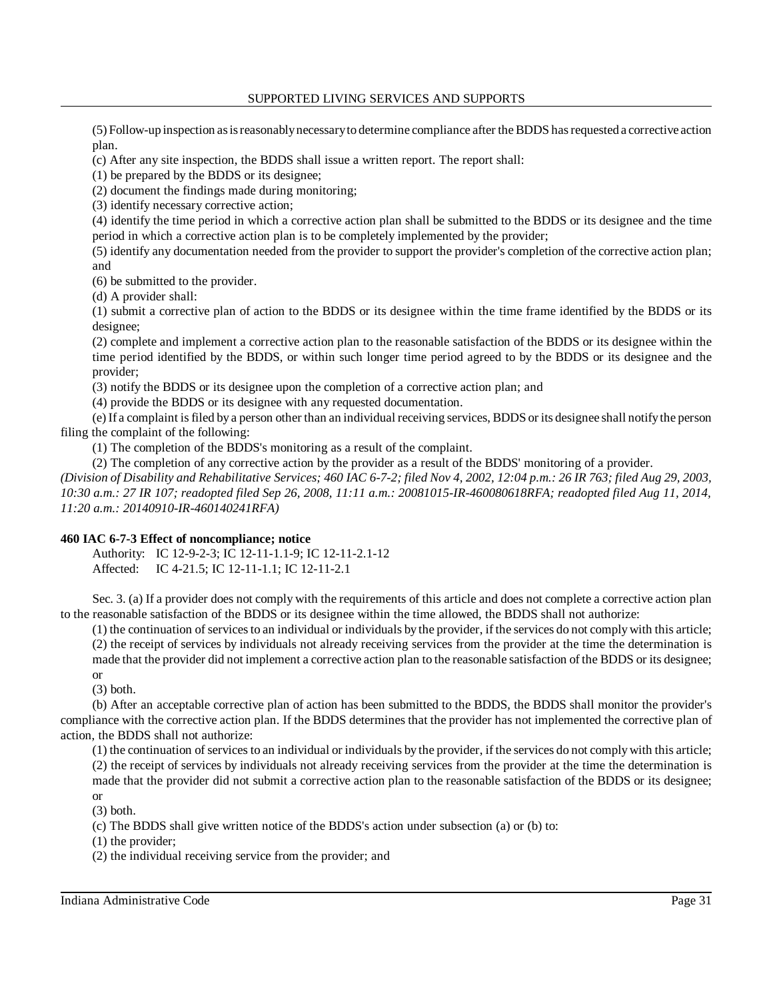(5) Follow-up inspection as is reasonablynecessaryto determine compliance after the BDDS has requested a corrective action plan.

(c) After any site inspection, the BDDS shall issue a written report. The report shall:

(1) be prepared by the BDDS or its designee;

(2) document the findings made during monitoring;

(3) identify necessary corrective action;

 (4) identify the time period in which a corrective action plan shall be submitted to the BDDS or its designee and the time period in which a corrective action plan is to be completely implemented by the provider;

 (5) identify any documentation needed from the provider to support the provider's completion of the corrective action plan; and

(6) be submitted to the provider.

(d) A provider shall:

 (1) submit a corrective plan of action to the BDDS or its designee within the time frame identified by the BDDS or its designee;

 (2) complete and implement a corrective action plan to the reasonable satisfaction of the BDDS or its designee within the time period identified by the BDDS, or within such longer time period agreed to by the BDDS or its designee and the provider;

(3) notify the BDDS or its designee upon the completion of a corrective action plan; and

(4) provide the BDDS or its designee with any requested documentation.

 (e) If a complaint is filed by a person other than an individual receiving services, BDDS or its designee shall notifythe person filing the complaint of the following:

(1) The completion of the BDDS's monitoring as a result of the complaint.

(2) The completion of any corrective action by the provider as a result of the BDDS' monitoring of a provider.

 *(Division of Disability and Rehabilitative Services; 460 IAC 6-7-2; filed Nov 4, 2002, 12:04 p.m.: 26 IR 763; filed Aug 29, 2003, 10:30 a.m.: 27 IR 107; readopted filed Sep 26, 2008, 11:11 a.m.: 20081015-IR-460080618RFA; readopted filed Aug 11, 2014, 11:20 a.m.: 20140910-IR-460140241RFA)* 

## **460 IAC 6-7-3 Effect of noncompliance; notice**

Authority: IC 12-9-2-3; IC 12-11-1.1-9; IC 12-11-2.1-12 Affected: IC 4-21.5; IC 12-11-1.1; IC 12-11-2.1

 Sec. 3. (a) If a provider does not comply with the requirements of this article and does not complete a corrective action plan to the reasonable satisfaction of the BDDS or its designee within the time allowed, the BDDS shall not authorize:

 (1) the continuation of services to an individual or individuals by the provider, if the services do not comply with this article; (2) the receipt of services by individuals not already receiving services from the provider at the time the determination is made that the provider did not implement a corrective action plan to the reasonable satisfaction of the BDDS or its designee;

or

(3) both.

 (b) After an acceptable corrective plan of action has been submitted to the BDDS, the BDDS shall monitor the provider's compliance with the corrective action plan. If the BDDS determines that the provider has not implemented the corrective plan of action, the BDDS shall not authorize:

 (1) the continuation of services to an individual or individuals by the provider, if the services do not comply with this article; (2) the receipt of services by individuals not already receiving services from the provider at the time the determination is made that the provider did not submit a corrective action plan to the reasonable satisfaction of the BDDS or its designee; or

(3) both.

(c) The BDDS shall give written notice of the BDDS's action under subsection (a) or (b) to:

(1) the provider;

(2) the individual receiving service from the provider; and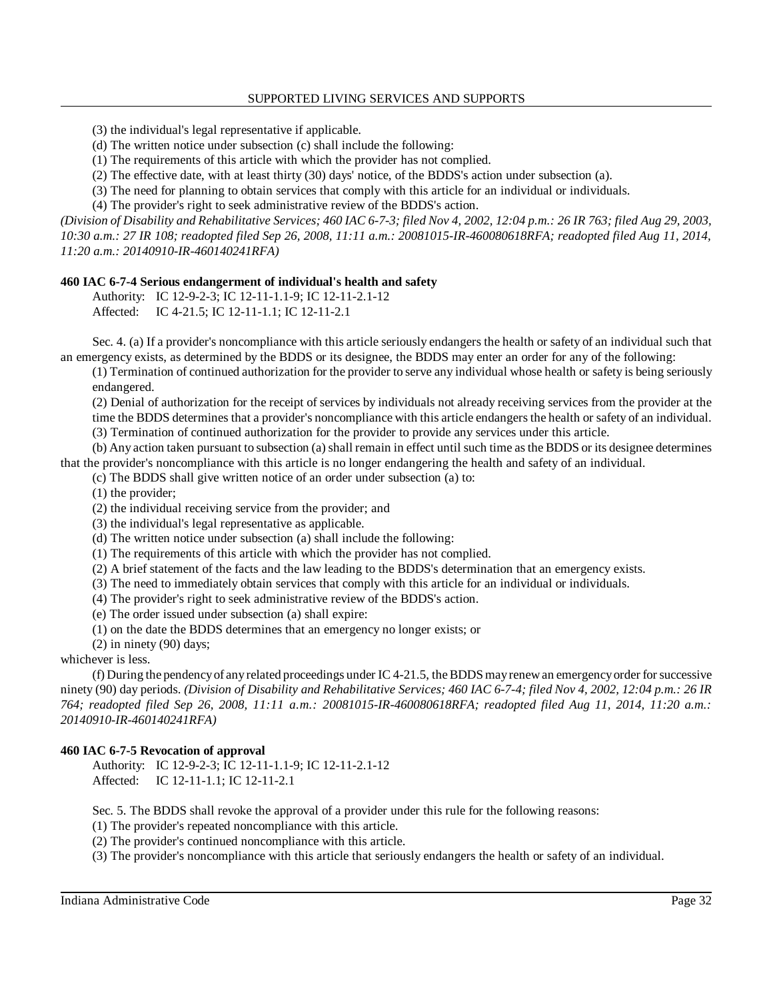(3) the individual's legal representative if applicable.

(d) The written notice under subsection (c) shall include the following:

(1) The requirements of this article with which the provider has not complied.

(2) The effective date, with at least thirty (30) days' notice, of the BDDS's action under subsection (a).

(3) The need for planning to obtain services that comply with this article for an individual or individuals.

(4) The provider's right to seek administrative review of the BDDS's action.

 *(Division of Disability and Rehabilitative Services; 460 IAC 6-7-3; filed Nov 4, 2002, 12:04 p.m.: 26 IR 763; filed Aug 29, 2003, 10:30 a.m.: 27 IR 108; readopted filed Sep 26, 2008, 11:11 a.m.: 20081015-IR-460080618RFA; readopted filed Aug 11, 2014, 11:20 a.m.: 20140910-IR-460140241RFA)* 

## **460 IAC 6-7-4 Serious endangerment of individual's health and safety**

Authority: IC 12-9-2-3; IC 12-11-1.1-9; IC 12-11-2.1-12 Affected: IC 4-21.5; IC 12-11-1.1; IC 12-11-2.1

 Sec. 4. (a) If a provider's noncompliance with this article seriously endangers the health or safety of an individual such that an emergency exists, as determined by the BDDS or its designee, the BDDS may enter an order for any of the following:

 (1) Termination of continued authorization for the provider to serve any individual whose health or safety is being seriously endangered.

 (2) Denial of authorization for the receipt of services by individuals not already receiving services from the provider at the time the BDDS determines that a provider's noncompliance with this article endangers the health or safety of an individual. (3) Termination of continued authorization for the provider to provide any services under this article.

 (b) Any action taken pursuant to subsection (a) shall remain in effect until such time as the BDDS or its designee determines that the provider's noncompliance with this article is no longer endangering the health and safety of an individual.

(c) The BDDS shall give written notice of an order under subsection (a) to:

(1) the provider;

(2) the individual receiving service from the provider; and

(3) the individual's legal representative as applicable.

(d) The written notice under subsection (a) shall include the following:

(1) The requirements of this article with which the provider has not complied.

(2) A brief statement of the facts and the law leading to the BDDS's determination that an emergency exists.

(3) The need to immediately obtain services that comply with this article for an individual or individuals.

(4) The provider's right to seek administrative review of the BDDS's action.

(e) The order issued under subsection (a) shall expire:

(1) on the date the BDDS determines that an emergency no longer exists; or

(2) in ninety (90) days;

whichever is less.

 (f) During the pendencyof anyrelated proceedings under IC 4-21.5, the BDDS mayrenew an emergencyorder for successive ninety (90) day periods. *(Division of Disability and Rehabilitative Services; 460 IAC 6-7-4; filed Nov 4, 2002, 12:04 p.m.: 26 IR 764; readopted filed Sep 26, 2008, 11:11 a.m.: 20081015-IR-460080618RFA; readopted filed Aug 11, 2014, 11:20 a.m.: 20140910-IR-460140241RFA)* 

### **460 IAC 6-7-5 Revocation of approval**

Authority: IC 12-9-2-3; IC 12-11-1.1-9; IC 12-11-2.1-12 Affected: IC 12-11-1.1; IC 12-11-2.1

Sec. 5. The BDDS shall revoke the approval of a provider under this rule for the following reasons:

(1) The provider's repeated noncompliance with this article.

(2) The provider's continued noncompliance with this article.

(3) The provider's noncompliance with this article that seriously endangers the health or safety of an individual.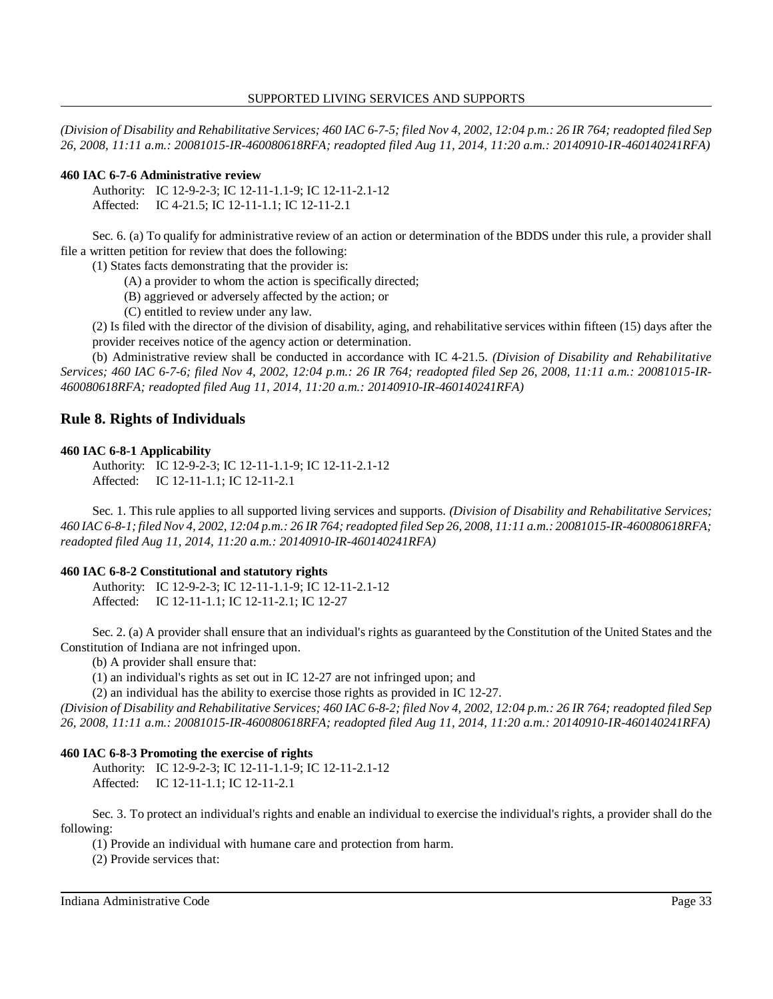*(Division of Disability and Rehabilitative Services; 460 IAC 6-7-5; filed Nov 4, 2002, 12:04 p.m.: 26 IR 764; readopted filed Sep 26, 2008, 11:11 a.m.: 20081015-IR-460080618RFA; readopted filed Aug 11, 2014, 11:20 a.m.: 20140910-IR-460140241RFA)* 

#### **460 IAC 6-7-6 Administrative review**

Authority: IC 12-9-2-3; IC 12-11-1.1-9; IC 12-11-2.1-12 Affected: IC 4-21.5; IC 12-11-1.1; IC 12-11-2.1

 Sec. 6. (a) To qualify for administrative review of an action or determination of the BDDS under this rule, a provider shall file a written petition for review that does the following:

(1) States facts demonstrating that the provider is:

(A) a provider to whom the action is specifically directed;

(B) aggrieved or adversely affected by the action; or

(C) entitled to review under any law.

 (2) Is filed with the director of the division of disability, aging, and rehabilitative services within fifteen (15) days after the provider receives notice of the agency action or determination.

 (b) Administrative review shall be conducted in accordance with IC 4-21.5. *(Division of Disability and Rehabilitative Services; 460 IAC 6-7-6; filed Nov 4, 2002, 12:04 p.m.: 26 IR 764; readopted filed Sep 26, 2008, 11:11 a.m.: 20081015-IR- 460080618RFA; readopted filed Aug 11, 2014, 11:20 a.m.: 20140910-IR-460140241RFA)* 

# **Rule 8. Rights of Individuals**

#### **460 IAC 6-8-1 Applicability**

Authority: IC 12-9-2-3; IC 12-11-1.1-9; IC 12-11-2.1-12 Affected: IC 12-11-1.1; IC 12-11-2.1

 Sec. 1. This rule applies to all supported living services and supports. *(Division of Disability and Rehabilitative Services; 460 IAC 6-8-1; filed Nov 4, 2002, 12:04 p.m.: 26 IR 764; readopted filed Sep 26, 2008, 11:11 a.m.: 20081015-IR-460080618RFA; readopted filed Aug 11, 2014, 11:20 a.m.: 20140910-IR-460140241RFA)* 

### **460 IAC 6-8-2 Constitutional and statutory rights**

Authority: IC 12-9-2-3; IC 12-11-1.1-9; IC 12-11-2.1-12 Affected: IC 12-11-1.1; IC 12-11-2.1; IC 12-27

 Sec. 2. (a) A provider shall ensure that an individual's rights as guaranteed by the Constitution of the United States and the Constitution of Indiana are not infringed upon.

(b) A provider shall ensure that:

(1) an individual's rights as set out in IC 12-27 are not infringed upon; and

(2) an individual has the ability to exercise those rights as provided in IC 12-27.

 *(Division of Disability and Rehabilitative Services; 460 IAC 6-8-2; filed Nov 4, 2002, 12:04 p.m.: 26 IR 764; readopted filed Sep 26, 2008, 11:11 a.m.: 20081015-IR-460080618RFA; readopted filed Aug 11, 2014, 11:20 a.m.: 20140910-IR-460140241RFA)* 

### **460 IAC 6-8-3 Promoting the exercise of rights**

Authority: IC 12-9-2-3; IC 12-11-1.1-9; IC 12-11-2.1-12 Affected: IC 12-11-1.1; IC 12-11-2.1

 Sec. 3. To protect an individual's rights and enable an individual to exercise the individual's rights, a provider shall do the following:

(1) Provide an individual with humane care and protection from harm.

(2) Provide services that: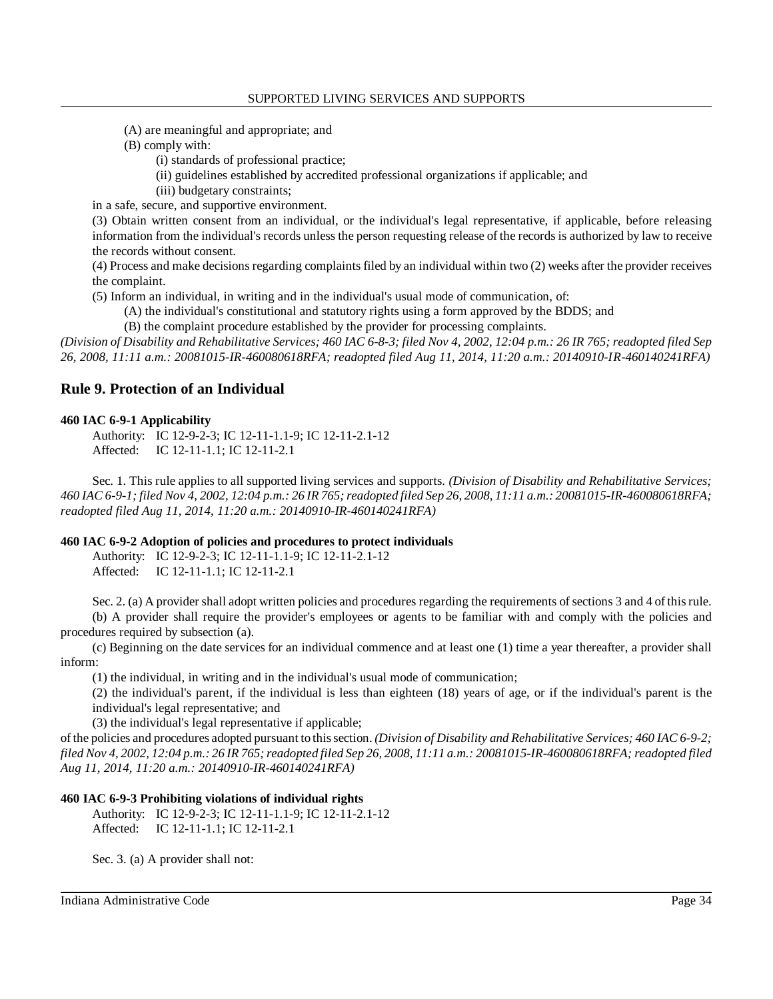- (A) are meaningful and appropriate; and
- (B) comply with:
	- (i) standards of professional practice;
		- (ii) guidelines established by accredited professional organizations if applicable; and
	- (iii) budgetary constraints;

in a safe, secure, and supportive environment.

 (3) Obtain written consent from an individual, or the individual's legal representative, if applicable, before releasing information from the individual's records unless the person requesting release of the records is authorized by law to receive the records without consent.

 (4) Process and make decisions regarding complaints filed by an individual within two (2) weeks after the provider receives the complaint.

(5) Inform an individual, in writing and in the individual's usual mode of communication, of:

- (A) the individual's constitutional and statutory rights using a form approved by the BDDS; and
- (B) the complaint procedure established by the provider for processing complaints.

 *(Division of Disability and Rehabilitative Services; 460 IAC 6-8-3; filed Nov 4, 2002, 12:04 p.m.: 26 IR 765; readopted filed Sep 26, 2008, 11:11 a.m.: 20081015-IR-460080618RFA; readopted filed Aug 11, 2014, 11:20 a.m.: 20140910-IR-460140241RFA)* 

# **Rule 9. Protection of an Individual**

#### **460 IAC 6-9-1 Applicability**

Authority: IC 12-9-2-3; IC 12-11-1.1-9; IC 12-11-2.1-12 Affected: IC 12-11-1.1; IC 12-11-2.1

 Sec. 1. This rule applies to all supported living services and supports. *(Division of Disability and Rehabilitative Services; 460 IAC 6-9-1; filed Nov 4, 2002, 12:04 p.m.: 26 IR 765; readopted filed Sep 26, 2008, 11:11 a.m.: 20081015-IR-460080618RFA; readopted filed Aug 11, 2014, 11:20 a.m.: 20140910-IR-460140241RFA)* 

#### **460 IAC 6-9-2 Adoption of policies and procedures to protect individuals**

Authority: IC 12-9-2-3; IC 12-11-1.1-9; IC 12-11-2.1-12 Affected: IC 12-11-1.1; IC 12-11-2.1

 Sec. 2. (a) A provider shall adopt written policies and procedures regarding the requirements of sections 3 and 4 of this rule. (b) A provider shall require the provider's employees or agents to be familiar with and comply with the policies and procedures required by subsection (a).

 (c) Beginning on the date services for an individual commence and at least one (1) time a year thereafter, a provider shall inform:

(1) the individual, in writing and in the individual's usual mode of communication;

 (2) the individual's parent, if the individual is less than eighteen (18) years of age, or if the individual's parent is the individual's legal representative; and

(3) the individual's legal representative if applicable;

 of the policies and procedures adopted pursuant to this section. *(Division of Disability and Rehabilitative Services; 460 IAC 6-9-2; filed Nov 4, 2002, 12:04 p.m.: 26 IR 765; readopted filed Sep 26, 2008, 11:11 a.m.: 20081015-IR-460080618RFA; readopted filed Aug 11, 2014, 11:20 a.m.: 20140910-IR-460140241RFA)* 

### **460 IAC 6-9-3 Prohibiting violations of individual rights**

Authority: IC 12-9-2-3; IC 12-11-1.1-9; IC 12-11-2.1-12 Affected: IC 12-11-1.1; IC 12-11-2.1

Sec. 3. (a) A provider shall not: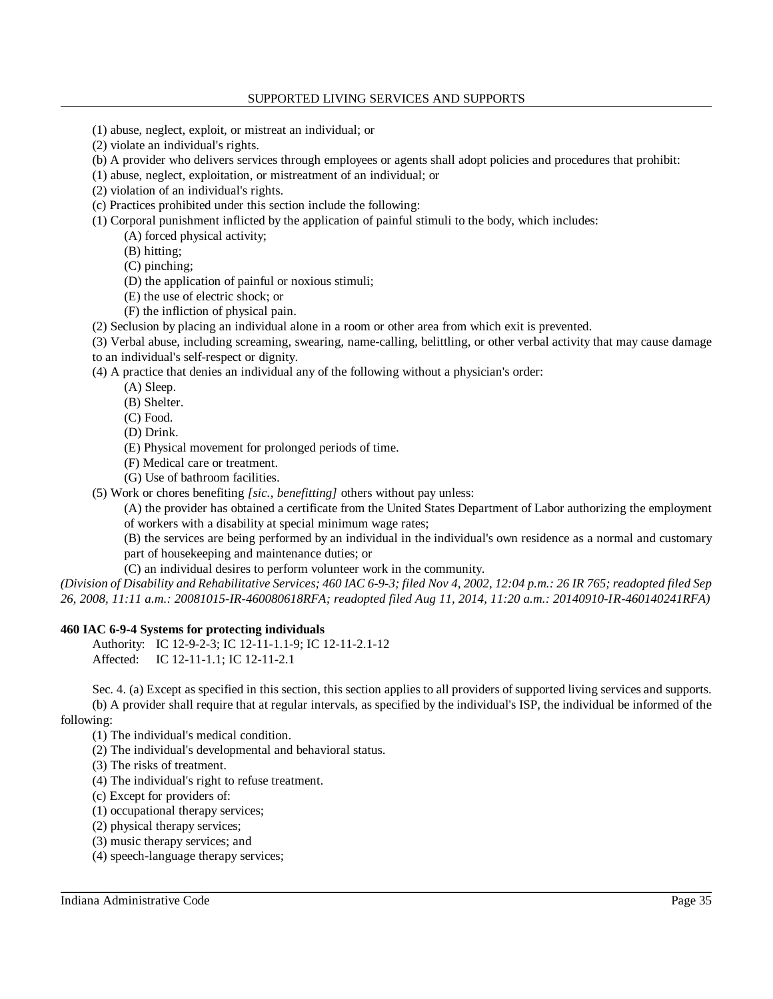- (1) abuse, neglect, exploit, or mistreat an individual; or
- (2) violate an individual's rights.
- (b) A provider who delivers services through employees or agents shall adopt policies and procedures that prohibit:
- (1) abuse, neglect, exploitation, or mistreatment of an individual; or
- (2) violation of an individual's rights.
- (c) Practices prohibited under this section include the following:
- (1) Corporal punishment inflicted by the application of painful stimuli to the body, which includes:
	- (A) forced physical activity;
	- (B) hitting;
	- (C) pinching;
	- (D) the application of painful or noxious stimuli;
	- (E) the use of electric shock; or
	- (F) the infliction of physical pain.
- (2) Seclusion by placing an individual alone in a room or other area from which exit is prevented.
- (3) Verbal abuse, including screaming, swearing, name-calling, belittling, or other verbal activity that may cause damage to an individual's self-respect or dignity.
- (4) A practice that denies an individual any of the following without a physician's order:
	- (A) Sleep.
	- (B) Shelter.
	- (C) Food.
	- (D) Drink.
	- (E) Physical movement for prolonged periods of time.
	- (F) Medical care or treatment.
	- (G) Use of bathroom facilities.

(5) Work or chores benefiting *[sic., benefitting]* others without pay unless:

 (A) the provider has obtained a certificate from the United States Department of Labor authorizing the employment of workers with a disability at special minimum wage rates;

 (B) the services are being performed by an individual in the individual's own residence as a normal and customary part of housekeeping and maintenance duties; or

(C) an individual desires to perform volunteer work in the community.

 *(Division of Disability and Rehabilitative Services; 460 IAC 6-9-3; filed Nov 4, 2002, 12:04 p.m.: 26 IR 765; readopted filed Sep 26, 2008, 11:11 a.m.: 20081015-IR-460080618RFA; readopted filed Aug 11, 2014, 11:20 a.m.: 20140910-IR-460140241RFA)* 

## **460 IAC 6-9-4 Systems for protecting individuals**

Authority: IC 12-9-2-3; IC 12-11-1.1-9; IC 12-11-2.1-12 Affected: IC 12-11-1.1; IC 12-11-2.1

 Sec. 4. (a) Except as specified in this section, this section applies to all providers of supported living services and supports. (b) A provider shall require that at regular intervals, as specified by the individual's ISP, the individual be informed of the following:

(1) The individual's medical condition.

- (2) The individual's developmental and behavioral status.
- (3) The risks of treatment.
- (4) The individual's right to refuse treatment.
- (c) Except for providers of:
- (1) occupational therapy services;
- (2) physical therapy services;
- (3) music therapy services; and
- (4) speech-language therapy services;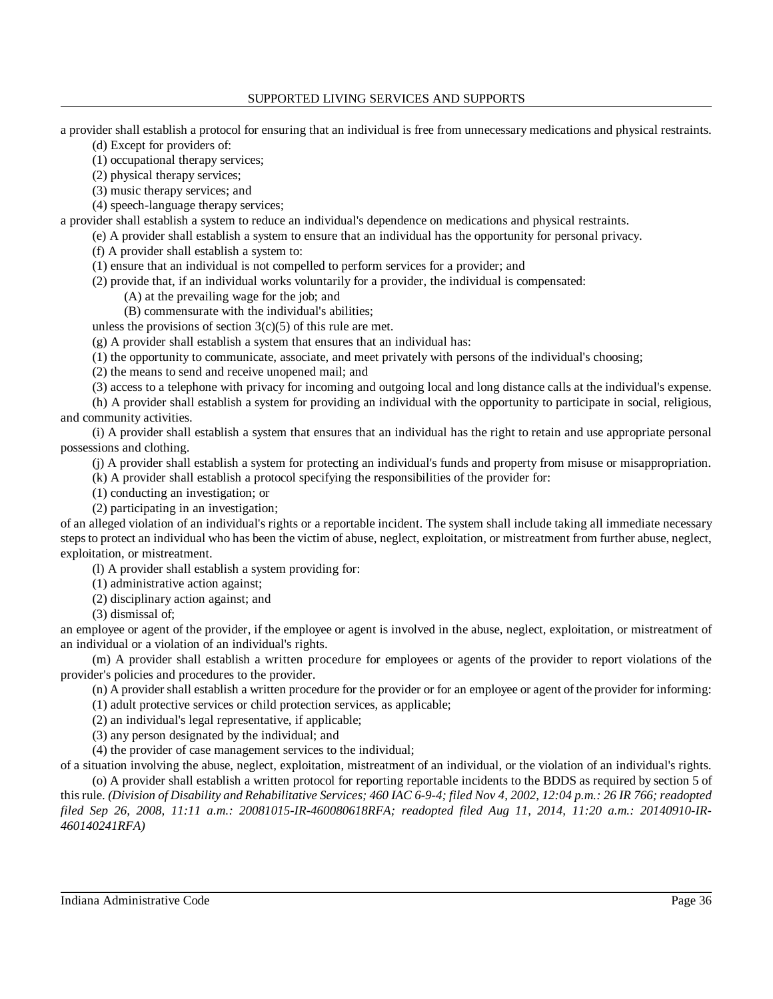### SUPPORTED LIVING SERVICES AND SUPPORTS

a provider shall establish a protocol for ensuring that an individual is free from unnecessary medications and physical restraints.

(d) Except for providers of:

(1) occupational therapy services;

(2) physical therapy services;

(3) music therapy services; and

(4) speech-language therapy services;

a provider shall establish a system to reduce an individual's dependence on medications and physical restraints.

(e) A provider shall establish a system to ensure that an individual has the opportunity for personal privacy.

(f) A provider shall establish a system to:

(1) ensure that an individual is not compelled to perform services for a provider; and

(2) provide that, if an individual works voluntarily for a provider, the individual is compensated:

(A) at the prevailing wage for the job; and

(B) commensurate with the individual's abilities;

unless the provisions of section  $3(c)(5)$  of this rule are met.

(g) A provider shall establish a system that ensures that an individual has:

(1) the opportunity to communicate, associate, and meet privately with persons of the individual's choosing;

(2) the means to send and receive unopened mail; and

(3) access to a telephone with privacy for incoming and outgoing local and long distance calls at the individual's expense.

 (h) A provider shall establish a system for providing an individual with the opportunity to participate in social, religious, and community activities.

 (i) A provider shall establish a system that ensures that an individual has the right to retain and use appropriate personal possessions and clothing.

(j) A provider shall establish a system for protecting an individual's funds and property from misuse or misappropriation.

(k) A provider shall establish a protocol specifying the responsibilities of the provider for:

(1) conducting an investigation; or

(2) participating in an investigation;

 of an alleged violation of an individual's rights or a reportable incident. The system shall include taking all immediate necessary steps to protect an individual who has been the victim of abuse, neglect, exploitation, or mistreatment from further abuse, neglect, exploitation, or mistreatment.

(l) A provider shall establish a system providing for:

(1) administrative action against;

(2) disciplinary action against; and

(3) dismissal of;

 an employee or agent of the provider, if the employee or agent is involved in the abuse, neglect, exploitation, or mistreatment of an individual or a violation of an individual's rights.

 (m) A provider shall establish a written procedure for employees or agents of the provider to report violations of the provider's policies and procedures to the provider.

(n) A provider shall establish a written procedure for the provider or for an employee or agent of the provider for informing:

(1) adult protective services or child protection services, as applicable;

(2) an individual's legal representative, if applicable;

(3) any person designated by the individual; and

(4) the provider of case management services to the individual;

 of a situation involving the abuse, neglect, exploitation, mistreatment of an individual, or the violation of an individual's rights. (o) A provider shall establish a written protocol for reporting reportable incidents to the BDDS as required by section 5 of this rule. *(Division of Disability and Rehabilitative Services; 460 IAC 6-9-4; filed Nov 4, 2002, 12:04 p.m.: 26 IR 766; readopted filed Sep 26, 2008, 11:11 a.m.: 20081015-IR-460080618RFA; readopted filed Aug 11, 2014, 11:20 a.m.: 20140910-IR-460140241RFA)*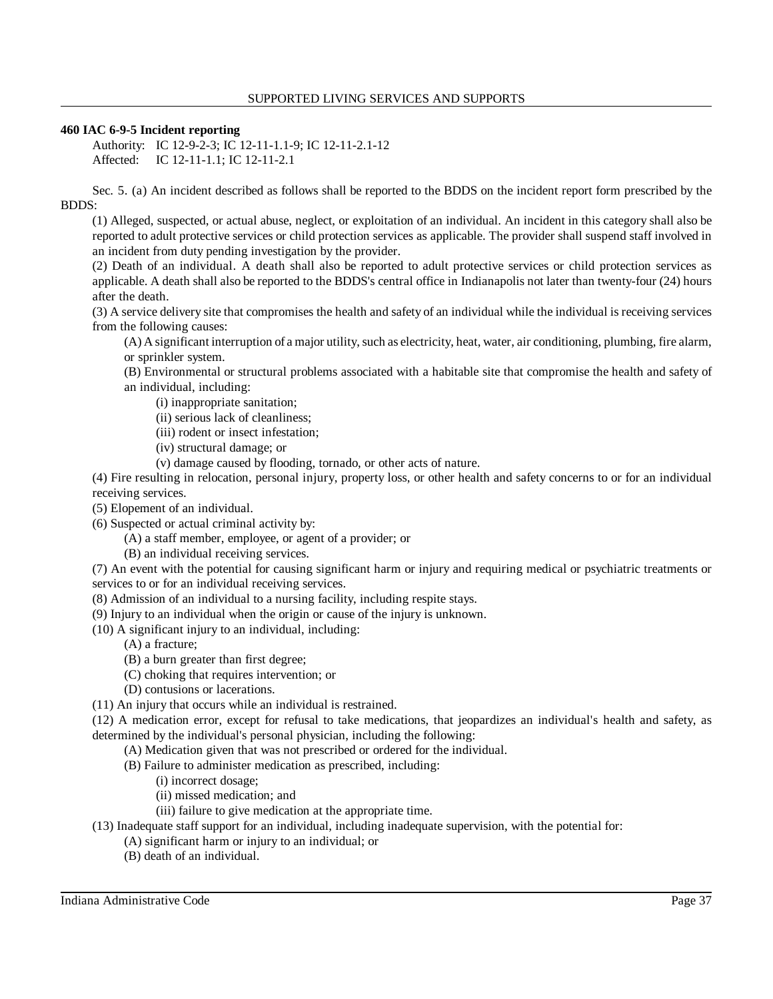## **460 IAC 6-9-5 Incident reporting**

Authority: IC 12-9-2-3; IC 12-11-1.1-9; IC 12-11-2.1-12 Affected: IC 12-11-1.1; IC 12-11-2.1

 Sec. 5. (a) An incident described as follows shall be reported to the BDDS on the incident report form prescribed by the BDDS:

 (1) Alleged, suspected, or actual abuse, neglect, or exploitation of an individual. An incident in this category shall also be reported to adult protective services or child protection services as applicable. The provider shall suspend staff involved in an incident from duty pending investigation by the provider.

 (2) Death of an individual. A death shall also be reported to adult protective services or child protection services as applicable. A death shall also be reported to the BDDS's central office in Indianapolis not later than twenty-four (24) hours after the death.

 (3) A service delivery site that compromises the health and safety of an individual while the individual is receiving services from the following causes:

 (A) A significant interruption of a major utility, such as electricity, heat, water, air conditioning, plumbing, fire alarm, or sprinkler system.

 (B) Environmental or structural problems associated with a habitable site that compromise the health and safety of an individual, including:

(i) inappropriate sanitation;

(ii) serious lack of cleanliness;

(iii) rodent or insect infestation;

(iv) structural damage; or

(v) damage caused by flooding, tornado, or other acts of nature.

 (4) Fire resulting in relocation, personal injury, property loss, or other health and safety concerns to or for an individual receiving services.

(5) Elopement of an individual.

(6) Suspected or actual criminal activity by:

(A) a staff member, employee, or agent of a provider; or

(B) an individual receiving services.

 (7) An event with the potential for causing significant harm or injury and requiring medical or psychiatric treatments or services to or for an individual receiving services.

- (8) Admission of an individual to a nursing facility, including respite stays.
- (9) Injury to an individual when the origin or cause of the injury is unknown.
- (10) A significant injury to an individual, including:
	- (A) a fracture;
	- (B) a burn greater than first degree;
	- (C) choking that requires intervention; or
	- (D) contusions or lacerations.
- (11) An injury that occurs while an individual is restrained.

 (12) A medication error, except for refusal to take medications, that jeopardizes an individual's health and safety, as determined by the individual's personal physician, including the following:

- (A) Medication given that was not prescribed or ordered for the individual.
- (B) Failure to administer medication as prescribed, including:
	- (i) incorrect dosage;
	- (ii) missed medication; and
	- (iii) failure to give medication at the appropriate time.
- (13) Inadequate staff support for an individual, including inadequate supervision, with the potential for:
	- (A) significant harm or injury to an individual; or
	- (B) death of an individual.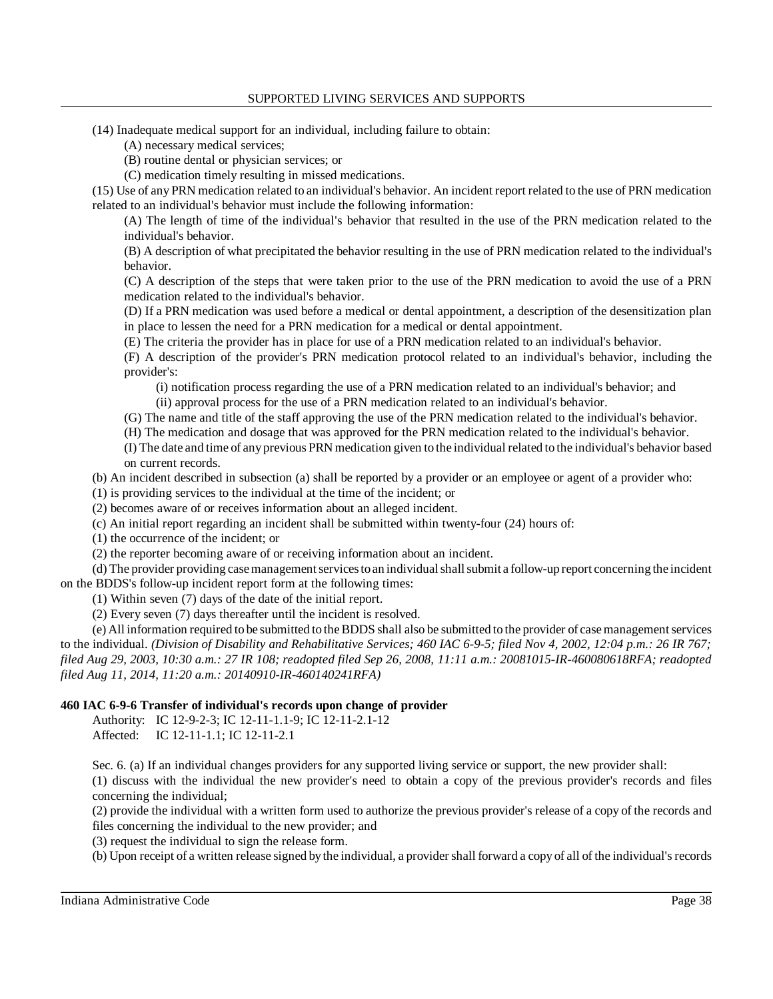- (14) Inadequate medical support for an individual, including failure to obtain:
	- (A) necessary medical services;
	- (B) routine dental or physician services; or
	- (C) medication timely resulting in missed medications.

 (15) Use of any PRN medication related to an individual's behavior. An incident report related to the use of PRN medication related to an individual's behavior must include the following information:

 (A) The length of time of the individual's behavior that resulted in the use of the PRN medication related to the individual's behavior.

 (B) A description of what precipitated the behavior resulting in the use of PRN medication related to the individual's behavior.

 (C) A description of the steps that were taken prior to the use of the PRN medication to avoid the use of a PRN medication related to the individual's behavior.

 (D) If a PRN medication was used before a medical or dental appointment, a description of the desensitization plan in place to lessen the need for a PRN medication for a medical or dental appointment.

(E) The criteria the provider has in place for use of a PRN medication related to an individual's behavior.

 (F) A description of the provider's PRN medication protocol related to an individual's behavior, including the provider's:

(i) notification process regarding the use of a PRN medication related to an individual's behavior; and

(ii) approval process for the use of a PRN medication related to an individual's behavior.

(G) The name and title of the staff approving the use of the PRN medication related to the individual's behavior.

(H) The medication and dosage that was approved for the PRN medication related to the individual's behavior.

 (I) The date and time of anyprevious PRN medication given to the individual related to the individual's behavior based on current records.

(b) An incident described in subsection (a) shall be reported by a provider or an employee or agent of a provider who:

(1) is providing services to the individual at the time of the incident; or

(2) becomes aware of or receives information about an alleged incident.

(c) An initial report regarding an incident shall be submitted within twenty-four (24) hours of:

(1) the occurrence of the incident; or

(2) the reporter becoming aware of or receiving information about an incident.

 (d) The provider providing case management services toan individual shall submit a follow-up report concerning the incident on the BDDS's follow-up incident report form at the following times:

(1) Within seven (7) days of the date of the initial report.

(2) Every seven (7) days thereafter until the incident is resolved.

 (e) All information required to be submitted to the BDDS shall also be submitted to the provider of case management services to the individual. *(Division of Disability and Rehabilitative Services; 460 IAC 6-9-5; filed Nov 4, 2002, 12:04 p.m.: 26 IR 767; filed Aug 29, 2003, 10:30 a.m.: 27 IR 108; readopted filed Sep 26, 2008, 11:11 a.m.: 20081015-IR-460080618RFA; readopted filed Aug 11, 2014, 11:20 a.m.: 20140910-IR-460140241RFA)* 

# **460 IAC 6-9-6 Transfer of individual's records upon change of provider**

Authority: IC 12-9-2-3; IC 12-11-1.1-9; IC 12-11-2.1-12 Affected: IC 12-11-1.1; IC 12-11-2.1

Sec. 6. (a) If an individual changes providers for any supported living service or support, the new provider shall:

 (1) discuss with the individual the new provider's need to obtain a copy of the previous provider's records and files concerning the individual;

 (2) provide the individual with a written form used to authorize the previous provider's release of a copy of the records and files concerning the individual to the new provider; and

(3) request the individual to sign the release form.

(b) Upon receipt of a written release signed bythe individual, a provider shall forward a copy of all of the individual's records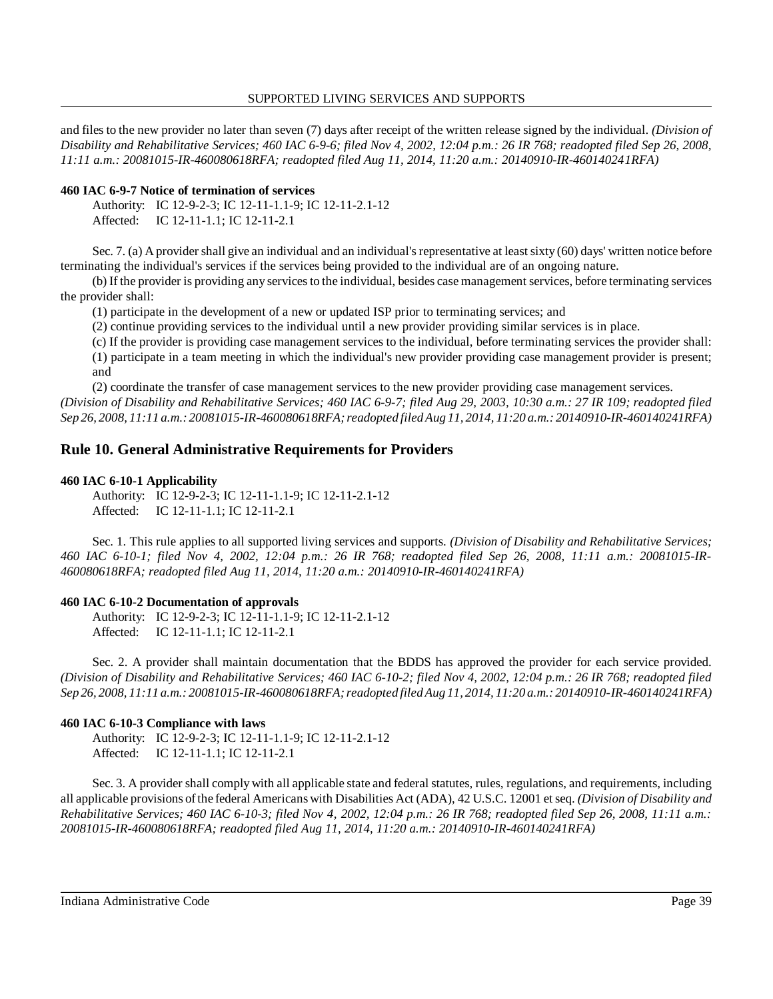and files to the new provider no later than seven (7) days after receipt of the written release signed by the individual. *(Division of Disability and Rehabilitative Services; 460 IAC 6-9-6; filed Nov 4, 2002, 12:04 p.m.: 26 IR 768; readopted filed Sep 26, 2008, 11:11 a.m.: 20081015-IR-460080618RFA; readopted filed Aug 11, 2014, 11:20 a.m.: 20140910-IR-460140241RFA)* 

## **460 IAC 6-9-7 Notice of termination of services**

| Authority: IC 12-9-2-3; IC 12-11-1.1-9; IC 12-11-2.1-12 |
|---------------------------------------------------------|
| Affected: IC 12-11-1.1; IC 12-11-2.1                    |

 Sec. 7. (a) A provider shall give an individual and an individual's representative at least sixty (60) days' written notice before terminating the individual's services if the services being provided to the individual are of an ongoing nature.

 (b) If the provider is providing any services to the individual, besides case management services, before terminating services the provider shall:

(1) participate in the development of a new or updated ISP prior to terminating services; and

(2) continue providing services to the individual until a new provider providing similar services is in place.

 (c) If the provider is providing case management services to the individual, before terminating services the provider shall: (1) participate in a team meeting in which the individual's new provider providing case management provider is present; and

 (2) coordinate the transfer of case management services to the new provider providing case management services.  *(Division of Disability and Rehabilitative Services; 460 IAC 6-9-7; filed Aug 29, 2003, 10:30 a.m.: 27 IR 109; readopted filed Sep 26, 2008, 11:11 a.m.: 20081015-IR-460080618RFA; readopted filed Aug 11, 2014, 11:20 a.m.: 20140910-IR-460140241RFA)* 

# **Rule 10. General Administrative Requirements for Providers**

# **460 IAC 6-10-1 Applicability**

Authority: IC 12-9-2-3; IC 12-11-1.1-9; IC 12-11-2.1-12 Affected: IC 12-11-1.1; IC 12-11-2.1

 Sec. 1. This rule applies to all supported living services and supports. *(Division of Disability and Rehabilitative Services; 460 IAC 6-10-1; filed Nov 4, 2002, 12:04 p.m.: 26 IR 768; readopted filed Sep 26, 2008, 11:11 a.m.: 20081015-IR- 460080618RFA; readopted filed Aug 11, 2014, 11:20 a.m.: 20140910-IR-460140241RFA)* 

# **460 IAC 6-10-2 Documentation of approvals**

Authority: IC 12-9-2-3; IC 12-11-1.1-9; IC 12-11-2.1-12 Affected: IC 12-11-1.1; IC 12-11-2.1

 Sec. 2. A provider shall maintain documentation that the BDDS has approved the provider for each service provided.  *(Division of Disability and Rehabilitative Services; 460 IAC 6-10-2; filed Nov 4, 2002, 12:04 p.m.: 26 IR 768; readopted filed Sep 26, 2008, 11:11 a.m.: 20081015-IR-460080618RFA; readopted filed Aug 11, 2014, 11:20 a.m.: 20140910-IR-460140241RFA)* 

# **460 IAC 6-10-3 Compliance with laws**

Authority: IC 12-9-2-3; IC 12-11-1.1-9; IC 12-11-2.1-12 Affected: IC 12-11-1.1; IC 12-11-2.1

 Sec. 3. A provider shall comply with all applicable state and federal statutes, rules, regulations, and requirements, including all applicable provisions of the federal Americans with Disabilities Act (ADA), 42 U.S.C. 12001 et seq. *(Division of Disability and Rehabilitative Services; 460 IAC 6-10-3; filed Nov 4, 2002, 12:04 p.m.: 26 IR 768; readopted filed Sep 26, 2008, 11:11 a.m.: 20081015-IR-460080618RFA; readopted filed Aug 11, 2014, 11:20 a.m.: 20140910-IR-460140241RFA)*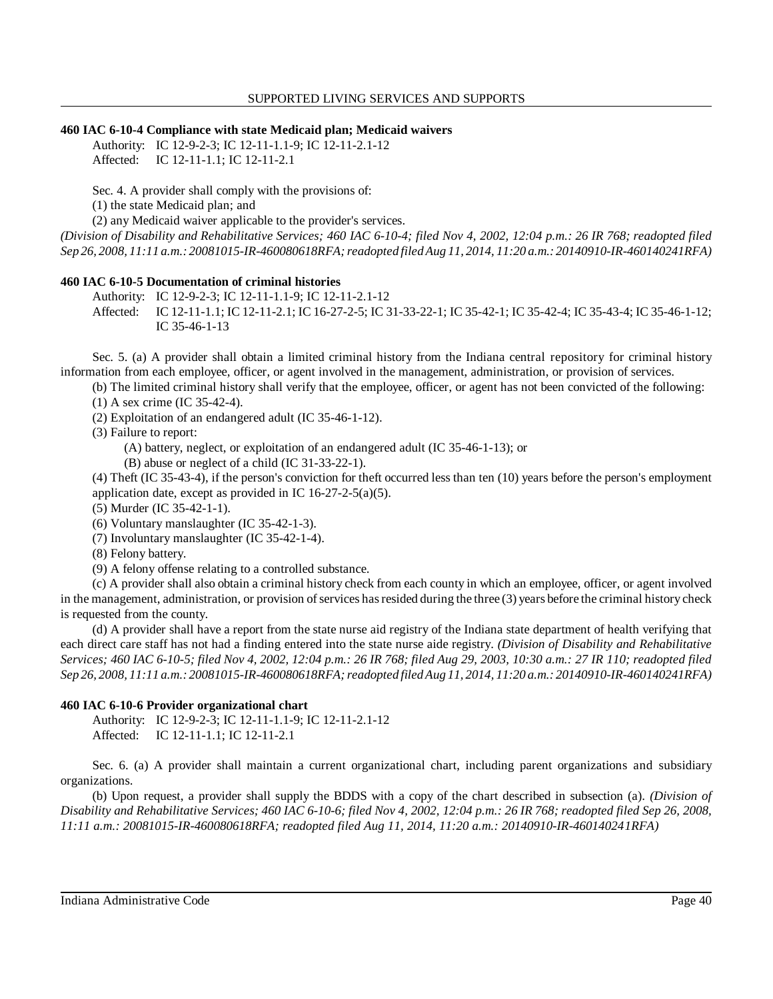#### **460 IAC 6-10-4 Compliance with state Medicaid plan; Medicaid waivers**

Authority: IC 12-9-2-3; IC 12-11-1.1-9; IC 12-11-2.1-12 Affected: IC 12-11-1.1; IC 12-11-2.1

Sec. 4. A provider shall comply with the provisions of:

(1) the state Medicaid plan; and

(2) any Medicaid waiver applicable to the provider's services.

 *(Division of Disability and Rehabilitative Services; 460 IAC 6-10-4; filed Nov 4, 2002, 12:04 p.m.: 26 IR 768; readopted filed Sep 26, 2008, 11:11 a.m.: 20081015-IR-460080618RFA; readopted filed Aug 11, 2014, 11:20 a.m.: 20140910-IR-460140241RFA)* 

## **460 IAC 6-10-5 Documentation of criminal histories**

Authority: IC 12-9-2-3; IC 12-11-1.1-9; IC 12-11-2.1-12

 Affected: IC 12-11-1.1; IC 12-11-2.1; IC 16-27-2-5; IC 31-33-22-1; IC 35-42-1; IC 35-42-4; IC 35-43-4; IC 35-46-1-12; IC 35-46-1-13

 Sec. 5. (a) A provider shall obtain a limited criminal history from the Indiana central repository for criminal history information from each employee, officer, or agent involved in the management, administration, or provision of services.

(b) The limited criminal history shall verify that the employee, officer, or agent has not been convicted of the following:

(1) A sex crime (IC 35-42-4).

(2) Exploitation of an endangered adult (IC 35-46-1-12).

(3) Failure to report:

(A) battery, neglect, or exploitation of an endangered adult (IC 35-46-1-13); or

(B) abuse or neglect of a child (IC 31-33-22-1).

 (4) Theft (IC 35-43-4), if the person's conviction for theft occurred less than ten (10) years before the person's employment application date, except as provided in IC 16-27-2-5(a)(5).

(5) Murder (IC 35-42-1-1).

(6) Voluntary manslaughter (IC 35-42-1-3).

(7) Involuntary manslaughter (IC 35-42-1-4).

(8) Felony battery.

(9) A felony offense relating to a controlled substance.

 (c) A provider shall also obtain a criminal history check from each county in which an employee, officer, or agent involved in the management, administration, or provision of services has resided during the three (3) years before the criminal history check is requested from the county.

 (d) A provider shall have a report from the state nurse aid registry of the Indiana state department of health verifying that each direct care staff has not had a finding entered into the state nurse aide registry. *(Division of Disability and Rehabilitative Services; 460 IAC 6-10-5; filed Nov 4, 2002, 12:04 p.m.: 26 IR 768; filed Aug 29, 2003, 10:30 a.m.: 27 IR 110; readopted filed Sep 26, 2008, 11:11 a.m.: 20081015-IR-460080618RFA; readopted filed Aug 11, 2014, 11:20 a.m.: 20140910-IR-460140241RFA)* 

## **460 IAC 6-10-6 Provider organizational chart**

Authority: IC 12-9-2-3; IC 12-11-1.1-9; IC 12-11-2.1-12 Affected: IC 12-11-1.1; IC 12-11-2.1

 Sec. 6. (a) A provider shall maintain a current organizational chart, including parent organizations and subsidiary organizations.

 (b) Upon request, a provider shall supply the BDDS with a copy of the chart described in subsection (a). *(Division of Disability and Rehabilitative Services; 460 IAC 6-10-6; filed Nov 4, 2002, 12:04 p.m.: 26 IR 768; readopted filed Sep 26, 2008, 11:11 a.m.: 20081015-IR-460080618RFA; readopted filed Aug 11, 2014, 11:20 a.m.: 20140910-IR-460140241RFA)*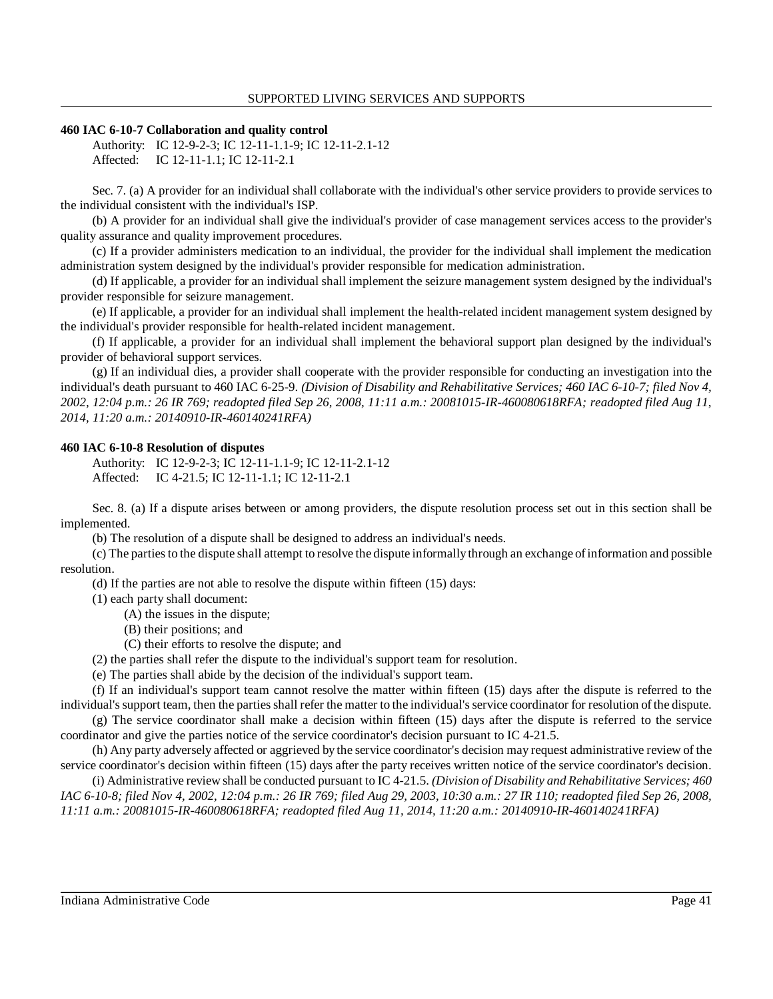#### **460 IAC 6-10-7 Collaboration and quality control**

Authority: IC 12-9-2-3; IC 12-11-1.1-9; IC 12-11-2.1-12 Affected: IC 12-11-1.1; IC 12-11-2.1

 Sec. 7. (a) A provider for an individual shall collaborate with the individual's other service providers to provide services to the individual consistent with the individual's ISP.

 (b) A provider for an individual shall give the individual's provider of case management services access to the provider's quality assurance and quality improvement procedures.

 (c) If a provider administers medication to an individual, the provider for the individual shall implement the medication administration system designed by the individual's provider responsible for medication administration.

 (d) If applicable, a provider for an individual shall implement the seizure management system designed by the individual's provider responsible for seizure management.

 (e) If applicable, a provider for an individual shall implement the health-related incident management system designed by the individual's provider responsible for health-related incident management.

 (f) If applicable, a provider for an individual shall implement the behavioral support plan designed by the individual's provider of behavioral support services.

 (g) If an individual dies, a provider shall cooperate with the provider responsible for conducting an investigation into the individual's death pursuant to 460 IAC 6-25-9. *(Division of Disability and Rehabilitative Services; 460 IAC 6-10-7; filed Nov 4, 2002, 12:04 p.m.: 26 IR 769; readopted filed Sep 26, 2008, 11:11 a.m.: 20081015-IR-460080618RFA; readopted filed Aug 11, 2014, 11:20 a.m.: 20140910-IR-460140241RFA)* 

#### **460 IAC 6-10-8 Resolution of disputes**

Authority: IC 12-9-2-3; IC 12-11-1.1-9; IC 12-11-2.1-12 Affected: IC 4-21.5; IC 12-11-1.1; IC 12-11-2.1

 Sec. 8. (a) If a dispute arises between or among providers, the dispute resolution process set out in this section shall be implemented.

(b) The resolution of a dispute shall be designed to address an individual's needs.

 (c) The parties to the dispute shall attempt to resolve the dispute informallythrough an exchange of information and possible resolution.

(d) If the parties are not able to resolve the dispute within fifteen (15) days:

(1) each party shall document:

(A) the issues in the dispute;

(B) their positions; and

(C) their efforts to resolve the dispute; and

(2) the parties shall refer the dispute to the individual's support team for resolution.

(e) The parties shall abide by the decision of the individual's support team.

 (f) If an individual's support team cannot resolve the matter within fifteen (15) days after the dispute is referred to the individual's support team, then the parties shall refer the matter to the individual's service coordinator for resolution of the dispute. (g) The service coordinator shall make a decision within fifteen (15) days after the dispute is referred to the service

coordinator and give the parties notice of the service coordinator's decision pursuant to IC 4-21.5.

 (h) Any party adversely affected or aggrieved by the service coordinator's decision may request administrative review of the service coordinator's decision within fifteen (15) days after the party receives written notice of the service coordinator's decision.

 (i) Administrative review shall be conducted pursuant to IC 4-21.5. *(Division of Disability and Rehabilitative Services; 460 IAC 6-10-8; filed Nov 4, 2002, 12:04 p.m.: 26 IR 769; filed Aug 29, 2003, 10:30 a.m.: 27 IR 110; readopted filed Sep 26, 2008, 11:11 a.m.: 20081015-IR-460080618RFA; readopted filed Aug 11, 2014, 11:20 a.m.: 20140910-IR-460140241RFA)*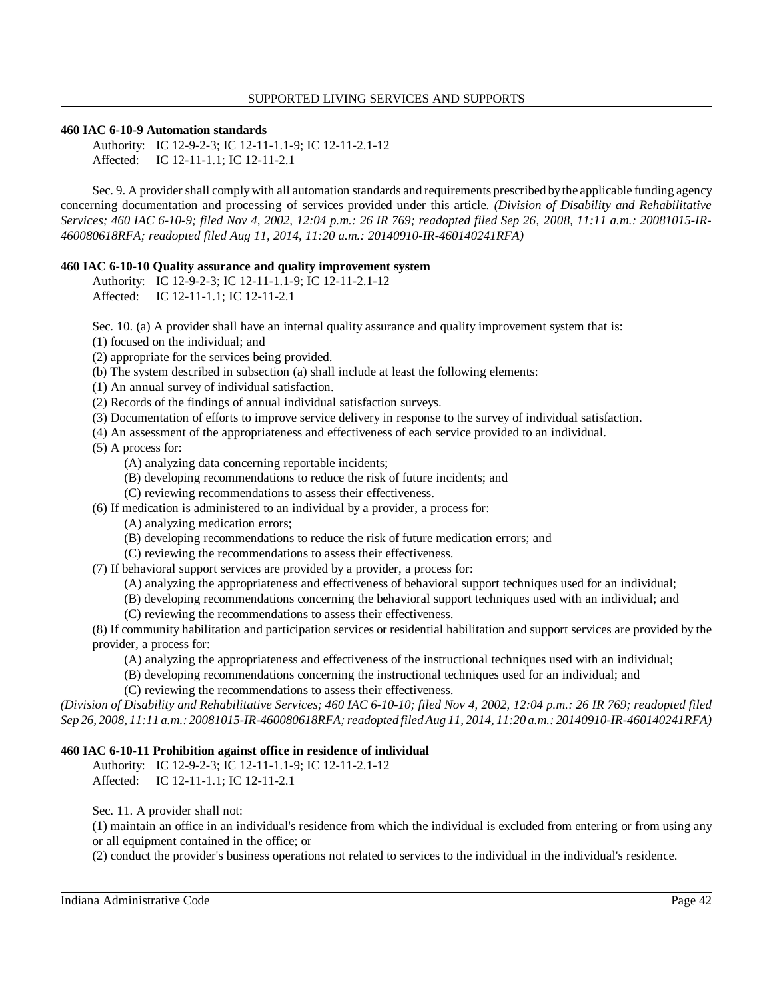#### **460 IAC 6-10-9 Automation standards**

Authority: IC 12-9-2-3; IC 12-11-1.1-9; IC 12-11-2.1-12 Affected: IC 12-11-1.1; IC 12-11-2.1

 Sec. 9. A provider shall comply with all automation standards and requirements prescribed bythe applicable funding agency concerning documentation and processing of services provided under this article. *(Division of Disability and Rehabilitative Services; 460 IAC 6-10-9; filed Nov 4, 2002, 12:04 p.m.: 26 IR 769; readopted filed Sep 26, 2008, 11:11 a.m.: 20081015-IR- 460080618RFA; readopted filed Aug 11, 2014, 11:20 a.m.: 20140910-IR-460140241RFA)* 

## **460 IAC 6-10-10 Quality assurance and quality improvement system**

Authority: IC 12-9-2-3; IC 12-11-1.1-9; IC 12-11-2.1-12 Affected: IC 12-11-1.1; IC 12-11-2.1

Sec. 10. (a) A provider shall have an internal quality assurance and quality improvement system that is:

(1) focused on the individual; and

(2) appropriate for the services being provided.

- (b) The system described in subsection (a) shall include at least the following elements:
- (1) An annual survey of individual satisfaction.
- (2) Records of the findings of annual individual satisfaction surveys.
- (3) Documentation of efforts to improve service delivery in response to the survey of individual satisfaction.
- (4) An assessment of the appropriateness and effectiveness of each service provided to an individual.

(5) A process for:

- (A) analyzing data concerning reportable incidents;
- (B) developing recommendations to reduce the risk of future incidents; and
- (C) reviewing recommendations to assess their effectiveness.
- (6) If medication is administered to an individual by a provider, a process for:
	- (A) analyzing medication errors;
	- (B) developing recommendations to reduce the risk of future medication errors; and
	- (C) reviewing the recommendations to assess their effectiveness.

(7) If behavioral support services are provided by a provider, a process for:

- (A) analyzing the appropriateness and effectiveness of behavioral support techniques used for an individual;
- (B) developing recommendations concerning the behavioral support techniques used with an individual; and
- (C) reviewing the recommendations to assess their effectiveness.

 (8) If community habilitation and participation services or residential habilitation and support services are provided by the provider, a process for:

- (A) analyzing the appropriateness and effectiveness of the instructional techniques used with an individual;
- (B) developing recommendations concerning the instructional techniques used for an individual; and

(C) reviewing the recommendations to assess their effectiveness.

 *(Division of Disability and Rehabilitative Services; 460 IAC 6-10-10; filed Nov 4, 2002, 12:04 p.m.: 26 IR 769; readopted filed Sep 26, 2008, 11:11 a.m.: 20081015-IR-460080618RFA; readopted filed Aug 11, 2014, 11:20 a.m.: 20140910-IR-460140241RFA)* 

## **460 IAC 6-10-11 Prohibition against office in residence of individual**

Authority: IC 12-9-2-3; IC 12-11-1.1-9; IC 12-11-2.1-12 Affected: IC 12-11-1.1; IC 12-11-2.1

Sec. 11. A provider shall not:

 (1) maintain an office in an individual's residence from which the individual is excluded from entering or from using any or all equipment contained in the office; or

(2) conduct the provider's business operations not related to services to the individual in the individual's residence.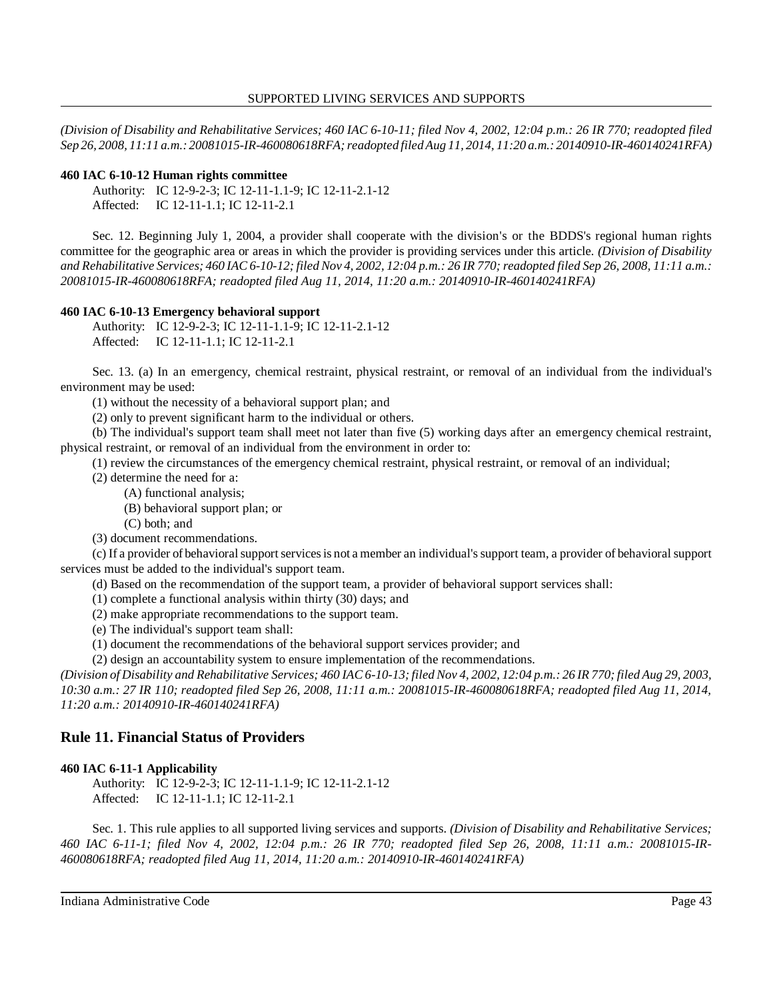*(Division of Disability and Rehabilitative Services; 460 IAC 6-10-11; filed Nov 4, 2002, 12:04 p.m.: 26 IR 770; readopted filed Sep 26, 2008, 11:11 a.m.: 20081015-IR-460080618RFA; readopted filed Aug 11, 2014, 11:20 a.m.: 20140910-IR-460140241RFA)* 

## **460 IAC 6-10-12 Human rights committee**

Authority: IC 12-9-2-3; IC 12-11-1.1-9; IC 12-11-2.1-12 Affected: IC 12-11-1.1; IC 12-11-2.1

 Sec. 12. Beginning July 1, 2004, a provider shall cooperate with the division's or the BDDS's regional human rights committee for the geographic area or areas in which the provider is providing services under this article. *(Division of Disability and Rehabilitative Services; 460 IAC 6-10-12; filed Nov 4, 2002, 12:04 p.m.: 26 IR 770; readopted filed Sep 26, 2008, 11:11 a.m.: 20081015-IR-460080618RFA; readopted filed Aug 11, 2014, 11:20 a.m.: 20140910-IR-460140241RFA)* 

## **460 IAC 6-10-13 Emergency behavioral support**

Authority: IC 12-9-2-3; IC 12-11-1.1-9; IC 12-11-2.1-12 Affected: IC 12-11-1.1; IC 12-11-2.1

 Sec. 13. (a) In an emergency, chemical restraint, physical restraint, or removal of an individual from the individual's environment may be used:

(1) without the necessity of a behavioral support plan; and

(2) only to prevent significant harm to the individual or others.

 (b) The individual's support team shall meet not later than five (5) working days after an emergency chemical restraint, physical restraint, or removal of an individual from the environment in order to:

(1) review the circumstances of the emergency chemical restraint, physical restraint, or removal of an individual;

(2) determine the need for a:

(A) functional analysis;

(B) behavioral support plan; or

(C) both; and

(3) document recommendations.

 (c) If a provider of behavioral support services is not a member an individual's support team, a provider of behavioral support services must be added to the individual's support team.

(d) Based on the recommendation of the support team, a provider of behavioral support services shall:

(1) complete a functional analysis within thirty (30) days; and

(2) make appropriate recommendations to the support team.

(e) The individual's support team shall:

(1) document the recommendations of the behavioral support services provider; and

(2) design an accountability system to ensure implementation of the recommendations.

 *(Division of Disability and Rehabilitative Services; 460 IAC 6-10-13; filed Nov 4, 2002, 12:04 p.m.: 26 IR 770; filed Aug 29, 2003, 10:30 a.m.: 27 IR 110; readopted filed Sep 26, 2008, 11:11 a.m.: 20081015-IR-460080618RFA; readopted filed Aug 11, 2014, 11:20 a.m.: 20140910-IR-460140241RFA)* 

# **Rule 11. Financial Status of Providers**

# **460 IAC 6-11-1 Applicability**

Authority: IC 12-9-2-3; IC 12-11-1.1-9; IC 12-11-2.1-12 Affected: IC 12-11-1.1; IC 12-11-2.1

 Sec. 1. This rule applies to all supported living services and supports. *(Division of Disability and Rehabilitative Services; 460 IAC 6-11-1; filed Nov 4, 2002, 12:04 p.m.: 26 IR 770; readopted filed Sep 26, 2008, 11:11 a.m.: 20081015-IR- 460080618RFA; readopted filed Aug 11, 2014, 11:20 a.m.: 20140910-IR-460140241RFA)*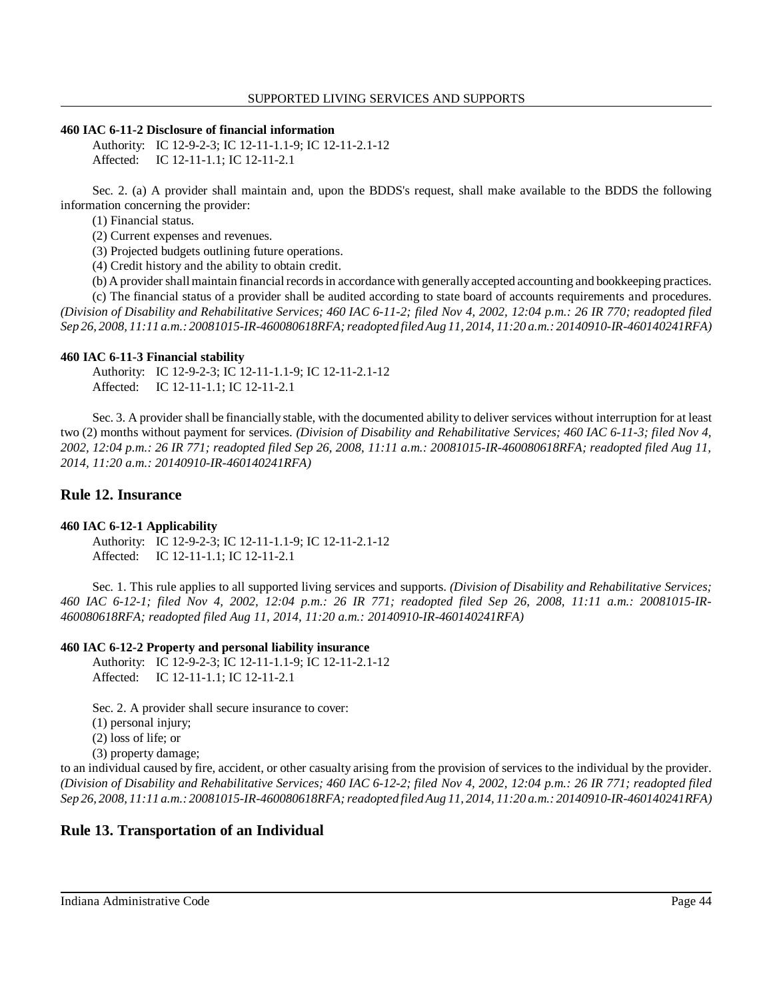## **460 IAC 6-11-2 Disclosure of financial information**

Authority: IC 12-9-2-3; IC 12-11-1.1-9; IC 12-11-2.1-12 Affected: IC 12-11-1.1; IC 12-11-2.1

 Sec. 2. (a) A provider shall maintain and, upon the BDDS's request, shall make available to the BDDS the following information concerning the provider:

(1) Financial status.

(2) Current expenses and revenues.

(3) Projected budgets outlining future operations.

(4) Credit history and the ability to obtain credit.

(b) A provider shall maintain financial records in accordance with generallyaccepted accounting and bookkeeping practices.

 (c) The financial status of a provider shall be audited according to state board of accounts requirements and procedures.  *(Division of Disability and Rehabilitative Services; 460 IAC 6-11-2; filed Nov 4, 2002, 12:04 p.m.: 26 IR 770; readopted filed Sep 26, 2008, 11:11 a.m.: 20081015-IR-460080618RFA; readopted filed Aug 11, 2014, 11:20 a.m.: 20140910-IR-460140241RFA)* 

#### **460 IAC 6-11-3 Financial stability**

Authority: IC 12-9-2-3; IC 12-11-1.1-9; IC 12-11-2.1-12 Affected: IC 12-11-1.1; IC 12-11-2.1

 Sec. 3. A provider shall be financially stable, with the documented ability to deliver services without interruption for at least two (2) months without payment for services. *(Division of Disability and Rehabilitative Services; 460 IAC 6-11-3; filed Nov 4, 2002, 12:04 p.m.: 26 IR 771; readopted filed Sep 26, 2008, 11:11 a.m.: 20081015-IR-460080618RFA; readopted filed Aug 11, 2014, 11:20 a.m.: 20140910-IR-460140241RFA)* 

# **Rule 12. Insurance**

## **460 IAC 6-12-1 Applicability**

Authority: IC 12-9-2-3; IC 12-11-1.1-9; IC 12-11-2.1-12 Affected: IC 12-11-1.1; IC 12-11-2.1

 Sec. 1. This rule applies to all supported living services and supports. *(Division of Disability and Rehabilitative Services; 460 IAC 6-12-1; filed Nov 4, 2002, 12:04 p.m.: 26 IR 771; readopted filed Sep 26, 2008, 11:11 a.m.: 20081015-IR- 460080618RFA; readopted filed Aug 11, 2014, 11:20 a.m.: 20140910-IR-460140241RFA)* 

#### **460 IAC 6-12-2 Property and personal liability insurance**

Authority: IC 12-9-2-3; IC 12-11-1.1-9; IC 12-11-2.1-12 Affected: IC 12-11-1.1; IC 12-11-2.1

Sec. 2. A provider shall secure insurance to cover:

(1) personal injury;

(2) loss of life; or

(3) property damage;

 to an individual caused by fire, accident, or other casualty arising from the provision of services to the individual by the provider.  *(Division of Disability and Rehabilitative Services; 460 IAC 6-12-2; filed Nov 4, 2002, 12:04 p.m.: 26 IR 771; readopted filed Sep 26, 2008, 11:11 a.m.: 20081015-IR-460080618RFA; readopted filed Aug 11, 2014, 11:20 a.m.: 20140910-IR-460140241RFA)* 

# **Rule 13. Transportation of an Individual**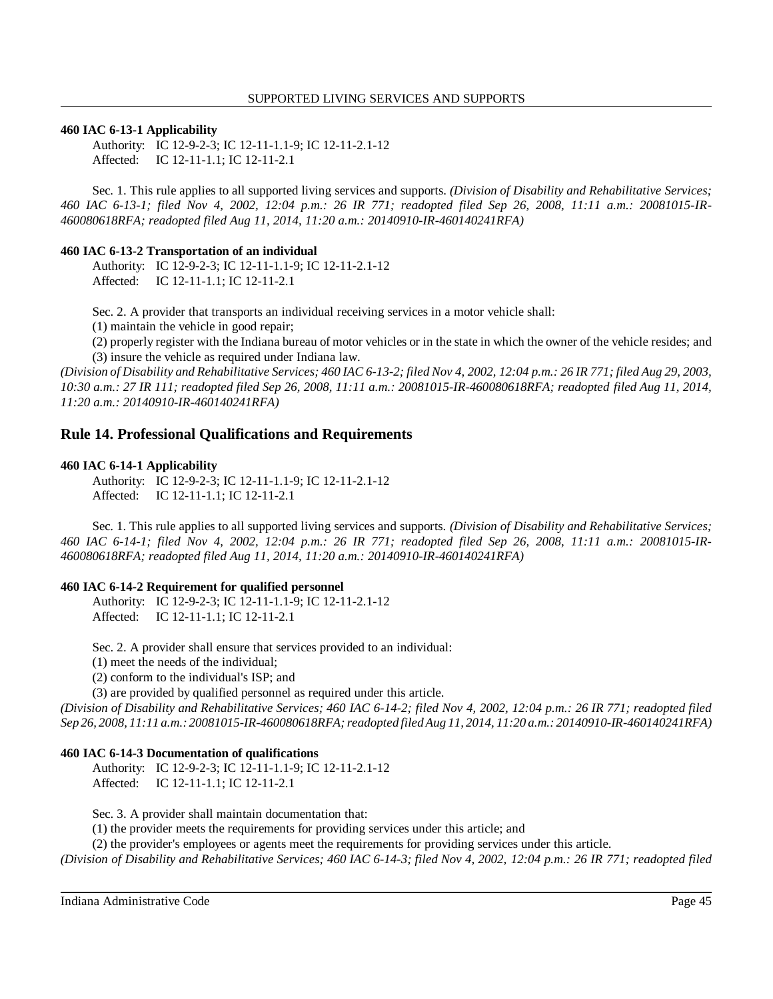#### **460 IAC 6-13-1 Applicability**

Authority: IC 12-9-2-3; IC 12-11-1.1-9; IC 12-11-2.1-12 Affected: IC 12-11-1.1; IC 12-11-2.1

 Sec. 1. This rule applies to all supported living services and supports. *(Division of Disability and Rehabilitative Services; 460 IAC 6-13-1; filed Nov 4, 2002, 12:04 p.m.: 26 IR 771; readopted filed Sep 26, 2008, 11:11 a.m.: 20081015-IR- 460080618RFA; readopted filed Aug 11, 2014, 11:20 a.m.: 20140910-IR-460140241RFA)* 

#### **460 IAC 6-13-2 Transportation of an individual**

Authority: IC 12-9-2-3; IC 12-11-1.1-9; IC 12-11-2.1-12 Affected: IC 12-11-1.1; IC 12-11-2.1

Sec. 2. A provider that transports an individual receiving services in a motor vehicle shall:

(1) maintain the vehicle in good repair;

 (2) properly register with the Indiana bureau of motor vehicles or in the state in which the owner of the vehicle resides; and (3) insure the vehicle as required under Indiana law.

 *(Division of Disability and Rehabilitative Services; 460 IAC 6-13-2; filed Nov 4, 2002, 12:04 p.m.: 26 IR 771; filed Aug 29, 2003, 10:30 a.m.: 27 IR 111; readopted filed Sep 26, 2008, 11:11 a.m.: 20081015-IR-460080618RFA; readopted filed Aug 11, 2014, 11:20 a.m.: 20140910-IR-460140241RFA)* 

# **Rule 14. Professional Qualifications and Requirements**

#### **460 IAC 6-14-1 Applicability**

Authority: IC 12-9-2-3; IC 12-11-1.1-9; IC 12-11-2.1-12 Affected: IC 12-11-1.1; IC 12-11-2.1

 Sec. 1. This rule applies to all supported living services and supports. *(Division of Disability and Rehabilitative Services; 460 IAC 6-14-1; filed Nov 4, 2002, 12:04 p.m.: 26 IR 771; readopted filed Sep 26, 2008, 11:11 a.m.: 20081015-IR- 460080618RFA; readopted filed Aug 11, 2014, 11:20 a.m.: 20140910-IR-460140241RFA)* 

#### **460 IAC 6-14-2 Requirement for qualified personnel**

Authority: IC 12-9-2-3; IC 12-11-1.1-9; IC 12-11-2.1-12 Affected: IC 12-11-1.1; IC 12-11-2.1

Sec. 2. A provider shall ensure that services provided to an individual:

(1) meet the needs of the individual;

(2) conform to the individual's ISP; and

(3) are provided by qualified personnel as required under this article.

 *(Division of Disability and Rehabilitative Services; 460 IAC 6-14-2; filed Nov 4, 2002, 12:04 p.m.: 26 IR 771; readopted filed Sep 26, 2008, 11:11 a.m.: 20081015-IR-460080618RFA; readopted filed Aug 11, 2014, 11:20 a.m.: 20140910-IR-460140241RFA)* 

#### **460 IAC 6-14-3 Documentation of qualifications**

Authority: IC 12-9-2-3; IC 12-11-1.1-9; IC 12-11-2.1-12 Affected: IC 12-11-1.1; IC 12-11-2.1

Sec. 3. A provider shall maintain documentation that:

(1) the provider meets the requirements for providing services under this article; and

(2) the provider's employees or agents meet the requirements for providing services under this article.

 *(Division of Disability and Rehabilitative Services; 460 IAC 6-14-3; filed Nov 4, 2002, 12:04 p.m.: 26 IR 771; readopted filed*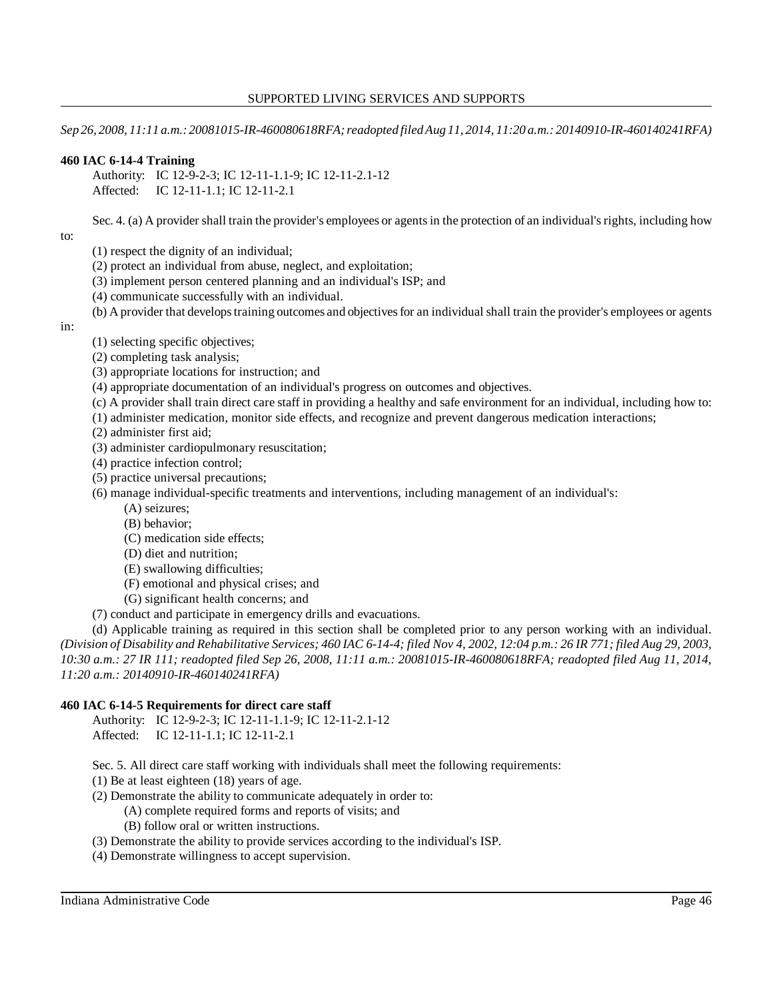*Sep 26, 2008, 11:11 a.m.: 20081015-IR-460080618RFA; readopted filed Aug 11, 2014, 11:20 a.m.: 20140910-IR-460140241RFA)* 

## **460 IAC 6-14-4 Training**

Authority: IC 12-9-2-3; IC 12-11-1.1-9; IC 12-11-2.1-12 Affected: IC 12-11-1.1; IC 12-11-2.1

Sec. 4. (a) A provider shall train the provider's employees or agents in the protection of an individual's rights, including how

to:

- (1) respect the dignity of an individual;
- (2) protect an individual from abuse, neglect, and exploitation;
- (3) implement person centered planning and an individual's ISP; and
- (4) communicate successfully with an individual.
- (b) A provider that develops training outcomes and objectives for an individual shall train the provider's employees or agents

in:

- (1) selecting specific objectives;
- (2) completing task analysis;
- (3) appropriate locations for instruction; and
- (4) appropriate documentation of an individual's progress on outcomes and objectives.
- (c) A provider shall train direct care staff in providing a healthy and safe environment for an individual, including how to:
- (1) administer medication, monitor side effects, and recognize and prevent dangerous medication interactions;
- (2) administer first aid;
- (3) administer cardiopulmonary resuscitation;
- (4) practice infection control;
- (5) practice universal precautions;
- (6) manage individual-specific treatments and interventions, including management of an individual's:
	- (A) seizures;
	- (B) behavior;
	- (C) medication side effects;
	- (D) diet and nutrition;
	- (E) swallowing difficulties;
	- (F) emotional and physical crises; and
	- (G) significant health concerns; and
- (7) conduct and participate in emergency drills and evacuations.

 (d) Applicable training as required in this section shall be completed prior to any person working with an individual.  *(Division of Disability and Rehabilitative Services; 460 IAC 6-14-4; filed Nov 4, 2002, 12:04 p.m.: 26 IR 771; filed Aug 29, 2003, 10:30 a.m.: 27 IR 111; readopted filed Sep 26, 2008, 11:11 a.m.: 20081015-IR-460080618RFA; readopted filed Aug 11, 2014, 11:20 a.m.: 20140910-IR-460140241RFA)* 

# **460 IAC 6-14-5 Requirements for direct care staff**

Authority: IC 12-9-2-3; IC 12-11-1.1-9; IC 12-11-2.1-12 Affected: IC 12-11-1.1; IC 12-11-2.1

Sec. 5. All direct care staff working with individuals shall meet the following requirements:

- (1) Be at least eighteen (18) years of age.
- (2) Demonstrate the ability to communicate adequately in order to:
	- (A) complete required forms and reports of visits; and
	- (B) follow oral or written instructions.
- (3) Demonstrate the ability to provide services according to the individual's ISP.
- (4) Demonstrate willingness to accept supervision.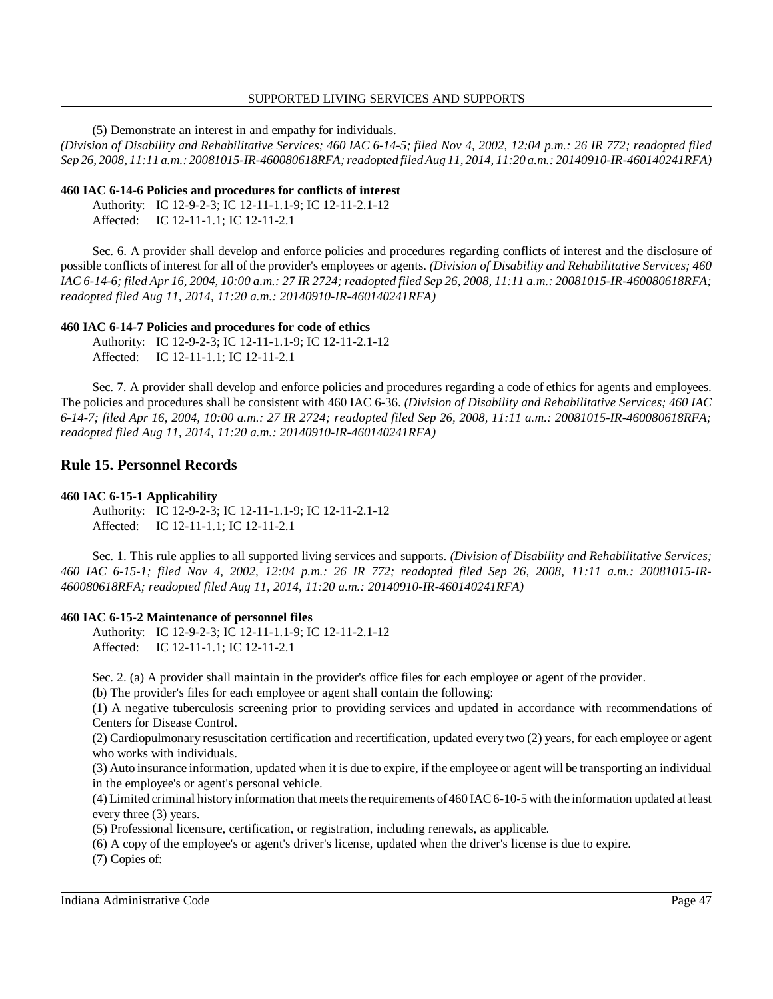(5) Demonstrate an interest in and empathy for individuals.

 *(Division of Disability and Rehabilitative Services; 460 IAC 6-14-5; filed Nov 4, 2002, 12:04 p.m.: 26 IR 772; readopted filed Sep 26, 2008, 11:11 a.m.: 20081015-IR-460080618RFA; readopted filed Aug 11, 2014, 11:20 a.m.: 20140910-IR-460140241RFA)* 

#### **460 IAC 6-14-6 Policies and procedures for conflicts of interest**

Authority: IC 12-9-2-3; IC 12-11-1.1-9; IC 12-11-2.1-12 Affected: IC 12-11-1.1; IC 12-11-2.1

 Sec. 6. A provider shall develop and enforce policies and procedures regarding conflicts of interest and the disclosure of possible conflicts of interest for all of the provider's employees or agents. *(Division of Disability and Rehabilitative Services; 460 IAC 6-14-6; filed Apr 16, 2004, 10:00 a.m.: 27 IR 2724; readopted filed Sep 26, 2008, 11:11 a.m.: 20081015-IR-460080618RFA; readopted filed Aug 11, 2014, 11:20 a.m.: 20140910-IR-460140241RFA)* 

#### **460 IAC 6-14-7 Policies and procedures for code of ethics**

Authority: IC 12-9-2-3; IC 12-11-1.1-9; IC 12-11-2.1-12 Affected: IC 12-11-1.1; IC 12-11-2.1

 Sec. 7. A provider shall develop and enforce policies and procedures regarding a code of ethics for agents and employees. The policies and procedures shall be consistent with 460 IAC 6-36. *(Division of Disability and Rehabilitative Services; 460 IAC 6-14-7; filed Apr 16, 2004, 10:00 a.m.: 27 IR 2724; readopted filed Sep 26, 2008, 11:11 a.m.: 20081015-IR-460080618RFA; readopted filed Aug 11, 2014, 11:20 a.m.: 20140910-IR-460140241RFA)* 

# **Rule 15. Personnel Records**

#### **460 IAC 6-15-1 Applicability**

Authority: IC 12-9-2-3; IC 12-11-1.1-9; IC 12-11-2.1-12 Affected: IC 12-11-1.1; IC 12-11-2.1

 Sec. 1. This rule applies to all supported living services and supports. *(Division of Disability and Rehabilitative Services; 460 IAC 6-15-1; filed Nov 4, 2002, 12:04 p.m.: 26 IR 772; readopted filed Sep 26, 2008, 11:11 a.m.: 20081015-IR- 460080618RFA; readopted filed Aug 11, 2014, 11:20 a.m.: 20140910-IR-460140241RFA)* 

#### **460 IAC 6-15-2 Maintenance of personnel files**

Authority: IC 12-9-2-3; IC 12-11-1.1-9; IC 12-11-2.1-12 Affected: IC 12-11-1.1; IC 12-11-2.1

Sec. 2. (a) A provider shall maintain in the provider's office files for each employee or agent of the provider.

(b) The provider's files for each employee or agent shall contain the following:

 (1) A negative tuberculosis screening prior to providing services and updated in accordance with recommendations of Centers for Disease Control.

 (2) Cardiopulmonary resuscitation certification and recertification, updated every two (2) years, for each employee or agent who works with individuals.

 (3) Auto insurance information, updated when it is due to expire, if the employee or agent will be transporting an individual in the employee's or agent's personal vehicle.

 (4) Limited criminal historyinformation that meets the requirements of460 IAC 6-10-5 with the information updated at least every three (3) years.

(5) Professional licensure, certification, or registration, including renewals, as applicable.

(6) A copy of the employee's or agent's driver's license, updated when the driver's license is due to expire.

(7) Copies of: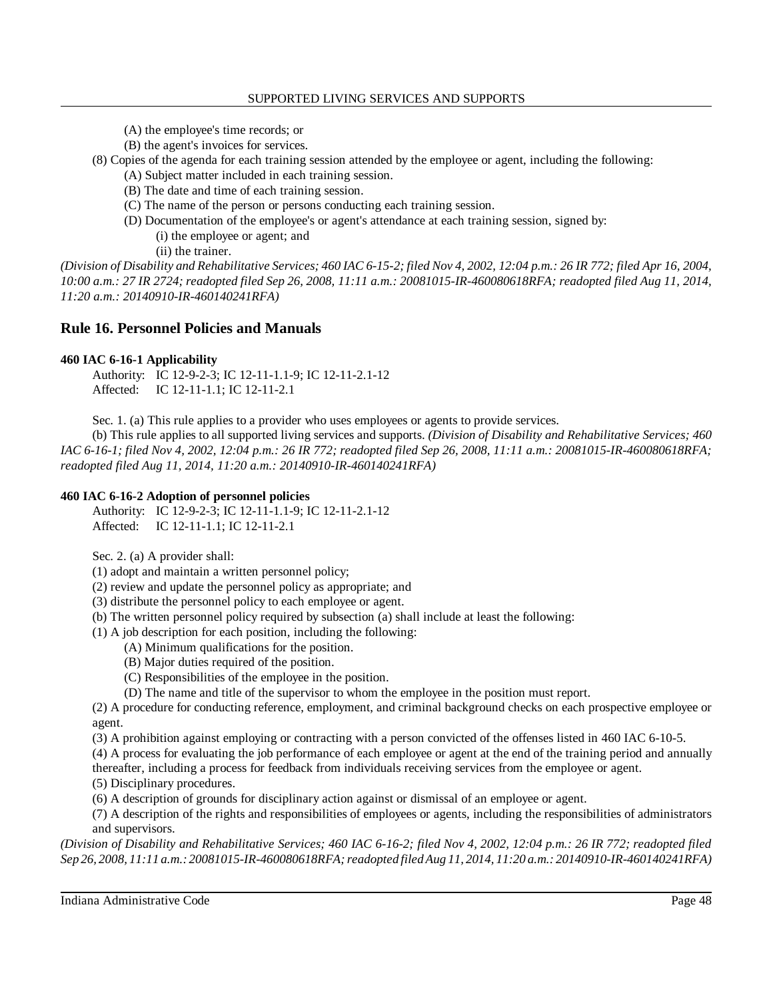- (A) the employee's time records; or
- (B) the agent's invoices for services.

(8) Copies of the agenda for each training session attended by the employee or agent, including the following:

- (A) Subject matter included in each training session.
- (B) The date and time of each training session.
- (C) The name of the person or persons conducting each training session.
- (D) Documentation of the employee's or agent's attendance at each training session, signed by: (i) the employee or agent; and

(ii) the trainer.

 *(Division of Disability and Rehabilitative Services; 460 IAC 6-15-2; filed Nov 4, 2002, 12:04 p.m.: 26 IR 772; filed Apr 16, 2004, 10:00 a.m.: 27 IR 2724; readopted filed Sep 26, 2008, 11:11 a.m.: 20081015-IR-460080618RFA; readopted filed Aug 11, 2014, 11:20 a.m.: 20140910-IR-460140241RFA)* 

# **Rule 16. Personnel Policies and Manuals**

## **460 IAC 6-16-1 Applicability**

Authority: IC 12-9-2-3; IC 12-11-1.1-9; IC 12-11-2.1-12 Affected: IC 12-11-1.1; IC 12-11-2.1

Sec. 1. (a) This rule applies to a provider who uses employees or agents to provide services.

 (b) This rule applies to all supported living services and supports. *(Division of Disability and Rehabilitative Services; 460 IAC 6-16-1; filed Nov 4, 2002, 12:04 p.m.: 26 IR 772; readopted filed Sep 26, 2008, 11:11 a.m.: 20081015-IR-460080618RFA; readopted filed Aug 11, 2014, 11:20 a.m.: 20140910-IR-460140241RFA)* 

## **460 IAC 6-16-2 Adoption of personnel policies**

Authority: IC 12-9-2-3; IC 12-11-1.1-9; IC 12-11-2.1-12 Affected: IC 12-11-1.1; IC 12-11-2.1

Sec. 2. (a) A provider shall:

(1) adopt and maintain a written personnel policy;

(2) review and update the personnel policy as appropriate; and

- (3) distribute the personnel policy to each employee or agent.
- (b) The written personnel policy required by subsection (a) shall include at least the following:
- (1) A job description for each position, including the following:
	- (A) Minimum qualifications for the position.
	- (B) Major duties required of the position.
	- (C) Responsibilities of the employee in the position.
	- (D) The name and title of the supervisor to whom the employee in the position must report.

 (2) A procedure for conducting reference, employment, and criminal background checks on each prospective employee or agent.

(3) A prohibition against employing or contracting with a person convicted of the offenses listed in 460 IAC 6-10-5.

 (4) A process for evaluating the job performance of each employee or agent at the end of the training period and annually thereafter, including a process for feedback from individuals receiving services from the employee or agent.

(5) Disciplinary procedures.

(6) A description of grounds for disciplinary action against or dismissal of an employee or agent.

 (7) A description of the rights and responsibilities of employees or agents, including the responsibilities of administrators and supervisors.

 *(Division of Disability and Rehabilitative Services; 460 IAC 6-16-2; filed Nov 4, 2002, 12:04 p.m.: 26 IR 772; readopted filed Sep 26, 2008, 11:11 a.m.: 20081015-IR-460080618RFA; readopted filed Aug 11, 2014, 11:20 a.m.: 20140910-IR-460140241RFA)*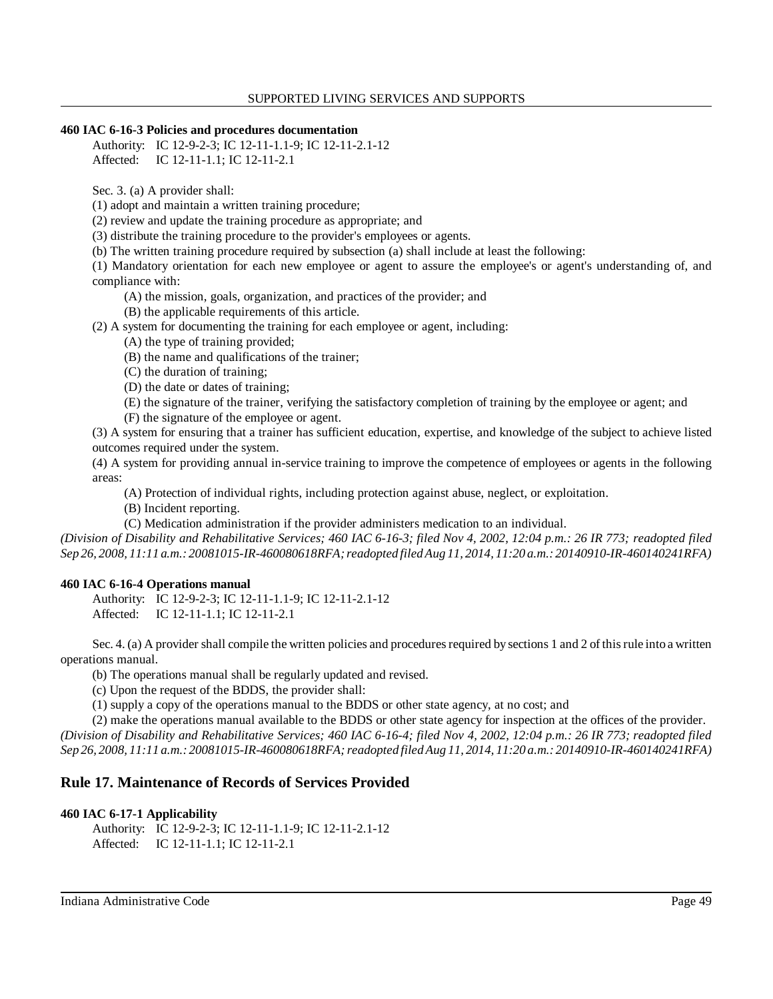#### **460 IAC 6-16-3 Policies and procedures documentation**

Authority: IC 12-9-2-3; IC 12-11-1.1-9; IC 12-11-2.1-12 Affected: IC 12-11-1.1; IC 12-11-2.1

Sec. 3. (a) A provider shall:

(1) adopt and maintain a written training procedure;

(2) review and update the training procedure as appropriate; and

(3) distribute the training procedure to the provider's employees or agents.

(b) The written training procedure required by subsection (a) shall include at least the following:

 (1) Mandatory orientation for each new employee or agent to assure the employee's or agent's understanding of, and compliance with:

(A) the mission, goals, organization, and practices of the provider; and

(B) the applicable requirements of this article.

(2) A system for documenting the training for each employee or agent, including:

(A) the type of training provided;

- (B) the name and qualifications of the trainer;
- (C) the duration of training;
- (D) the date or dates of training;
- (E) the signature of the trainer, verifying the satisfactory completion of training by the employee or agent; and (F) the signature of the employee or agent.

 (3) A system for ensuring that a trainer has sufficient education, expertise, and knowledge of the subject to achieve listed outcomes required under the system.

 (4) A system for providing annual in-service training to improve the competence of employees or agents in the following areas:

(A) Protection of individual rights, including protection against abuse, neglect, or exploitation.

(B) Incident reporting.

(C) Medication administration if the provider administers medication to an individual.

 *(Division of Disability and Rehabilitative Services; 460 IAC 6-16-3; filed Nov 4, 2002, 12:04 p.m.: 26 IR 773; readopted filed Sep 26, 2008, 11:11 a.m.: 20081015-IR-460080618RFA; readopted filed Aug 11, 2014, 11:20 a.m.: 20140910-IR-460140241RFA)* 

## **460 IAC 6-16-4 Operations manual**

Authority: IC 12-9-2-3; IC 12-11-1.1-9; IC 12-11-2.1-12 Affected: IC 12-11-1.1; IC 12-11-2.1

 Sec. 4. (a) A provider shall compile the written policies and procedures required by sections 1 and 2 of this rule into a written operations manual.

(b) The operations manual shall be regularly updated and revised.

(c) Upon the request of the BDDS, the provider shall:

(1) supply a copy of the operations manual to the BDDS or other state agency, at no cost; and

 (2) make the operations manual available to the BDDS or other state agency for inspection at the offices of the provider.  *(Division of Disability and Rehabilitative Services; 460 IAC 6-16-4; filed Nov 4, 2002, 12:04 p.m.: 26 IR 773; readopted filed Sep 26, 2008, 11:11 a.m.: 20081015-IR-460080618RFA; readopted filed Aug 11, 2014, 11:20 a.m.: 20140910-IR-460140241RFA)* 

# **Rule 17. Maintenance of Records of Services Provided**

## **460 IAC 6-17-1 Applicability**

Authority: IC 12-9-2-3; IC 12-11-1.1-9; IC 12-11-2.1-12 Affected: IC 12-11-1.1; IC 12-11-2.1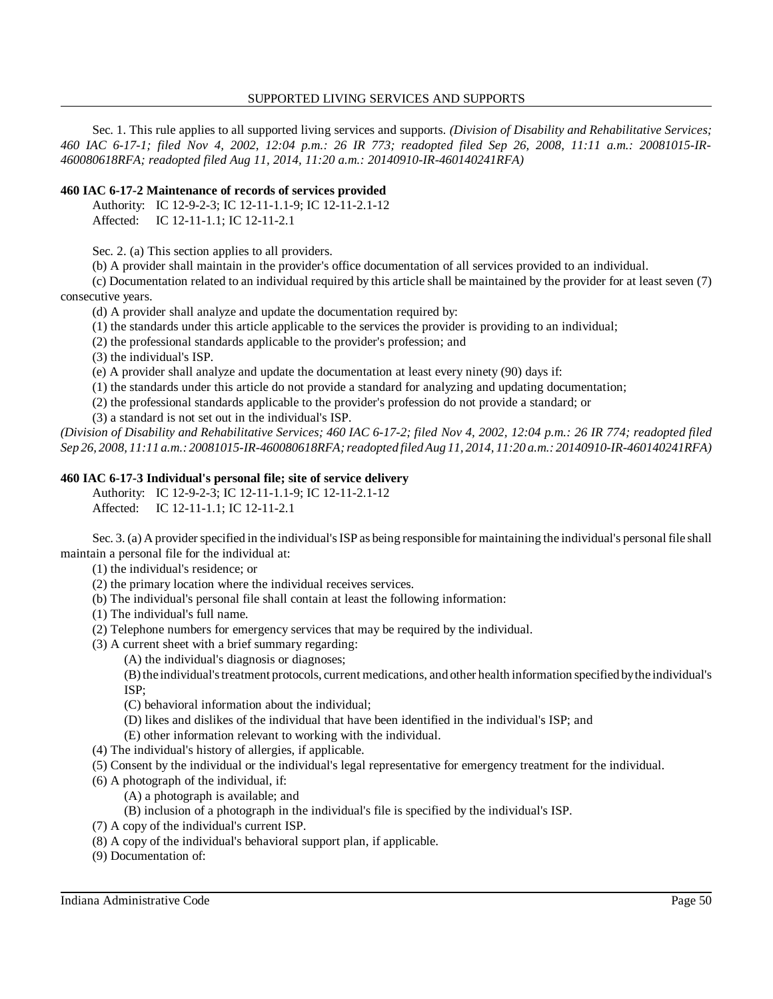Sec. 1. This rule applies to all supported living services and supports. *(Division of Disability and Rehabilitative Services; 460 IAC 6-17-1; filed Nov 4, 2002, 12:04 p.m.: 26 IR 773; readopted filed Sep 26, 2008, 11:11 a.m.: 20081015-IR- 460080618RFA; readopted filed Aug 11, 2014, 11:20 a.m.: 20140910-IR-460140241RFA)* 

#### **460 IAC 6-17-2 Maintenance of records of services provided**

Authority: IC 12-9-2-3; IC 12-11-1.1-9; IC 12-11-2.1-12 Affected: IC 12-11-1.1; IC 12-11-2.1

Sec. 2. (a) This section applies to all providers.

(b) A provider shall maintain in the provider's office documentation of all services provided to an individual.

 (c) Documentation related to an individual required by this article shall be maintained by the provider for at least seven (7) consecutive years.

(d) A provider shall analyze and update the documentation required by:

(1) the standards under this article applicable to the services the provider is providing to an individual;

(2) the professional standards applicable to the provider's profession; and

(3) the individual's ISP.

(e) A provider shall analyze and update the documentation at least every ninety (90) days if:

(1) the standards under this article do not provide a standard for analyzing and updating documentation;

(2) the professional standards applicable to the provider's profession do not provide a standard; or

(3) a standard is not set out in the individual's ISP.

 *(Division of Disability and Rehabilitative Services; 460 IAC 6-17-2; filed Nov 4, 2002, 12:04 p.m.: 26 IR 774; readopted filed Sep 26, 2008, 11:11 a.m.: 20081015-IR-460080618RFA; readopted filed Aug 11, 2014, 11:20 a.m.: 20140910-IR-460140241RFA)* 

## **460 IAC 6-17-3 Individual's personal file; site of service delivery**

Authority: IC 12-9-2-3; IC 12-11-1.1-9; IC 12-11-2.1-12

Affected: IC 12-11-1.1; IC 12-11-2.1

 Sec. 3. (a) A provider specified in the individual's ISP as being responsible for maintaining the individual's personal file shall maintain a personal file for the individual at:

- (1) the individual's residence; or
- (2) the primary location where the individual receives services.
- (b) The individual's personal file shall contain at least the following information:
- (1) The individual's full name.
- (2) Telephone numbers for emergency services that may be required by the individual.
- (3) A current sheet with a brief summary regarding:
	- (A) the individual's diagnosis or diagnoses;

 (B) the individual's treatment protocols, current medications, and other health information specified bythe individual's ISP;

- (C) behavioral information about the individual;
- (D) likes and dislikes of the individual that have been identified in the individual's ISP; and
- (E) other information relevant to working with the individual.
- (4) The individual's history of allergies, if applicable.
- (5) Consent by the individual or the individual's legal representative for emergency treatment for the individual.
- (6) A photograph of the individual, if:
	- (A) a photograph is available; and
	- (B) inclusion of a photograph in the individual's file is specified by the individual's ISP.
- (7) A copy of the individual's current ISP.
- (8) A copy of the individual's behavioral support plan, if applicable.
- (9) Documentation of: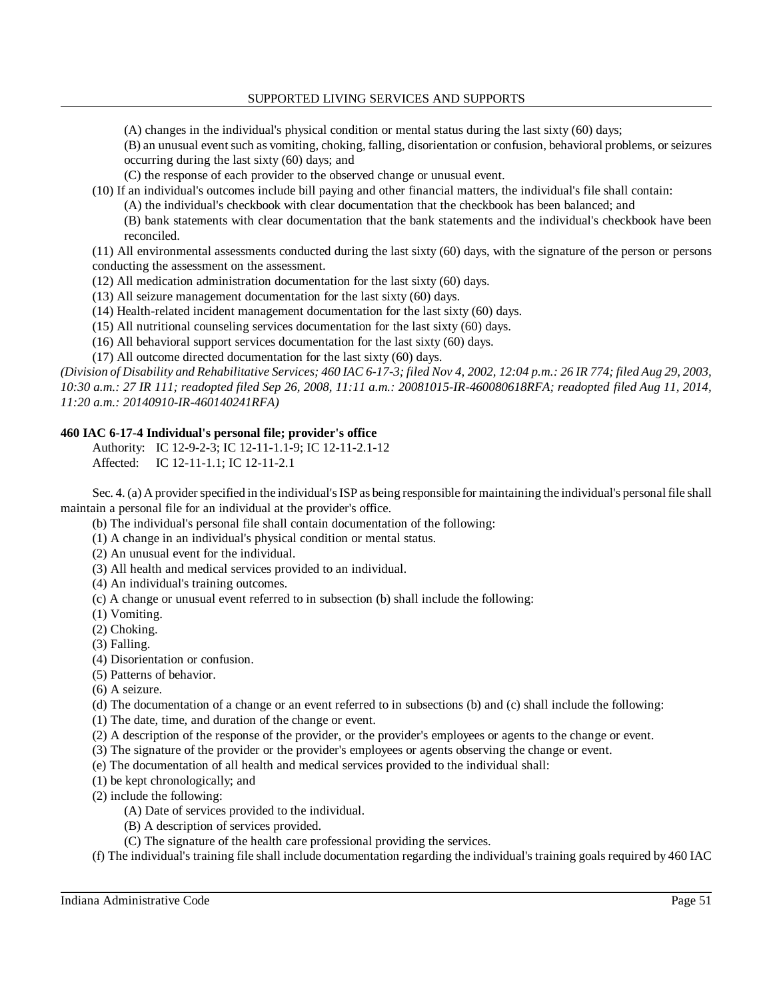(A) changes in the individual's physical condition or mental status during the last sixty (60) days;

 (B) an unusual event such as vomiting, choking, falling, disorientation or confusion, behavioral problems, or seizures occurring during the last sixty (60) days; and

(C) the response of each provider to the observed change or unusual event.

(10) If an individual's outcomes include bill paying and other financial matters, the individual's file shall contain:

(A) the individual's checkbook with clear documentation that the checkbook has been balanced; and

 (B) bank statements with clear documentation that the bank statements and the individual's checkbook have been reconciled.

 (11) All environmental assessments conducted during the last sixty (60) days, with the signature of the person or persons conducting the assessment on the assessment.

(12) All medication administration documentation for the last sixty (60) days.

(13) All seizure management documentation for the last sixty (60) days.

(14) Health-related incident management documentation for the last sixty (60) days.

(15) All nutritional counseling services documentation for the last sixty (60) days.

(16) All behavioral support services documentation for the last sixty (60) days.

(17) All outcome directed documentation for the last sixty (60) days.

 *(Division of Disability and Rehabilitative Services; 460 IAC 6-17-3; filed Nov 4, 2002, 12:04 p.m.: 26 IR 774; filed Aug 29, 2003, 10:30 a.m.: 27 IR 111; readopted filed Sep 26, 2008, 11:11 a.m.: 20081015-IR-460080618RFA; readopted filed Aug 11, 2014, 11:20 a.m.: 20140910-IR-460140241RFA)* 

# **460 IAC 6-17-4 Individual's personal file; provider's office**

Authority: IC 12-9-2-3; IC 12-11-1.1-9; IC 12-11-2.1-12 Affected: IC 12-11-1.1; IC 12-11-2.1

 Sec. 4. (a) A provider specified in the individual's ISP as being responsible for maintaining the individual's personal file shall maintain a personal file for an individual at the provider's office.

(b) The individual's personal file shall contain documentation of the following:

(1) A change in an individual's physical condition or mental status.

(2) An unusual event for the individual.

(3) All health and medical services provided to an individual.

(4) An individual's training outcomes.

(c) A change or unusual event referred to in subsection (b) shall include the following:

(1) Vomiting.

(2) Choking.

(3) Falling.

(4) Disorientation or confusion.

(5) Patterns of behavior.

(6) A seizure.

(d) The documentation of a change or an event referred to in subsections (b) and (c) shall include the following:

(1) The date, time, and duration of the change or event.

(2) A description of the response of the provider, or the provider's employees or agents to the change or event.

(3) The signature of the provider or the provider's employees or agents observing the change or event.

(e) The documentation of all health and medical services provided to the individual shall:

(1) be kept chronologically; and

(2) include the following:

(A) Date of services provided to the individual.

(B) A description of services provided.

(C) The signature of the health care professional providing the services.

(f) The individual's training file shall include documentation regarding the individual's training goals required by 460 IAC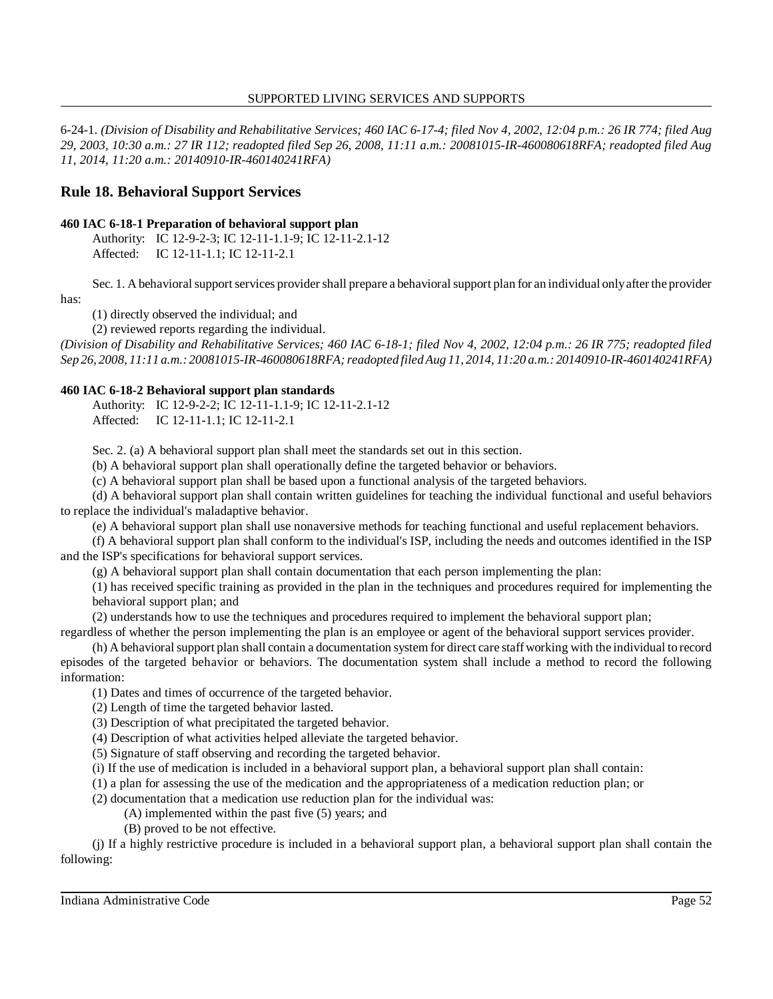6-24-1. *(Division of Disability and Rehabilitative Services; 460 IAC 6-17-4; filed Nov 4, 2002, 12:04 p.m.: 26 IR 774; filed Aug 29, 2003, 10:30 a.m.: 27 IR 112; readopted filed Sep 26, 2008, 11:11 a.m.: 20081015-IR-460080618RFA; readopted filed Aug 11, 2014, 11:20 a.m.: 20140910-IR-460140241RFA)* 

# **Rule 18. Behavioral Support Services**

## **460 IAC 6-18-1 Preparation of behavioral support plan**

Authority: IC 12-9-2-3; IC 12-11-1.1-9; IC 12-11-2.1-12 Affected: IC 12-11-1.1; IC 12-11-2.1

Sec. 1. A behavioral support services provider shall prepare a behavioral support plan for an individual onlyafter the provider

has:

(1) directly observed the individual; and

(2) reviewed reports regarding the individual.

 *(Division of Disability and Rehabilitative Services; 460 IAC 6-18-1; filed Nov 4, 2002, 12:04 p.m.: 26 IR 775; readopted filed Sep 26, 2008, 11:11 a.m.: 20081015-IR-460080618RFA; readopted filed Aug 11, 2014, 11:20 a.m.: 20140910-IR-460140241RFA)* 

## **460 IAC 6-18-2 Behavioral support plan standards**

Authority: IC 12-9-2-2; IC 12-11-1.1-9; IC 12-11-2.1-12 Affected: IC 12-11-1.1; IC 12-11-2.1

Sec. 2. (a) A behavioral support plan shall meet the standards set out in this section.

(b) A behavioral support plan shall operationally define the targeted behavior or behaviors.

(c) A behavioral support plan shall be based upon a functional analysis of the targeted behaviors.

 (d) A behavioral support plan shall contain written guidelines for teaching the individual functional and useful behaviors to replace the individual's maladaptive behavior.

(e) A behavioral support plan shall use nonaversive methods for teaching functional and useful replacement behaviors.

 (f) A behavioral support plan shall conform to the individual's ISP, including the needs and outcomes identified in the ISP and the ISP's specifications for behavioral support services.

(g) A behavioral support plan shall contain documentation that each person implementing the plan:

 (1) has received specific training as provided in the plan in the techniques and procedures required for implementing the behavioral support plan; and

(2) understands how to use the techniques and procedures required to implement the behavioral support plan;

regardless of whether the person implementing the plan is an employee or agent of the behavioral support services provider.

 (h) A behavioral support plan shall contain a documentation system for direct care staff working with the individual to record episodes of the targeted behavior or behaviors. The documentation system shall include a method to record the following information:

(1) Dates and times of occurrence of the targeted behavior.

(2) Length of time the targeted behavior lasted.

(3) Description of what precipitated the targeted behavior.

(4) Description of what activities helped alleviate the targeted behavior.

(5) Signature of staff observing and recording the targeted behavior.

(i) If the use of medication is included in a behavioral support plan, a behavioral support plan shall contain:

(1) a plan for assessing the use of the medication and the appropriateness of a medication reduction plan; or

(2) documentation that a medication use reduction plan for the individual was:

(A) implemented within the past five (5) years; and

(B) proved to be not effective.

 (j) If a highly restrictive procedure is included in a behavioral support plan, a behavioral support plan shall contain the following: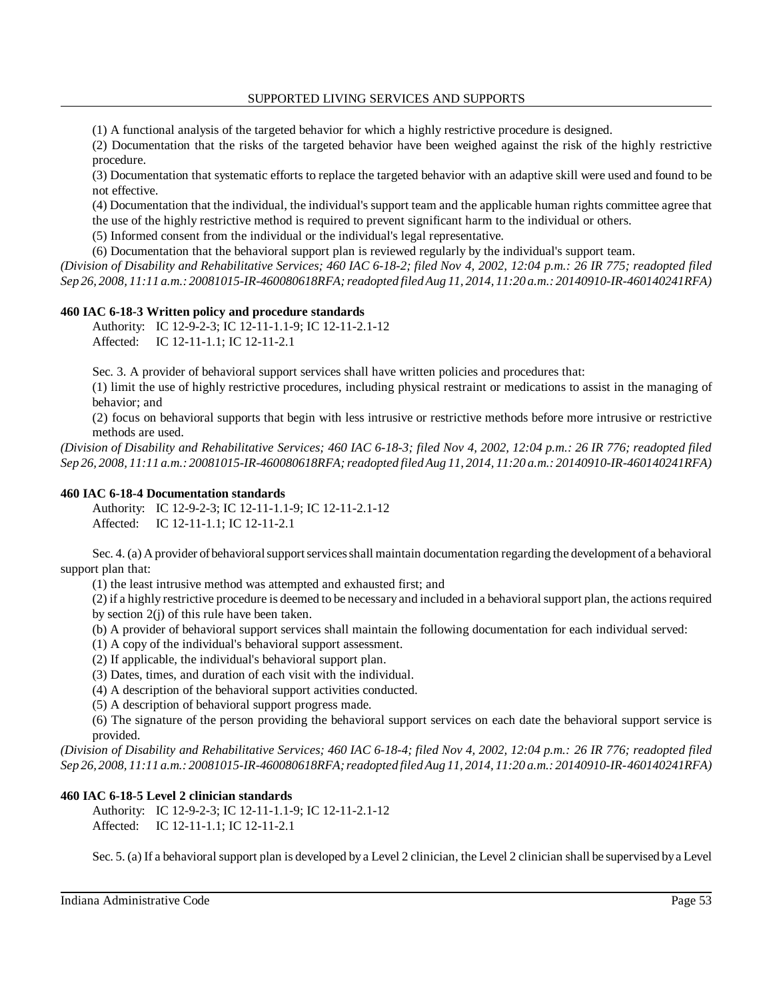(1) A functional analysis of the targeted behavior for which a highly restrictive procedure is designed.

 (2) Documentation that the risks of the targeted behavior have been weighed against the risk of the highly restrictive procedure.

 (3) Documentation that systematic efforts to replace the targeted behavior with an adaptive skill were used and found to be not effective.

 (4) Documentation that the individual, the individual's support team and the applicable human rights committee agree that the use of the highly restrictive method is required to prevent significant harm to the individual or others.

(5) Informed consent from the individual or the individual's legal representative.

(6) Documentation that the behavioral support plan is reviewed regularly by the individual's support team.

 *(Division of Disability and Rehabilitative Services; 460 IAC 6-18-2; filed Nov 4, 2002, 12:04 p.m.: 26 IR 775; readopted filed Sep 26, 2008, 11:11 a.m.: 20081015-IR-460080618RFA; readopted filed Aug 11, 2014, 11:20 a.m.: 20140910-IR-460140241RFA)* 

# **460 IAC 6-18-3 Written policy and procedure standards**

Authority: IC 12-9-2-3; IC 12-11-1.1-9; IC 12-11-2.1-12 Affected: IC 12-11-1.1; IC 12-11-2.1

Sec. 3. A provider of behavioral support services shall have written policies and procedures that:

 (1) limit the use of highly restrictive procedures, including physical restraint or medications to assist in the managing of behavior; and

 (2) focus on behavioral supports that begin with less intrusive or restrictive methods before more intrusive or restrictive methods are used.

 *(Division of Disability and Rehabilitative Services; 460 IAC 6-18-3; filed Nov 4, 2002, 12:04 p.m.: 26 IR 776; readopted filed Sep 26, 2008, 11:11 a.m.: 20081015-IR-460080618RFA; readopted filed Aug 11, 2014, 11:20 a.m.: 20140910-IR-460140241RFA)* 

## **460 IAC 6-18-4 Documentation standards**

Authority: IC 12-9-2-3; IC 12-11-1.1-9; IC 12-11-2.1-12 Affected: IC 12-11-1.1; IC 12-11-2.1

 Sec. 4. (a) A provider ofbehavioral support services shall maintain documentation regarding the development of a behavioral support plan that:

(1) the least intrusive method was attempted and exhausted first; and

 (2) if a highly restrictive procedure is deemed to be necessary and included in a behavioral support plan, the actions required by section 2(j) of this rule have been taken.

(b) A provider of behavioral support services shall maintain the following documentation for each individual served:

(1) A copy of the individual's behavioral support assessment.

(2) If applicable, the individual's behavioral support plan.

(3) Dates, times, and duration of each visit with the individual.

(4) A description of the behavioral support activities conducted.

(5) A description of behavioral support progress made.

 (6) The signature of the person providing the behavioral support services on each date the behavioral support service is provided.

 *(Division of Disability and Rehabilitative Services; 460 IAC 6-18-4; filed Nov 4, 2002, 12:04 p.m.: 26 IR 776; readopted filed Sep 26, 2008, 11:11 a.m.: 20081015-IR-460080618RFA; readopted filed Aug 11, 2014, 11:20 a.m.: 20140910-IR-460140241RFA)* 

# **460 IAC 6-18-5 Level 2 clinician standards**

Authority: IC 12-9-2-3; IC 12-11-1.1-9; IC 12-11-2.1-12 Affected: IC 12-11-1.1; IC 12-11-2.1

Sec. 5. (a) If a behavioral support plan is developed by a Level 2 clinician, the Level 2 clinician shall be supervised bya Level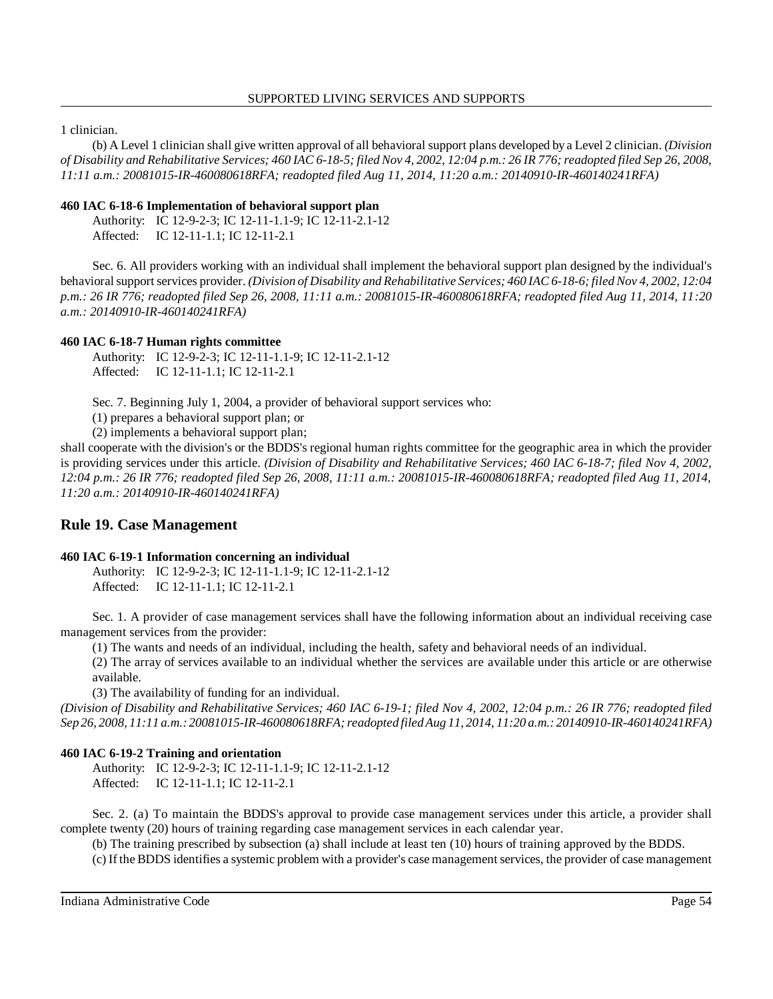1 clinician.

 (b) A Level 1 clinician shall give written approval of all behavioral support plans developed by a Level 2 clinician. *(Division of Disability and Rehabilitative Services; 460 IAC 6-18-5; filed Nov 4, 2002, 12:04 p.m.: 26 IR 776; readopted filed Sep 26, 2008, 11:11 a.m.: 20081015-IR-460080618RFA; readopted filed Aug 11, 2014, 11:20 a.m.: 20140910-IR-460140241RFA)* 

## **460 IAC 6-18-6 Implementation of behavioral support plan**

Authority: IC 12-9-2-3; IC 12-11-1.1-9; IC 12-11-2.1-12 Affected: IC 12-11-1.1; IC 12-11-2.1

 Sec. 6. All providers working with an individual shall implement the behavioral support plan designed by the individual's behavioral support services provider. *(Division of Disability and Rehabilitative Services; 460 IAC 6-18-6; filed Nov 4, 2002, 12:04 p.m.: 26 IR 776; readopted filed Sep 26, 2008, 11:11 a.m.: 20081015-IR-460080618RFA; readopted filed Aug 11, 2014, 11:20 a.m.: 20140910-IR-460140241RFA)* 

## **460 IAC 6-18-7 Human rights committee**

Authority: IC 12-9-2-3; IC 12-11-1.1-9; IC 12-11-2.1-12 Affected: IC 12-11-1.1; IC 12-11-2.1

Sec. 7. Beginning July 1, 2004, a provider of behavioral support services who:

(1) prepares a behavioral support plan; or

(2) implements a behavioral support plan;

 shall cooperate with the division's or the BDDS's regional human rights committee for the geographic area in which the provider is providing services under this article. *(Division of Disability and Rehabilitative Services; 460 IAC 6-18-7; filed Nov 4, 2002, 12:04 p.m.: 26 IR 776; readopted filed Sep 26, 2008, 11:11 a.m.: 20081015-IR-460080618RFA; readopted filed Aug 11, 2014, 11:20 a.m.: 20140910-IR-460140241RFA)* 

# **Rule 19. Case Management**

## **460 IAC 6-19-1 Information concerning an individual**

Authority: IC 12-9-2-3; IC 12-11-1.1-9; IC 12-11-2.1-12 Affected: IC 12-11-1.1; IC 12-11-2.1

 Sec. 1. A provider of case management services shall have the following information about an individual receiving case management services from the provider:

(1) The wants and needs of an individual, including the health, safety and behavioral needs of an individual.

 (2) The array of services available to an individual whether the services are available under this article or are otherwise available.

(3) The availability of funding for an individual.

 *(Division of Disability and Rehabilitative Services; 460 IAC 6-19-1; filed Nov 4, 2002, 12:04 p.m.: 26 IR 776; readopted filed Sep 26, 2008, 11:11 a.m.: 20081015-IR-460080618RFA; readopted filed Aug 11, 2014, 11:20 a.m.: 20140910-IR-460140241RFA)* 

## **460 IAC 6-19-2 Training and orientation**

Authority: IC 12-9-2-3; IC 12-11-1.1-9; IC 12-11-2.1-12 Affected: IC 12-11-1.1; IC 12-11-2.1

 Sec. 2. (a) To maintain the BDDS's approval to provide case management services under this article, a provider shall complete twenty (20) hours of training regarding case management services in each calendar year.

(b) The training prescribed by subsection (a) shall include at least ten (10) hours of training approved by the BDDS.

(c) If the BDDS identifies a systemic problem with a provider's case management services, the provider of case management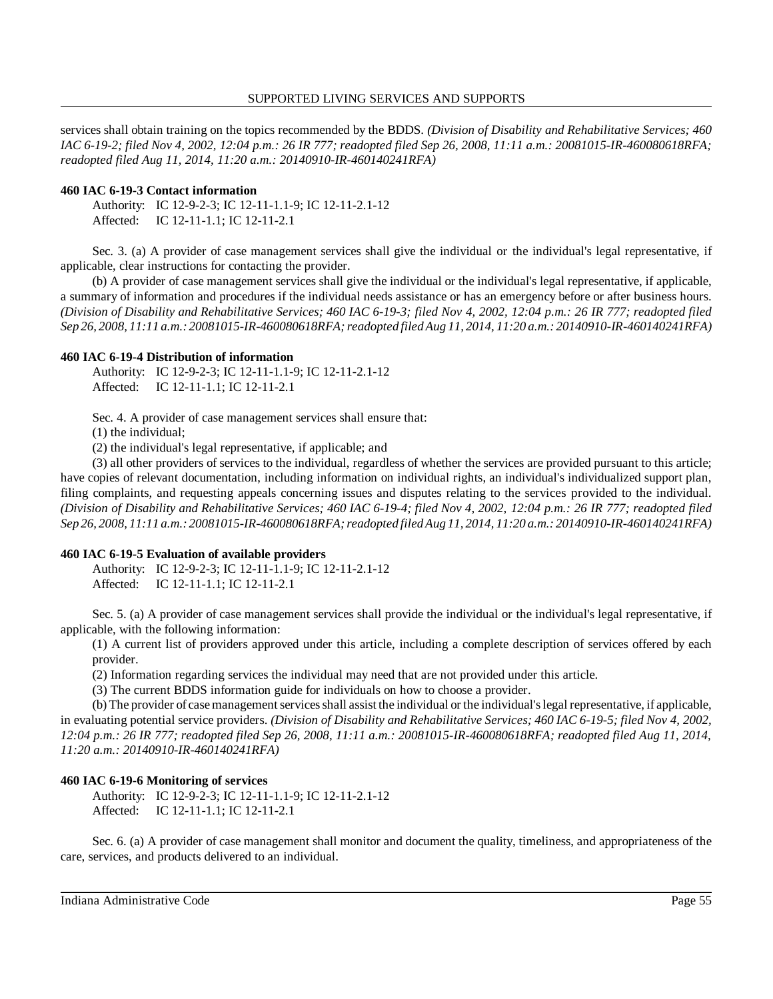services shall obtain training on the topics recommended by the BDDS. *(Division of Disability and Rehabilitative Services; 460 IAC 6-19-2; filed Nov 4, 2002, 12:04 p.m.: 26 IR 777; readopted filed Sep 26, 2008, 11:11 a.m.: 20081015-IR-460080618RFA; readopted filed Aug 11, 2014, 11:20 a.m.: 20140910-IR-460140241RFA)* 

#### **460 IAC 6-19-3 Contact information**

```
Authority: IC 12-9-2-3; IC 12-11-1.1-9; IC 12-11-2.1-12 
Affected: IC 12-11-1.1; IC 12-11-2.1
```
 Sec. 3. (a) A provider of case management services shall give the individual or the individual's legal representative, if applicable, clear instructions for contacting the provider.

 (b) A provider of case management services shall give the individual or the individual's legal representative, if applicable, a summary of information and procedures if the individual needs assistance or has an emergency before or after business hours.  *(Division of Disability and Rehabilitative Services; 460 IAC 6-19-3; filed Nov 4, 2002, 12:04 p.m.: 26 IR 777; readopted filed Sep 26, 2008, 11:11 a.m.: 20081015-IR-460080618RFA; readopted filed Aug 11, 2014, 11:20 a.m.: 20140910-IR-460140241RFA)* 

#### **460 IAC 6-19-4 Distribution of information**

| Authority: IC 12-9-2-3; IC 12-11-1.1-9; IC 12-11-2.1-12 |
|---------------------------------------------------------|
| Affected: IC 12-11-1.1; IC 12-11-2.1                    |

Sec. 4. A provider of case management services shall ensure that:

(1) the individual;

(2) the individual's legal representative, if applicable; and

 (3) all other providers of services to the individual, regardless of whether the services are provided pursuant to this article; have copies of relevant documentation, including information on individual rights, an individual's individualized support plan, filing complaints, and requesting appeals concerning issues and disputes relating to the services provided to the individual.  *(Division of Disability and Rehabilitative Services; 460 IAC 6-19-4; filed Nov 4, 2002, 12:04 p.m.: 26 IR 777; readopted filed Sep 26, 2008, 11:11 a.m.: 20081015-IR-460080618RFA; readopted filed Aug 11, 2014, 11:20 a.m.: 20140910-IR-460140241RFA)* 

## **460 IAC 6-19-5 Evaluation of available providers**

Authority: IC 12-9-2-3; IC 12-11-1.1-9; IC 12-11-2.1-12 Affected: IC 12-11-1.1; IC 12-11-2.1

 Sec. 5. (a) A provider of case management services shall provide the individual or the individual's legal representative, if applicable, with the following information:

 (1) A current list of providers approved under this article, including a complete description of services offered by each provider.

(2) Information regarding services the individual may need that are not provided under this article.

(3) The current BDDS information guide for individuals on how to choose a provider.

 (b) The provider of case management services shall assist the individual or the individual's legal representative, if applicable, in evaluating potential service providers. *(Division of Disability and Rehabilitative Services; 460 IAC 6-19-5; filed Nov 4, 2002, 12:04 p.m.: 26 IR 777; readopted filed Sep 26, 2008, 11:11 a.m.: 20081015-IR-460080618RFA; readopted filed Aug 11, 2014, 11:20 a.m.: 20140910-IR-460140241RFA)* 

## **460 IAC 6-19-6 Monitoring of services**

Authority: IC 12-9-2-3; IC 12-11-1.1-9; IC 12-11-2.1-12 Affected: IC 12-11-1.1; IC 12-11-2.1

 Sec. 6. (a) A provider of case management shall monitor and document the quality, timeliness, and appropriateness of the care, services, and products delivered to an individual.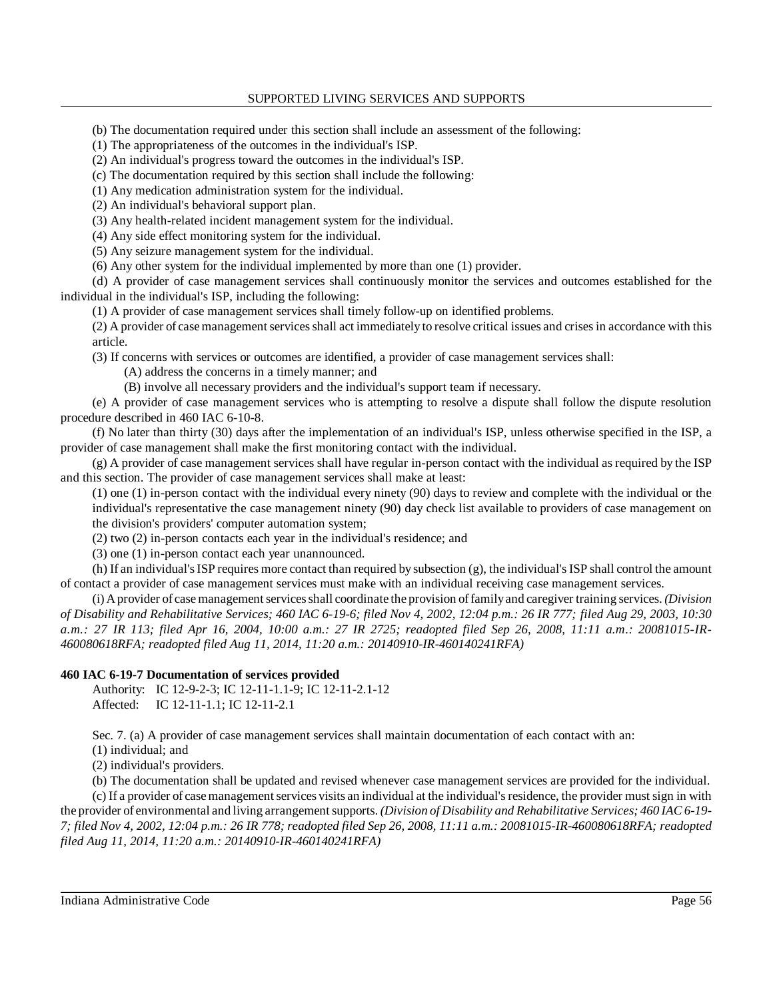(b) The documentation required under this section shall include an assessment of the following:

(1) The appropriateness of the outcomes in the individual's ISP.

(2) An individual's progress toward the outcomes in the individual's ISP.

(c) The documentation required by this section shall include the following:

(1) Any medication administration system for the individual.

(2) An individual's behavioral support plan.

(3) Any health-related incident management system for the individual.

(4) Any side effect monitoring system for the individual.

(5) Any seizure management system for the individual.

(6) Any other system for the individual implemented by more than one (1) provider.

 (d) A provider of case management services shall continuously monitor the services and outcomes established for the individual in the individual's ISP, including the following:

(1) A provider of case management services shall timely follow-up on identified problems.

 (2) A provider of case management services shall act immediately to resolve critical issues and crises in accordance with this article.

(3) If concerns with services or outcomes are identified, a provider of case management services shall:

(A) address the concerns in a timely manner; and

(B) involve all necessary providers and the individual's support team if necessary.

 (e) A provider of case management services who is attempting to resolve a dispute shall follow the dispute resolution procedure described in 460 IAC 6-10-8.

 (f) No later than thirty (30) days after the implementation of an individual's ISP, unless otherwise specified in the ISP, a provider of case management shall make the first monitoring contact with the individual.

 (g) A provider of case management services shall have regular in-person contact with the individual as required by the ISP and this section. The provider of case management services shall make at least:

 (1) one (1) in-person contact with the individual every ninety (90) days to review and complete with the individual or the individual's representative the case management ninety (90) day check list available to providers of case management on the division's providers' computer automation system;

(2) two (2) in-person contacts each year in the individual's residence; and

(3) one (1) in-person contact each year unannounced.

 (h) If an individual's ISP requires more contact than required by subsection (g), the individual's ISP shall control the amount of contact a provider of case management services must make with an individual receiving case management services.

 (i) A provider of case management services shall coordinate the provision of familyand caregiver training services. *(Division of Disability and Rehabilitative Services; 460 IAC 6-19-6; filed Nov 4, 2002, 12:04 p.m.: 26 IR 777; filed Aug 29, 2003, 10:30 a.m.: 27 IR 113; filed Apr 16, 2004, 10:00 a.m.: 27 IR 2725; readopted filed Sep 26, 2008, 11:11 a.m.: 20081015-IR- 460080618RFA; readopted filed Aug 11, 2014, 11:20 a.m.: 20140910-IR-460140241RFA)* 

## **460 IAC 6-19-7 Documentation of services provided**

Authority: IC 12-9-2-3; IC 12-11-1.1-9; IC 12-11-2.1-12 Affected: IC 12-11-1.1; IC 12-11-2.1

Sec. 7. (a) A provider of case management services shall maintain documentation of each contact with an:

(1) individual; and

(2) individual's providers.

 (b) The documentation shall be updated and revised whenever case management services are provided for the individual. (c) If a provider of case management services visits an individual at the individual's residence, the provider must sign in with the provider of environmental and living arrangement supports. *(Division of Disability and Rehabilitative Services; 460 IAC 6-19- 7; filed Nov 4, 2002, 12:04 p.m.: 26 IR 778; readopted filed Sep 26, 2008, 11:11 a.m.: 20081015-IR-460080618RFA; readopted filed Aug 11, 2014, 11:20 a.m.: 20140910-IR-460140241RFA)*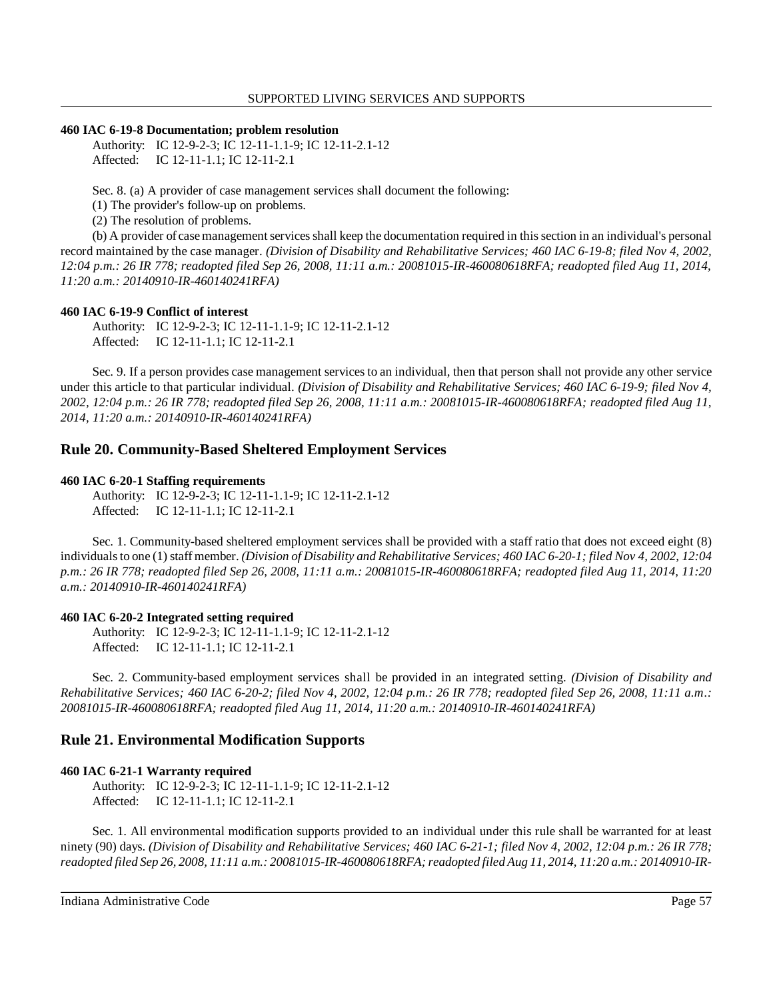## **460 IAC 6-19-8 Documentation; problem resolution**

Authority: IC 12-9-2-3; IC 12-11-1.1-9; IC 12-11-2.1-12 Affected: IC 12-11-1.1; IC 12-11-2.1

Sec. 8. (a) A provider of case management services shall document the following:

(1) The provider's follow-up on problems.

(2) The resolution of problems.

 (b) A provider of case management services shall keep the documentation required in this section in an individual's personal record maintained by the case manager. *(Division of Disability and Rehabilitative Services; 460 IAC 6-19-8; filed Nov 4, 2002, 12:04 p.m.: 26 IR 778; readopted filed Sep 26, 2008, 11:11 a.m.: 20081015-IR-460080618RFA; readopted filed Aug 11, 2014, 11:20 a.m.: 20140910-IR-460140241RFA)* 

#### **460 IAC 6-19-9 Conflict of interest**

Authority: IC 12-9-2-3; IC 12-11-1.1-9; IC 12-11-2.1-12 Affected: IC 12-11-1.1; IC 12-11-2.1

 Sec. 9. If a person provides case management services to an individual, then that person shall not provide any other service under this article to that particular individual. *(Division of Disability and Rehabilitative Services; 460 IAC 6-19-9; filed Nov 4, 2002, 12:04 p.m.: 26 IR 778; readopted filed Sep 26, 2008, 11:11 a.m.: 20081015-IR-460080618RFA; readopted filed Aug 11, 2014, 11:20 a.m.: 20140910-IR-460140241RFA)* 

# **Rule 20. Community-Based Sheltered Employment Services**

#### **460 IAC 6-20-1 Staffing requirements**

Authority: IC 12-9-2-3; IC 12-11-1.1-9; IC 12-11-2.1-12 Affected: IC 12-11-1.1; IC 12-11-2.1

 Sec. 1. Community-based sheltered employment services shall be provided with a staff ratio that does not exceed eight (8) individuals to one (1) staff member. *(Division of Disability and Rehabilitative Services; 460 IAC 6-20-1; filed Nov 4, 2002, 12:04 p.m.: 26 IR 778; readopted filed Sep 26, 2008, 11:11 a.m.: 20081015-IR-460080618RFA; readopted filed Aug 11, 2014, 11:20 a.m.: 20140910-IR-460140241RFA)* 

## **460 IAC 6-20-2 Integrated setting required**

Authority: IC 12-9-2-3; IC 12-11-1.1-9; IC 12-11-2.1-12 Affected: IC 12-11-1.1; IC 12-11-2.1

 Sec. 2. Community-based employment services shall be provided in an integrated setting. *(Division of Disability and Rehabilitative Services; 460 IAC 6-20-2; filed Nov 4, 2002, 12:04 p.m.: 26 IR 778; readopted filed Sep 26, 2008, 11:11 a.m.: 20081015-IR-460080618RFA; readopted filed Aug 11, 2014, 11:20 a.m.: 20140910-IR-460140241RFA)* 

# **Rule 21. Environmental Modification Supports**

## **460 IAC 6-21-1 Warranty required**

Authority: IC 12-9-2-3; IC 12-11-1.1-9; IC 12-11-2.1-12 Affected: IC 12-11-1.1; IC 12-11-2.1

 Sec. 1. All environmental modification supports provided to an individual under this rule shall be warranted for at least ninety (90) days. *(Division of Disability and Rehabilitative Services; 460 IAC 6-21-1; filed Nov 4, 2002, 12:04 p.m.: 26 IR 778; readopted filed Sep 26, 2008, 11:11 a.m.: 20081015-IR-460080618RFA; readopted filed Aug 11, 2014, 11:20 a.m.: 20140910-IR-*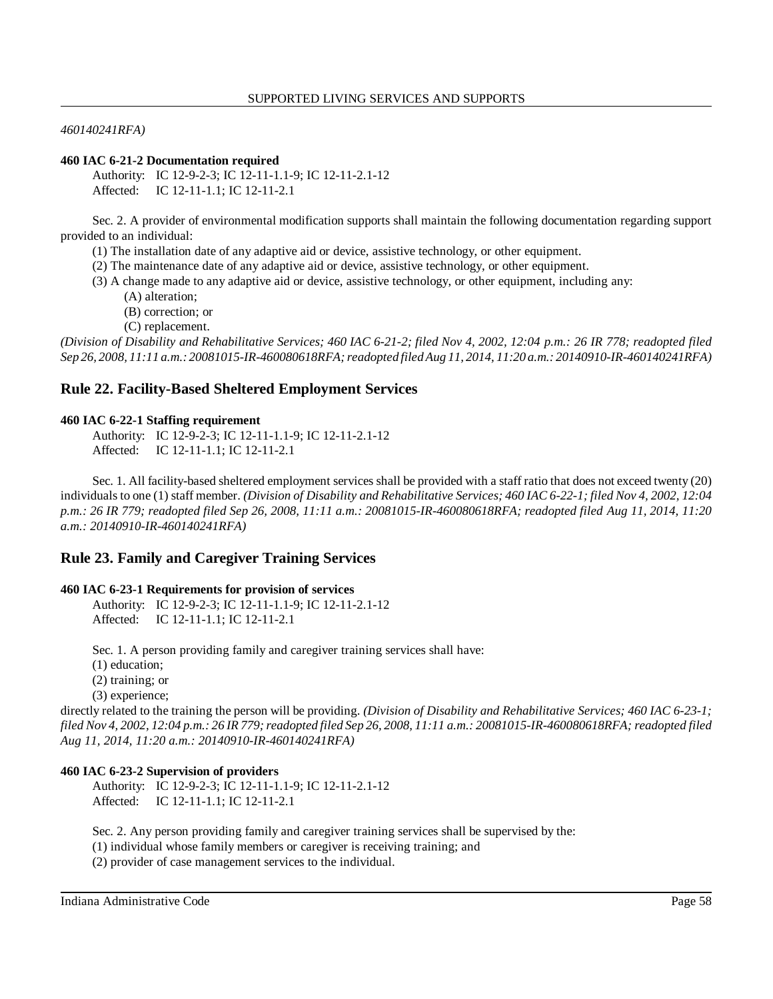*460140241RFA)* 

#### **460 IAC 6-21-2 Documentation required**

Authority: IC 12-9-2-3; IC 12-11-1.1-9; IC 12-11-2.1-12 Affected: IC 12-11-1.1; IC 12-11-2.1

 Sec. 2. A provider of environmental modification supports shall maintain the following documentation regarding support provided to an individual:

- (1) The installation date of any adaptive aid or device, assistive technology, or other equipment.
- (2) The maintenance date of any adaptive aid or device, assistive technology, or other equipment.
- (3) A change made to any adaptive aid or device, assistive technology, or other equipment, including any:
	- (A) alteration;
	- (B) correction; or
	- (C) replacement.

 *(Division of Disability and Rehabilitative Services; 460 IAC 6-21-2; filed Nov 4, 2002, 12:04 p.m.: 26 IR 778; readopted filed Sep 26, 2008, 11:11 a.m.: 20081015-IR-460080618RFA; readopted filed Aug 11, 2014, 11:20 a.m.: 20140910-IR-460140241RFA)* 

## **Rule 22. Facility-Based Sheltered Employment Services**

#### **460 IAC 6-22-1 Staffing requirement**

Authority: IC 12-9-2-3; IC 12-11-1.1-9; IC 12-11-2.1-12 Affected: IC 12-11-1.1; IC 12-11-2.1

 Sec. 1. All facility-based sheltered employment services shall be provided with a staff ratio that does not exceed twenty (20) individuals to one (1) staff member. *(Division of Disability and Rehabilitative Services; 460 IAC 6-22-1; filed Nov 4, 2002, 12:04 p.m.: 26 IR 779; readopted filed Sep 26, 2008, 11:11 a.m.: 20081015-IR-460080618RFA; readopted filed Aug 11, 2014, 11:20 a.m.: 20140910-IR-460140241RFA)* 

# **Rule 23. Family and Caregiver Training Services**

#### **460 IAC 6-23-1 Requirements for provision of services**

Authority: IC 12-9-2-3; IC 12-11-1.1-9; IC 12-11-2.1-12 Affected: IC 12-11-1.1; IC 12-11-2.1

Sec. 1. A person providing family and caregiver training services shall have:

(1) education;

(2) training; or

(3) experience;

 directly related to the training the person will be providing. *(Division of Disability and Rehabilitative Services; 460 IAC 6-23-1; filed Nov 4, 2002, 12:04 p.m.: 26 IR 779; readopted filed Sep 26, 2008, 11:11 a.m.: 20081015-IR-460080618RFA; readopted filed Aug 11, 2014, 11:20 a.m.: 20140910-IR-460140241RFA)* 

#### **460 IAC 6-23-2 Supervision of providers**

Authority: IC 12-9-2-3; IC 12-11-1.1-9; IC 12-11-2.1-12 Affected: IC 12-11-1.1; IC 12-11-2.1

Sec. 2. Any person providing family and caregiver training services shall be supervised by the:

(1) individual whose family members or caregiver is receiving training; and

(2) provider of case management services to the individual.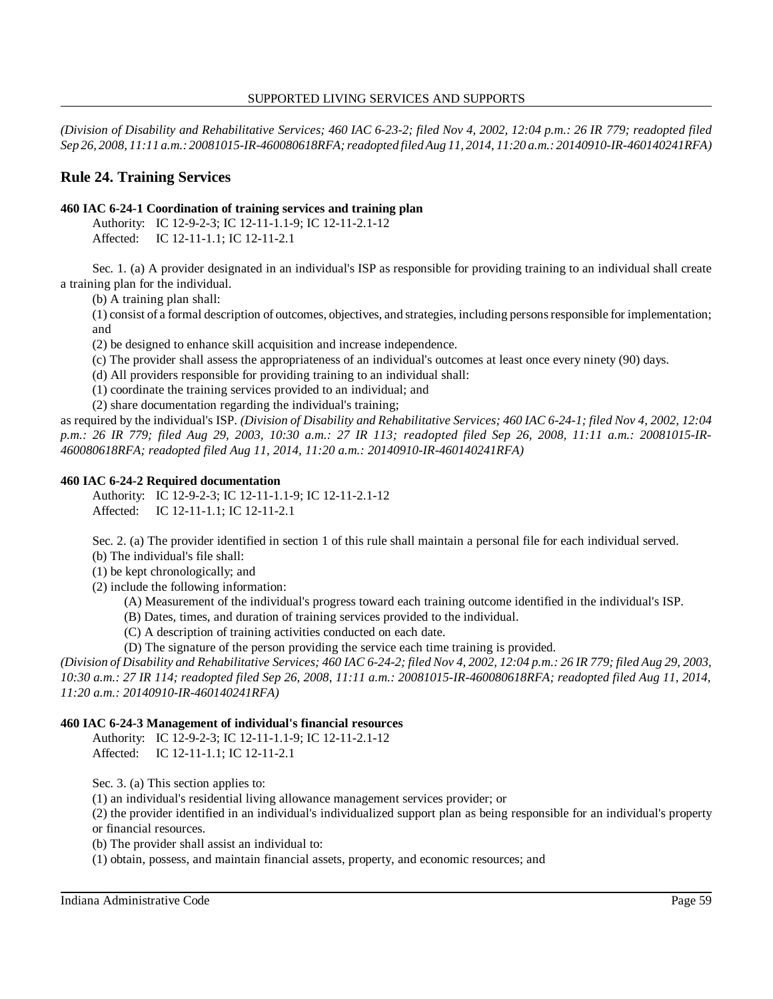*(Division of Disability and Rehabilitative Services; 460 IAC 6-23-2; filed Nov 4, 2002, 12:04 p.m.: 26 IR 779; readopted filed Sep 26, 2008, 11:11 a.m.: 20081015-IR-460080618RFA; readopted filed Aug 11, 2014, 11:20 a.m.: 20140910-IR-460140241RFA)* 

# **Rule 24. Training Services**

## **460 IAC 6-24-1 Coordination of training services and training plan**

Authority: IC 12-9-2-3; IC 12-11-1.1-9; IC 12-11-2.1-12 Affected: IC 12-11-1.1; IC 12-11-2.1

 Sec. 1. (a) A provider designated in an individual's ISP as responsible for providing training to an individual shall create a training plan for the individual.

(b) A training plan shall:

 (1) consist of a formal description of outcomes, objectives, and strategies, including persons responsible for implementation; and

(2) be designed to enhance skill acquisition and increase independence.

(c) The provider shall assess the appropriateness of an individual's outcomes at least once every ninety (90) days.

(d) All providers responsible for providing training to an individual shall:

(1) coordinate the training services provided to an individual; and

(2) share documentation regarding the individual's training;

 as required by the individual's ISP. *(Division of Disability and Rehabilitative Services; 460 IAC 6-24-1; filed Nov 4, 2002, 12:04 p.m.: 26 IR 779; filed Aug 29, 2003, 10:30 a.m.: 27 IR 113; readopted filed Sep 26, 2008, 11:11 a.m.: 20081015-IR- 460080618RFA; readopted filed Aug 11, 2014, 11:20 a.m.: 20140910-IR-460140241RFA)* 

## **460 IAC 6-24-2 Required documentation**

Authority: IC 12-9-2-3; IC 12-11-1.1-9; IC 12-11-2.1-12 Affected: IC 12-11-1.1; IC 12-11-2.1

 Sec. 2. (a) The provider identified in section 1 of this rule shall maintain a personal file for each individual served. (b) The individual's file shall:

(1) be kept chronologically; and

(2) include the following information:

(A) Measurement of the individual's progress toward each training outcome identified in the individual's ISP.

(B) Dates, times, and duration of training services provided to the individual.

(C) A description of training activities conducted on each date.

(D) The signature of the person providing the service each time training is provided.

 *(Division of Disability and Rehabilitative Services; 460 IAC 6-24-2; filed Nov 4, 2002, 12:04 p.m.: 26 IR 779; filed Aug 29, 2003, 10:30 a.m.: 27 IR 114; readopted filed Sep 26, 2008, 11:11 a.m.: 20081015-IR-460080618RFA; readopted filed Aug 11, 2014, 11:20 a.m.: 20140910-IR-460140241RFA)* 

# **460 IAC 6-24-3 Management of individual's financial resources**

Authority: IC 12-9-2-3; IC 12-11-1.1-9; IC 12-11-2.1-12 Affected: IC 12-11-1.1; IC 12-11-2.1

Sec. 3. (a) This section applies to:

(1) an individual's residential living allowance management services provider; or

 (2) the provider identified in an individual's individualized support plan as being responsible for an individual's property or financial resources.

(b) The provider shall assist an individual to:

(1) obtain, possess, and maintain financial assets, property, and economic resources; and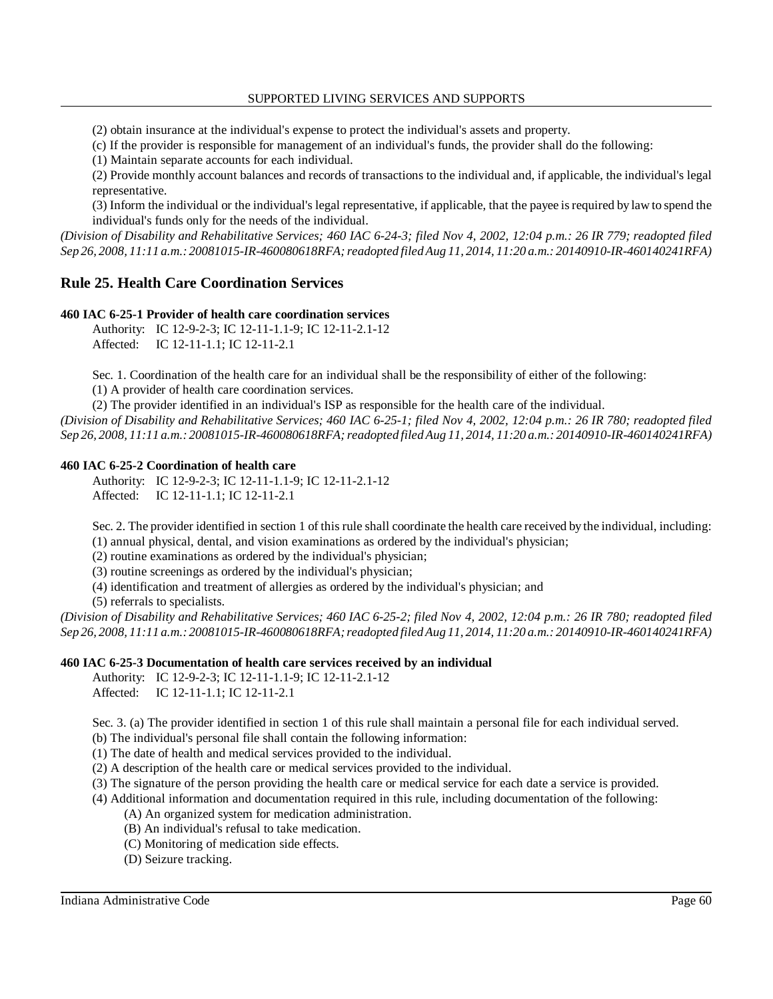(2) obtain insurance at the individual's expense to protect the individual's assets and property.

(c) If the provider is responsible for management of an individual's funds, the provider shall do the following:

(1) Maintain separate accounts for each individual.

 (2) Provide monthly account balances and records of transactions to the individual and, if applicable, the individual's legal representative.

 (3) Inform the individual or the individual's legal representative, if applicable, that the payee is required by law to spend the individual's funds only for the needs of the individual.

 *(Division of Disability and Rehabilitative Services; 460 IAC 6-24-3; filed Nov 4, 2002, 12:04 p.m.: 26 IR 779; readopted filed Sep 26, 2008, 11:11 a.m.: 20081015-IR-460080618RFA; readopted filed Aug 11, 2014, 11:20 a.m.: 20140910-IR-460140241RFA)* 

# **Rule 25. Health Care Coordination Services**

#### **460 IAC 6-25-1 Provider of health care coordination services**

Authority: IC 12-9-2-3; IC 12-11-1.1-9; IC 12-11-2.1-12 Affected: IC 12-11-1.1; IC 12-11-2.1

Sec. 1. Coordination of the health care for an individual shall be the responsibility of either of the following:

(1) A provider of health care coordination services.

(2) The provider identified in an individual's ISP as responsible for the health care of the individual.

 *(Division of Disability and Rehabilitative Services; 460 IAC 6-25-1; filed Nov 4, 2002, 12:04 p.m.: 26 IR 780; readopted filed Sep 26, 2008, 11:11 a.m.: 20081015-IR-460080618RFA; readopted filed Aug 11, 2014, 11:20 a.m.: 20140910-IR-460140241RFA)* 

#### **460 IAC 6-25-2 Coordination of health care**

Authority: IC 12-9-2-3; IC 12-11-1.1-9; IC 12-11-2.1-12 Affected: IC 12-11-1.1; IC 12-11-2.1

Sec. 2. The provider identified in section 1 of this rule shall coordinate the health care received by the individual, including:

(1) annual physical, dental, and vision examinations as ordered by the individual's physician;

(2) routine examinations as ordered by the individual's physician;

(3) routine screenings as ordered by the individual's physician;

(4) identification and treatment of allergies as ordered by the individual's physician; and

(5) referrals to specialists.

 *(Division of Disability and Rehabilitative Services; 460 IAC 6-25-2; filed Nov 4, 2002, 12:04 p.m.: 26 IR 780; readopted filed Sep 26, 2008, 11:11 a.m.: 20081015-IR-460080618RFA; readopted filed Aug 11, 2014, 11:20 a.m.: 20140910-IR-460140241RFA)* 

## **460 IAC 6-25-3 Documentation of health care services received by an individual**

Authority: IC 12-9-2-3; IC 12-11-1.1-9; IC 12-11-2.1-12 Affected: IC 12-11-1.1; IC 12-11-2.1

Sec. 3. (a) The provider identified in section 1 of this rule shall maintain a personal file for each individual served.

(b) The individual's personal file shall contain the following information:

(1) The date of health and medical services provided to the individual.

(2) A description of the health care or medical services provided to the individual.

(3) The signature of the person providing the health care or medical service for each date a service is provided.

(4) Additional information and documentation required in this rule, including documentation of the following:

- (A) An organized system for medication administration.
- (B) An individual's refusal to take medication.
- (C) Monitoring of medication side effects.
- (D) Seizure tracking.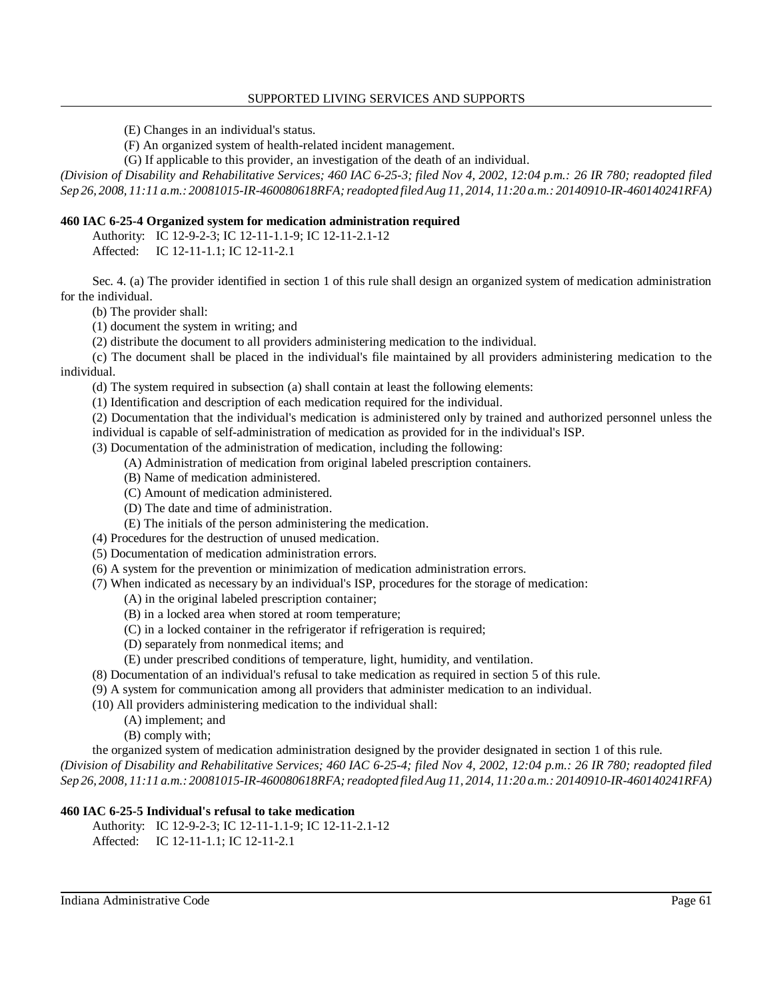(E) Changes in an individual's status.

(F) An organized system of health-related incident management.

(G) If applicable to this provider, an investigation of the death of an individual.

 *(Division of Disability and Rehabilitative Services; 460 IAC 6-25-3; filed Nov 4, 2002, 12:04 p.m.: 26 IR 780; readopted filed Sep 26, 2008, 11:11 a.m.: 20081015-IR-460080618RFA; readopted filed Aug 11, 2014, 11:20 a.m.: 20140910-IR-460140241RFA)* 

## **460 IAC 6-25-4 Organized system for medication administration required**

Authority: IC 12-9-2-3; IC 12-11-1.1-9; IC 12-11-2.1-12 Affected: IC 12-11-1.1; IC 12-11-2.1

 Sec. 4. (a) The provider identified in section 1 of this rule shall design an organized system of medication administration for the individual.

(b) The provider shall:

(1) document the system in writing; and

(2) distribute the document to all providers administering medication to the individual.

 (c) The document shall be placed in the individual's file maintained by all providers administering medication to the individual.

(d) The system required in subsection (a) shall contain at least the following elements:

(1) Identification and description of each medication required for the individual.

 (2) Documentation that the individual's medication is administered only by trained and authorized personnel unless the individual is capable of self-administration of medication as provided for in the individual's ISP.

(3) Documentation of the administration of medication, including the following:

- (A) Administration of medication from original labeled prescription containers.
- (B) Name of medication administered.
- (C) Amount of medication administered.
- (D) The date and time of administration.
- (E) The initials of the person administering the medication.
- (4) Procedures for the destruction of unused medication.
- (5) Documentation of medication administration errors.
- (6) A system for the prevention or minimization of medication administration errors.

(7) When indicated as necessary by an individual's ISP, procedures for the storage of medication:

- (A) in the original labeled prescription container;
- (B) in a locked area when stored at room temperature;
- (C) in a locked container in the refrigerator if refrigeration is required;
- (D) separately from nonmedical items; and
- (E) under prescribed conditions of temperature, light, humidity, and ventilation.
- (8) Documentation of an individual's refusal to take medication as required in section 5 of this rule.
- (9) A system for communication among all providers that administer medication to an individual.

(10) All providers administering medication to the individual shall:

- (A) implement; and
	- (B) comply with;

the organized system of medication administration designed by the provider designated in section 1 of this rule.

 *(Division of Disability and Rehabilitative Services; 460 IAC 6-25-4; filed Nov 4, 2002, 12:04 p.m.: 26 IR 780; readopted filed Sep 26, 2008, 11:11 a.m.: 20081015-IR-460080618RFA; readopted filed Aug 11, 2014, 11:20 a.m.: 20140910-IR-460140241RFA)* 

# **460 IAC 6-25-5 Individual's refusal to take medication**

```
Authority: IC 12-9-2-3; IC 12-11-1.1-9; IC 12-11-2.1-12 
Affected: IC 12-11-1.1; IC 12-11-2.1
```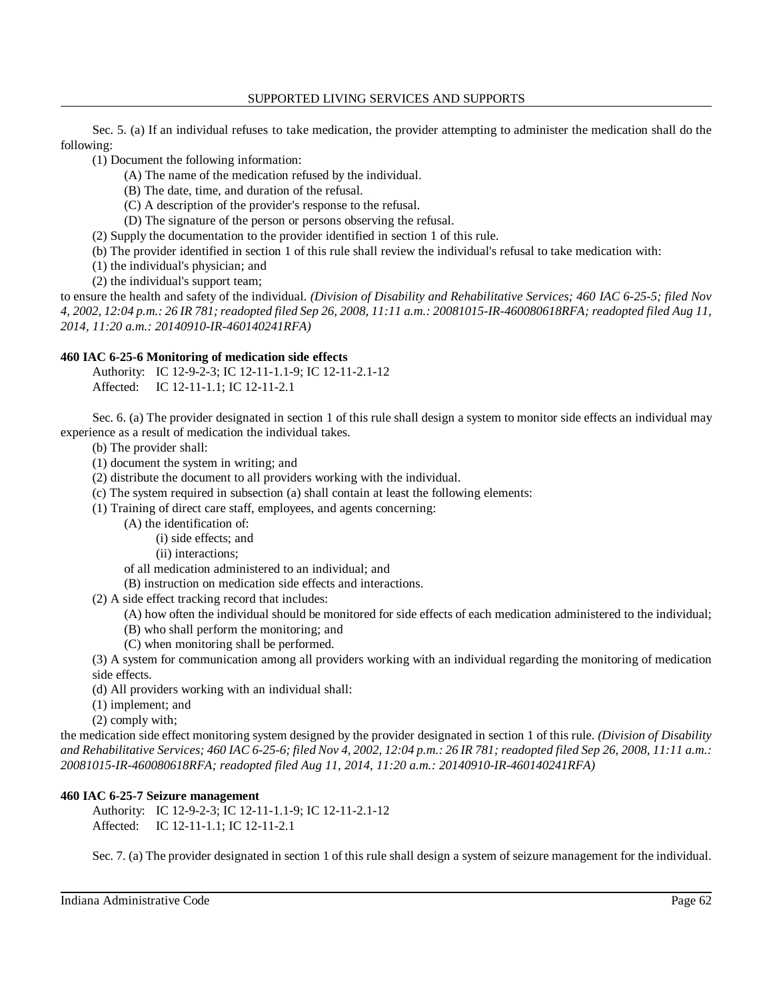Sec. 5. (a) If an individual refuses to take medication, the provider attempting to administer the medication shall do the following:

(1) Document the following information:

- (A) The name of the medication refused by the individual.
- (B) The date, time, and duration of the refusal.
- (C) A description of the provider's response to the refusal.
- (D) The signature of the person or persons observing the refusal.
- (2) Supply the documentation to the provider identified in section 1 of this rule.
- (b) The provider identified in section 1 of this rule shall review the individual's refusal to take medication with:
- (1) the individual's physician; and
- (2) the individual's support team;

 to ensure the health and safety of the individual. *(Division of Disability and Rehabilitative Services; 460 IAC 6-25-5; filed Nov 4, 2002, 12:04 p.m.: 26 IR 781; readopted filed Sep 26, 2008, 11:11 a.m.: 20081015-IR-460080618RFA; readopted filed Aug 11, 2014, 11:20 a.m.: 20140910-IR-460140241RFA)* 

## **460 IAC 6-25-6 Monitoring of medication side effects**

Authority: IC 12-9-2-3; IC 12-11-1.1-9; IC 12-11-2.1-12 Affected: IC 12-11-1.1; IC 12-11-2.1

 Sec. 6. (a) The provider designated in section 1 of this rule shall design a system to monitor side effects an individual may experience as a result of medication the individual takes.

(b) The provider shall:

- (1) document the system in writing; and
- (2) distribute the document to all providers working with the individual.
- (c) The system required in subsection (a) shall contain at least the following elements:
- (1) Training of direct care staff, employees, and agents concerning:
	- (A) the identification of:
		- (i) side effects; and
		- (ii) interactions;
	- of all medication administered to an individual; and
	- (B) instruction on medication side effects and interactions.
- (2) A side effect tracking record that includes:
	- (A) how often the individual should be monitored for side effects of each medication administered to the individual;
	- (B) who shall perform the monitoring; and
	- (C) when monitoring shall be performed.

 (3) A system for communication among all providers working with an individual regarding the monitoring of medication side effects.

- (d) All providers working with an individual shall:
- (1) implement; and
- (2) comply with;

 the medication side effect monitoring system designed by the provider designated in section 1 of this rule. *(Division of Disability and Rehabilitative Services; 460 IAC 6-25-6; filed Nov 4, 2002, 12:04 p.m.: 26 IR 781; readopted filed Sep 26, 2008, 11:11 a.m.: 20081015-IR-460080618RFA; readopted filed Aug 11, 2014, 11:20 a.m.: 20140910-IR-460140241RFA)* 

## **460 IAC 6-25-7 Seizure management**

Authority: IC 12-9-2-3; IC 12-11-1.1-9; IC 12-11-2.1-12 Affected: IC 12-11-1.1; IC 12-11-2.1

Sec. 7. (a) The provider designated in section 1 of this rule shall design a system of seizure management for the individual.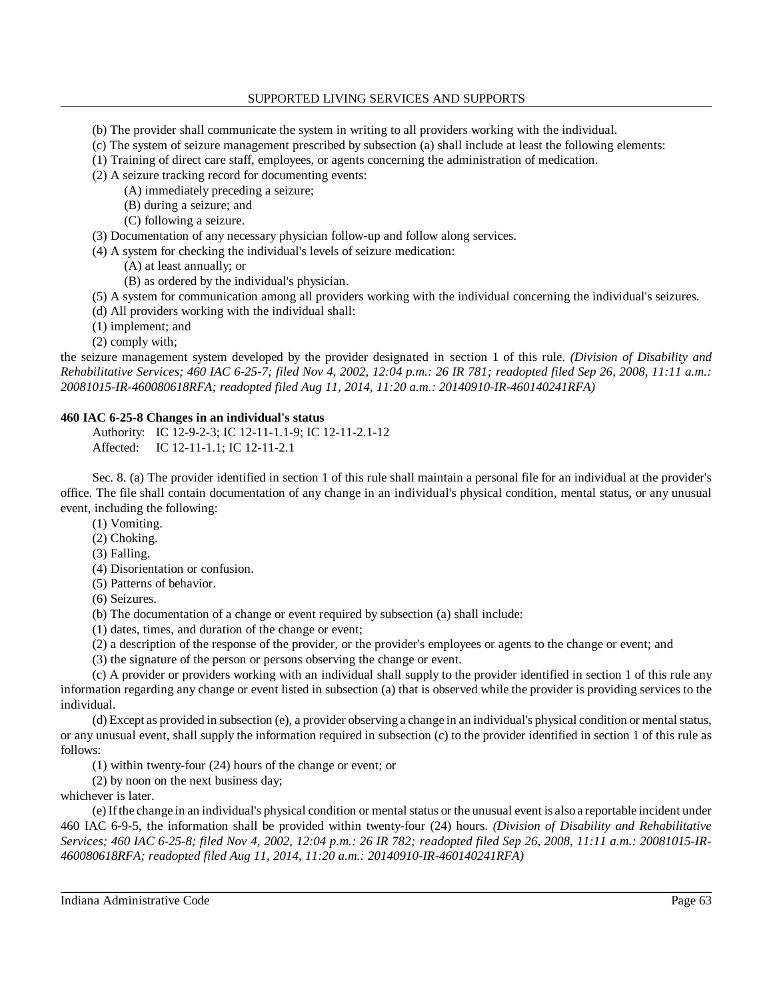- (b) The provider shall communicate the system in writing to all providers working with the individual.
- (c) The system of seizure management prescribed by subsection (a) shall include at least the following elements:
- (1) Training of direct care staff, employees, or agents concerning the administration of medication.
- (2) A seizure tracking record for documenting events:
	- (A) immediately preceding a seizure;
	- (B) during a seizure; and
	- (C) following a seizure.
- (3) Documentation of any necessary physician follow-up and follow along services.
- (4) A system for checking the individual's levels of seizure medication:
	- (A) at least annually; or
	- (B) as ordered by the individual's physician.
- (5) A system for communication among all providers working with the individual concerning the individual's seizures.
- (d) All providers working with the individual shall:
- (1) implement; and
- (2) comply with;

 the seizure management system developed by the provider designated in section 1 of this rule. *(Division of Disability and Rehabilitative Services; 460 IAC 6-25-7; filed Nov 4, 2002, 12:04 p.m.: 26 IR 781; readopted filed Sep 26, 2008, 11:11 a.m.: 20081015-IR-460080618RFA; readopted filed Aug 11, 2014, 11:20 a.m.: 20140910-IR-460140241RFA)* 

#### **460 IAC 6-25-8 Changes in an individual's status**

Authority: IC 12-9-2-3; IC 12-11-1.1-9; IC 12-11-2.1-12 Affected: IC 12-11-1.1; IC 12-11-2.1

 Sec. 8. (a) The provider identified in section 1 of this rule shall maintain a personal file for an individual at the provider's office. The file shall contain documentation of any change in an individual's physical condition, mental status, or any unusual event, including the following:

(1) Vomiting.

- (2) Choking.
- (3) Falling.
- (4) Disorientation or confusion.
- (5) Patterns of behavior.
- (6) Seizures.

(b) The documentation of a change or event required by subsection (a) shall include:

- (1) dates, times, and duration of the change or event;
- (2) a description of the response of the provider, or the provider's employees or agents to the change or event; and
- (3) the signature of the person or persons observing the change or event.

 (c) A provider or providers working with an individual shall supply to the provider identified in section 1 of this rule any information regarding any change or event listed in subsection (a) that is observed while the provider is providing services to the individual.

 (d) Except as provided in subsection (e), a provider observing a change in an individual's physical condition or mental status, or any unusual event, shall supply the information required in subsection (c) to the provider identified in section 1 of this rule as follows:

(1) within twenty-four (24) hours of the change or event; or

(2) by noon on the next business day;

whichever is later.

 (e) If the change in an individual's physical condition or mental status or the unusual event is also a reportable incident under 460 IAC 6-9-5, the information shall be provided within twenty-four (24) hours. *(Division of Disability and Rehabilitative Services; 460 IAC 6-25-8; filed Nov 4, 2002, 12:04 p.m.: 26 IR 782; readopted filed Sep 26, 2008, 11:11 a.m.: 20081015-IR- 460080618RFA; readopted filed Aug 11, 2014, 11:20 a.m.: 20140910-IR-460140241RFA)*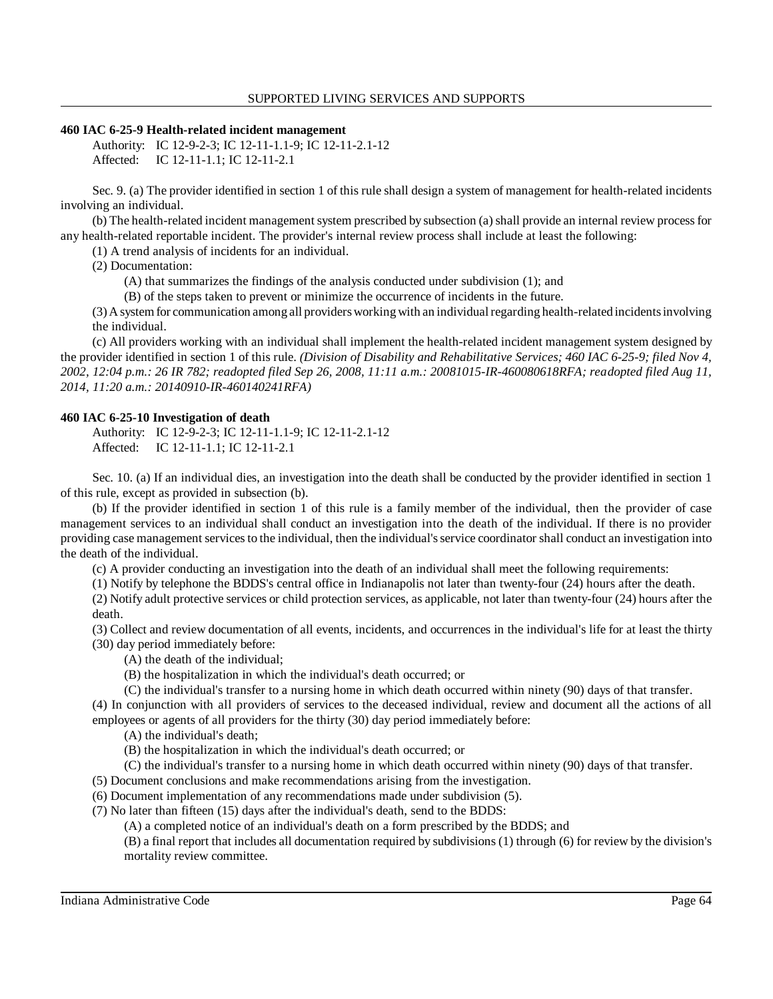#### **460 IAC 6-25-9 Health-related incident management**

Authority: IC 12-9-2-3; IC 12-11-1.1-9; IC 12-11-2.1-12 Affected: IC 12-11-1.1; IC 12-11-2.1

 Sec. 9. (a) The provider identified in section 1 of this rule shall design a system of management for health-related incidents involving an individual.

 (b) The health-related incident management system prescribed by subsection (a) shall provide an internal review process for any health-related reportable incident. The provider's internal review process shall include at least the following:

(1) A trend analysis of incidents for an individual.

(2) Documentation:

(A) that summarizes the findings of the analysis conducted under subdivision (1); and

(B) of the steps taken to prevent or minimize the occurrence of incidents in the future.

 (3) A system for communication among all providers working with an individual regarding health-related incidents involving the individual.

 (c) All providers working with an individual shall implement the health-related incident management system designed by the provider identified in section 1 of this rule. *(Division of Disability and Rehabilitative Services; 460 IAC 6-25-9; filed Nov 4, 2002, 12:04 p.m.: 26 IR 782; readopted filed Sep 26, 2008, 11:11 a.m.: 20081015-IR-460080618RFA; readopted filed Aug 11, 2014, 11:20 a.m.: 20140910-IR-460140241RFA)* 

## **460 IAC 6-25-10 Investigation of death**

Authority: IC 12-9-2-3; IC 12-11-1.1-9; IC 12-11-2.1-12 Affected: IC 12-11-1.1; IC 12-11-2.1

 Sec. 10. (a) If an individual dies, an investigation into the death shall be conducted by the provider identified in section 1 of this rule, except as provided in subsection (b).

 (b) If the provider identified in section 1 of this rule is a family member of the individual, then the provider of case management services to an individual shall conduct an investigation into the death of the individual. If there is no provider providing case management services to the individual, then the individual's service coordinator shall conduct an investigation into the death of the individual.

(c) A provider conducting an investigation into the death of an individual shall meet the following requirements:

(1) Notify by telephone the BDDS's central office in Indianapolis not later than twenty-four (24) hours after the death.

 (2) Notify adult protective services or child protection services, as applicable, not later than twenty-four (24) hours after the death.

 (3) Collect and review documentation of all events, incidents, and occurrences in the individual's life for at least the thirty (30) day period immediately before:

(A) the death of the individual;

(B) the hospitalization in which the individual's death occurred; or

(C) the individual's transfer to a nursing home in which death occurred within ninety (90) days of that transfer.

 (4) In conjunction with all providers of services to the deceased individual, review and document all the actions of all employees or agents of all providers for the thirty (30) day period immediately before:

(A) the individual's death;

(B) the hospitalization in which the individual's death occurred; or

(C) the individual's transfer to a nursing home in which death occurred within ninety (90) days of that transfer.

(5) Document conclusions and make recommendations arising from the investigation.

(6) Document implementation of any recommendations made under subdivision (5).

(7) No later than fifteen (15) days after the individual's death, send to the BDDS:

(A) a completed notice of an individual's death on a form prescribed by the BDDS; and

 (B) a final report that includes all documentation required by subdivisions (1) through (6) for review by the division's mortality review committee.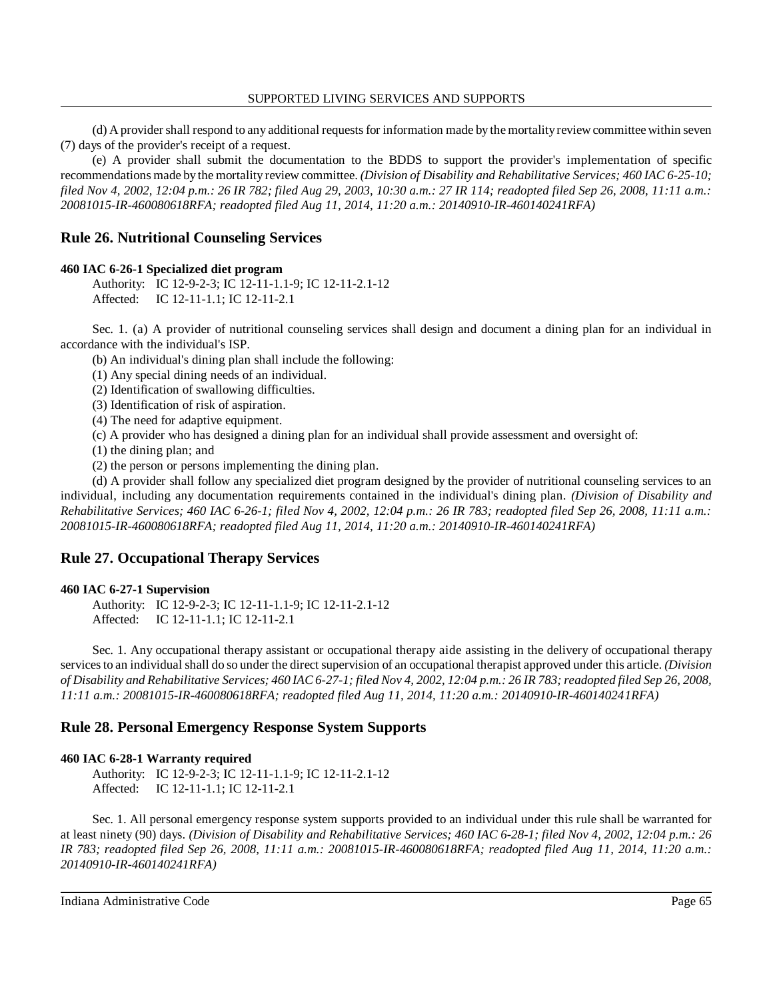(d) A provider shall respond to any additional requests for information made by the mortalityreview committee within seven (7) days of the provider's receipt of a request.

 (e) A provider shall submit the documentation to the BDDS to support the provider's implementation of specific recommendations made by the mortality review committee. *(Division of Disability and Rehabilitative Services; 460 IAC 6-25-10; filed Nov 4, 2002, 12:04 p.m.: 26 IR 782; filed Aug 29, 2003, 10:30 a.m.: 27 IR 114; readopted filed Sep 26, 2008, 11:11 a.m.: 20081015-IR-460080618RFA; readopted filed Aug 11, 2014, 11:20 a.m.: 20140910-IR-460140241RFA)* 

# **Rule 26. Nutritional Counseling Services**

#### **460 IAC 6-26-1 Specialized diet program**

Authority: IC 12-9-2-3; IC 12-11-1.1-9; IC 12-11-2.1-12 Affected: IC 12-11-1.1; IC 12-11-2.1

 Sec. 1. (a) A provider of nutritional counseling services shall design and document a dining plan for an individual in accordance with the individual's ISP.

(b) An individual's dining plan shall include the following:

(1) Any special dining needs of an individual.

(2) Identification of swallowing difficulties.

(3) Identification of risk of aspiration.

(4) The need for adaptive equipment.

(c) A provider who has designed a dining plan for an individual shall provide assessment and oversight of:

(1) the dining plan; and

(2) the person or persons implementing the dining plan.

 (d) A provider shall follow any specialized diet program designed by the provider of nutritional counseling services to an individual, including any documentation requirements contained in the individual's dining plan. *(Division of Disability and Rehabilitative Services; 460 IAC 6-26-1; filed Nov 4, 2002, 12:04 p.m.: 26 IR 783; readopted filed Sep 26, 2008, 11:11 a.m.: 20081015-IR-460080618RFA; readopted filed Aug 11, 2014, 11:20 a.m.: 20140910-IR-460140241RFA)* 

# **Rule 27. Occupational Therapy Services**

## **460 IAC 6-27-1 Supervision**

Authority: IC 12-9-2-3; IC 12-11-1.1-9; IC 12-11-2.1-12 Affected: IC 12-11-1.1; IC 12-11-2.1

 Sec. 1. Any occupational therapy assistant or occupational therapy aide assisting in the delivery of occupational therapy services to an individual shall do so under the direct supervision of an occupational therapist approved under this article. *(Division of Disability and Rehabilitative Services; 460 IAC 6-27-1; filed Nov 4, 2002, 12:04 p.m.: 26 IR 783; readopted filed Sep 26, 2008, 11:11 a.m.: 20081015-IR-460080618RFA; readopted filed Aug 11, 2014, 11:20 a.m.: 20140910-IR-460140241RFA)* 

# **Rule 28. Personal Emergency Response System Supports**

## **460 IAC 6-28-1 Warranty required**

Authority: IC 12-9-2-3; IC 12-11-1.1-9; IC 12-11-2.1-12 Affected: IC 12-11-1.1; IC 12-11-2.1

 Sec. 1. All personal emergency response system supports provided to an individual under this rule shall be warranted for at least ninety (90) days. *(Division of Disability and Rehabilitative Services; 460 IAC 6-28-1; filed Nov 4, 2002, 12:04 p.m.: 26 IR 783; readopted filed Sep 26, 2008, 11:11 a.m.: 20081015-IR-460080618RFA; readopted filed Aug 11, 2014, 11:20 a.m.: 20140910-IR-460140241RFA)*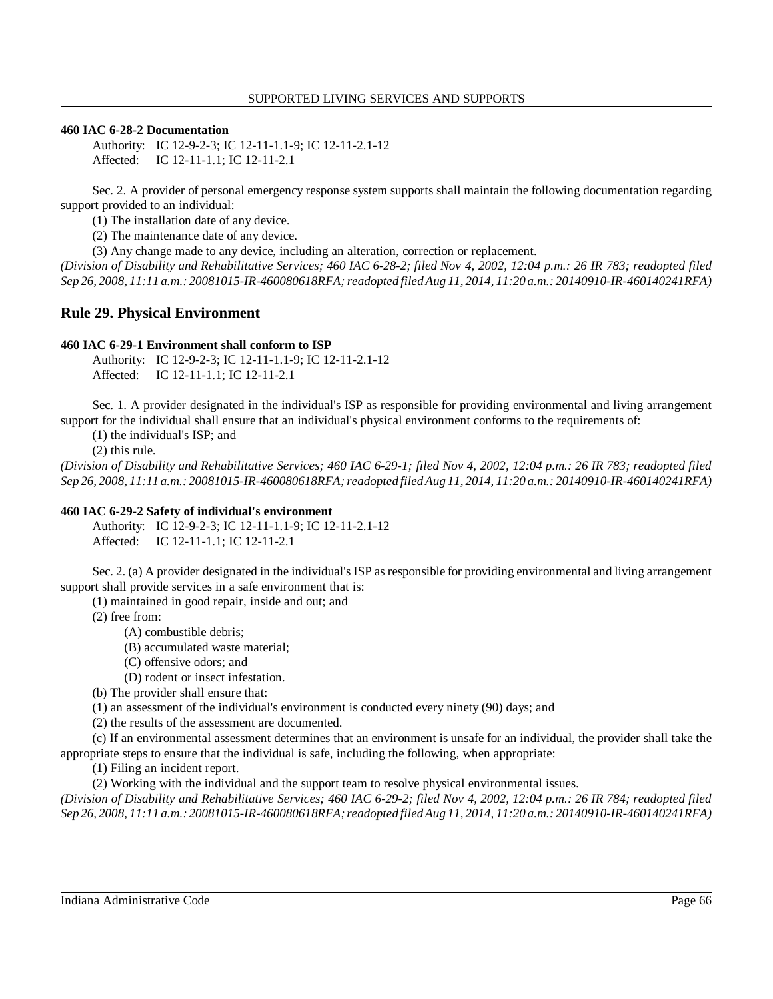#### **460 IAC 6-28-2 Documentation**

Authority: IC 12-9-2-3; IC 12-11-1.1-9; IC 12-11-2.1-12 Affected: IC 12-11-1.1; IC 12-11-2.1

 Sec. 2. A provider of personal emergency response system supports shall maintain the following documentation regarding support provided to an individual:

(1) The installation date of any device.

(2) The maintenance date of any device.

(3) Any change made to any device, including an alteration, correction or replacement.

 *(Division of Disability and Rehabilitative Services; 460 IAC 6-28-2; filed Nov 4, 2002, 12:04 p.m.: 26 IR 783; readopted filed Sep 26, 2008, 11:11 a.m.: 20081015-IR-460080618RFA; readopted filed Aug 11, 2014, 11:20 a.m.: 20140910-IR-460140241RFA)* 

# **Rule 29. Physical Environment**

## **460 IAC 6-29-1 Environment shall conform to ISP**

Authority: IC 12-9-2-3; IC 12-11-1.1-9; IC 12-11-2.1-12 Affected: IC 12-11-1.1; IC 12-11-2.1

 Sec. 1. A provider designated in the individual's ISP as responsible for providing environmental and living arrangement support for the individual shall ensure that an individual's physical environment conforms to the requirements of:

(1) the individual's ISP; and

(2) this rule.

 *(Division of Disability and Rehabilitative Services; 460 IAC 6-29-1; filed Nov 4, 2002, 12:04 p.m.: 26 IR 783; readopted filed Sep 26, 2008, 11:11 a.m.: 20081015-IR-460080618RFA; readopted filed Aug 11, 2014, 11:20 a.m.: 20140910-IR-460140241RFA)* 

#### **460 IAC 6-29-2 Safety of individual's environment**

Authority: IC 12-9-2-3; IC 12-11-1.1-9; IC 12-11-2.1-12 Affected: IC 12-11-1.1; IC 12-11-2.1

 Sec. 2. (a) A provider designated in the individual's ISP as responsible for providing environmental and living arrangement support shall provide services in a safe environment that is:

(1) maintained in good repair, inside and out; and

(2) free from:

(A) combustible debris;

(B) accumulated waste material;

(C) offensive odors; and

(D) rodent or insect infestation.

(b) The provider shall ensure that:

(1) an assessment of the individual's environment is conducted every ninety (90) days; and

(2) the results of the assessment are documented.

 (c) If an environmental assessment determines that an environment is unsafe for an individual, the provider shall take the appropriate steps to ensure that the individual is safe, including the following, when appropriate:

(1) Filing an incident report.

(2) Working with the individual and the support team to resolve physical environmental issues.

 *(Division of Disability and Rehabilitative Services; 460 IAC 6-29-2; filed Nov 4, 2002, 12:04 p.m.: 26 IR 784; readopted filed Sep 26, 2008, 11:11 a.m.: 20081015-IR-460080618RFA; readopted filed Aug 11, 2014, 11:20 a.m.: 20140910-IR-460140241RFA)*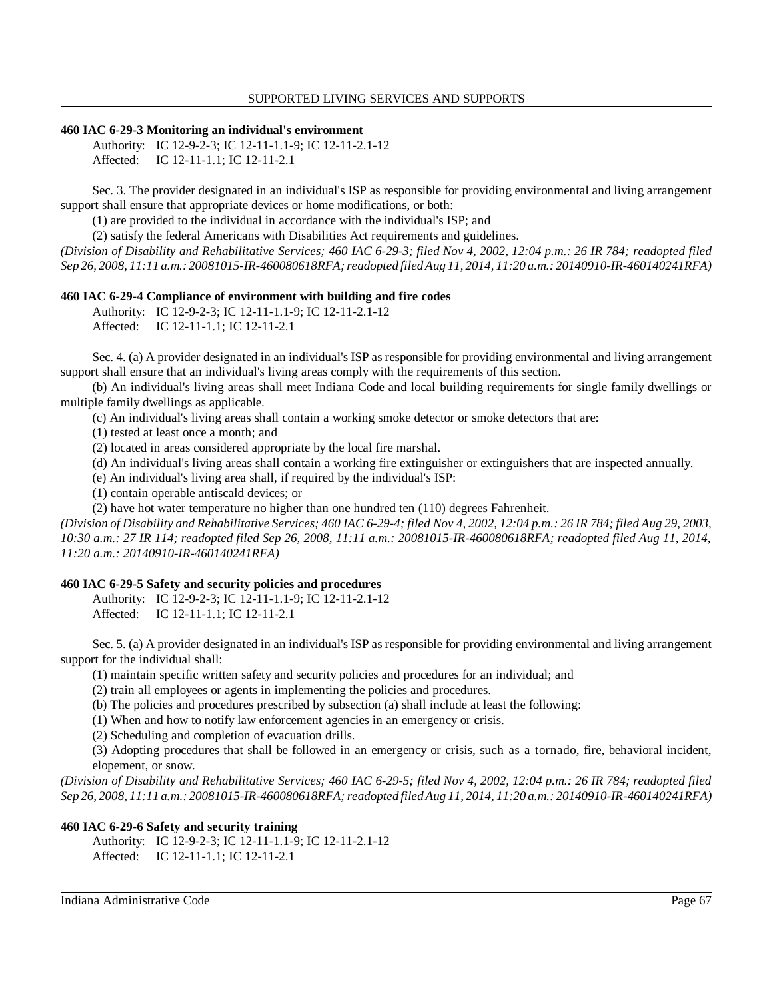#### **460 IAC 6-29-3 Monitoring an individual's environment**

Authority: IC 12-9-2-3; IC 12-11-1.1-9; IC 12-11-2.1-12 Affected: IC 12-11-1.1; IC 12-11-2.1

 Sec. 3. The provider designated in an individual's ISP as responsible for providing environmental and living arrangement support shall ensure that appropriate devices or home modifications, or both:

(1) are provided to the individual in accordance with the individual's ISP; and

(2) satisfy the federal Americans with Disabilities Act requirements and guidelines.

 *(Division of Disability and Rehabilitative Services; 460 IAC 6-29-3; filed Nov 4, 2002, 12:04 p.m.: 26 IR 784; readopted filed Sep 26, 2008, 11:11 a.m.: 20081015-IR-460080618RFA; readopted filed Aug 11, 2014, 11:20 a.m.: 20140910-IR-460140241RFA)* 

#### **460 IAC 6-29-4 Compliance of environment with building and fire codes**

Authority: IC 12-9-2-3; IC 12-11-1.1-9; IC 12-11-2.1-12 Affected: IC 12-11-1.1; IC 12-11-2.1

 Sec. 4. (a) A provider designated in an individual's ISP as responsible for providing environmental and living arrangement support shall ensure that an individual's living areas comply with the requirements of this section.

 (b) An individual's living areas shall meet Indiana Code and local building requirements for single family dwellings or multiple family dwellings as applicable.

(c) An individual's living areas shall contain a working smoke detector or smoke detectors that are:

(1) tested at least once a month; and

(2) located in areas considered appropriate by the local fire marshal.

(d) An individual's living areas shall contain a working fire extinguisher or extinguishers that are inspected annually.

(e) An individual's living area shall, if required by the individual's ISP:

(1) contain operable antiscald devices; or

(2) have hot water temperature no higher than one hundred ten (110) degrees Fahrenheit.

 *(Division of Disability and Rehabilitative Services; 460 IAC 6-29-4; filed Nov 4, 2002, 12:04 p.m.: 26 IR 784; filed Aug 29, 2003, 10:30 a.m.: 27 IR 114; readopted filed Sep 26, 2008, 11:11 a.m.: 20081015-IR-460080618RFA; readopted filed Aug 11, 2014, 11:20 a.m.: 20140910-IR-460140241RFA)* 

## **460 IAC 6-29-5 Safety and security policies and procedures**

Authority: IC 12-9-2-3; IC 12-11-1.1-9; IC 12-11-2.1-12 Affected: IC 12-11-1.1; IC 12-11-2.1

 Sec. 5. (a) A provider designated in an individual's ISP as responsible for providing environmental and living arrangement support for the individual shall:

(1) maintain specific written safety and security policies and procedures for an individual; and

(2) train all employees or agents in implementing the policies and procedures.

(b) The policies and procedures prescribed by subsection (a) shall include at least the following:

(1) When and how to notify law enforcement agencies in an emergency or crisis.

(2) Scheduling and completion of evacuation drills.

 (3) Adopting procedures that shall be followed in an emergency or crisis, such as a tornado, fire, behavioral incident, elopement, or snow.

 *(Division of Disability and Rehabilitative Services; 460 IAC 6-29-5; filed Nov 4, 2002, 12:04 p.m.: 26 IR 784; readopted filed Sep 26, 2008, 11:11 a.m.: 20081015-IR-460080618RFA; readopted filed Aug 11, 2014, 11:20 a.m.: 20140910-IR-460140241RFA)* 

## **460 IAC 6-29-6 Safety and security training**

Authority: IC 12-9-2-3; IC 12-11-1.1-9; IC 12-11-2.1-12 Affected: IC 12-11-1.1; IC 12-11-2.1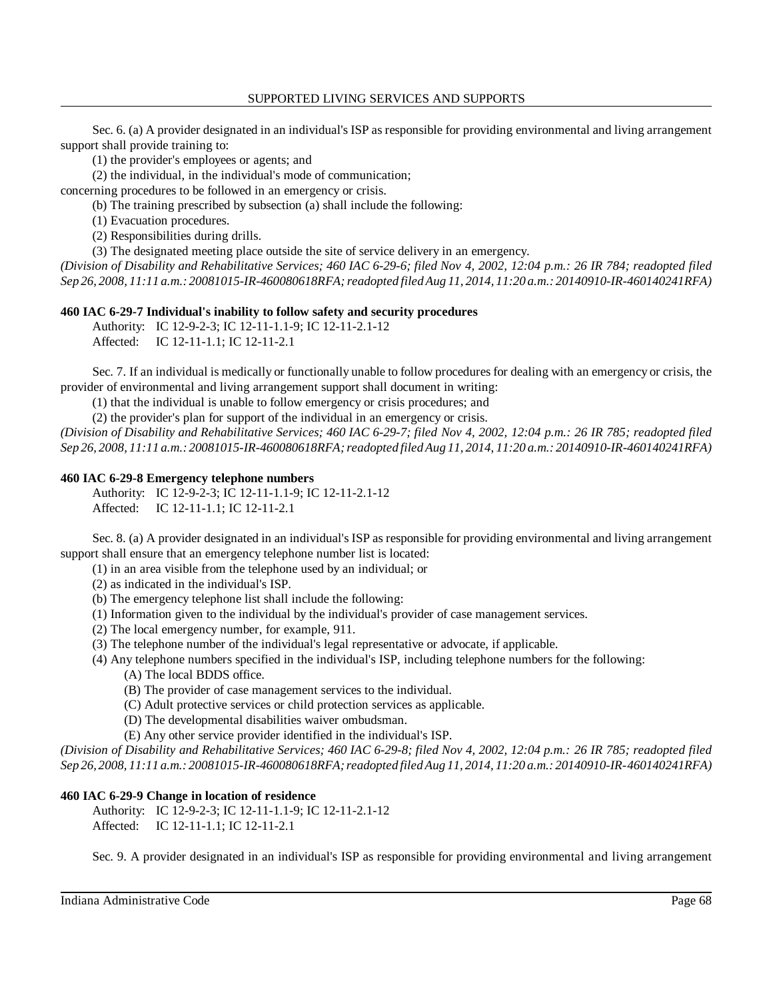Sec. 6. (a) A provider designated in an individual's ISP as responsible for providing environmental and living arrangement support shall provide training to:

(1) the provider's employees or agents; and

(2) the individual, in the individual's mode of communication;

concerning procedures to be followed in an emergency or crisis.

(b) The training prescribed by subsection (a) shall include the following:

(1) Evacuation procedures.

(2) Responsibilities during drills.

(3) The designated meeting place outside the site of service delivery in an emergency.

 *(Division of Disability and Rehabilitative Services; 460 IAC 6-29-6; filed Nov 4, 2002, 12:04 p.m.: 26 IR 784; readopted filed Sep 26, 2008, 11:11 a.m.: 20081015-IR-460080618RFA; readopted filed Aug 11, 2014, 11:20 a.m.: 20140910-IR-460140241RFA)* 

# **460 IAC 6-29-7 Individual's inability to follow safety and security procedures**

Authority: IC 12-9-2-3; IC 12-11-1.1-9; IC 12-11-2.1-12

Affected: IC 12-11-1.1; IC 12-11-2.1

 Sec. 7. If an individual is medically or functionally unable to follow procedures for dealing with an emergency or crisis, the provider of environmental and living arrangement support shall document in writing:

(1) that the individual is unable to follow emergency or crisis procedures; and

(2) the provider's plan for support of the individual in an emergency or crisis.

 *(Division of Disability and Rehabilitative Services; 460 IAC 6-29-7; filed Nov 4, 2002, 12:04 p.m.: 26 IR 785; readopted filed Sep 26, 2008, 11:11 a.m.: 20081015-IR-460080618RFA; readopted filed Aug 11, 2014, 11:20 a.m.: 20140910-IR-460140241RFA)* 

## **460 IAC 6-29-8 Emergency telephone numbers**

Authority: IC 12-9-2-3; IC 12-11-1.1-9; IC 12-11-2.1-12 Affected: IC 12-11-1.1; IC 12-11-2.1

 Sec. 8. (a) A provider designated in an individual's ISP as responsible for providing environmental and living arrangement support shall ensure that an emergency telephone number list is located:

(1) in an area visible from the telephone used by an individual; or

(2) as indicated in the individual's ISP.

(b) The emergency telephone list shall include the following:

- (1) Information given to the individual by the individual's provider of case management services.
- (2) The local emergency number, for example, 911.

(3) The telephone number of the individual's legal representative or advocate, if applicable.

(4) Any telephone numbers specified in the individual's ISP, including telephone numbers for the following:

(A) The local BDDS office.

- (B) The provider of case management services to the individual.
- (C) Adult protective services or child protection services as applicable.
- (D) The developmental disabilities waiver ombudsman.

(E) Any other service provider identified in the individual's ISP.

 *(Division of Disability and Rehabilitative Services; 460 IAC 6-29-8; filed Nov 4, 2002, 12:04 p.m.: 26 IR 785; readopted filed Sep 26, 2008, 11:11 a.m.: 20081015-IR-460080618RFA; readopted filed Aug 11, 2014, 11:20 a.m.: 20140910-IR-460140241RFA)* 

# **460 IAC 6-29-9 Change in location of residence**

Authority: IC 12-9-2-3; IC 12-11-1.1-9; IC 12-11-2.1-12 Affected: IC 12-11-1.1; IC 12-11-2.1

Sec. 9. A provider designated in an individual's ISP as responsible for providing environmental and living arrangement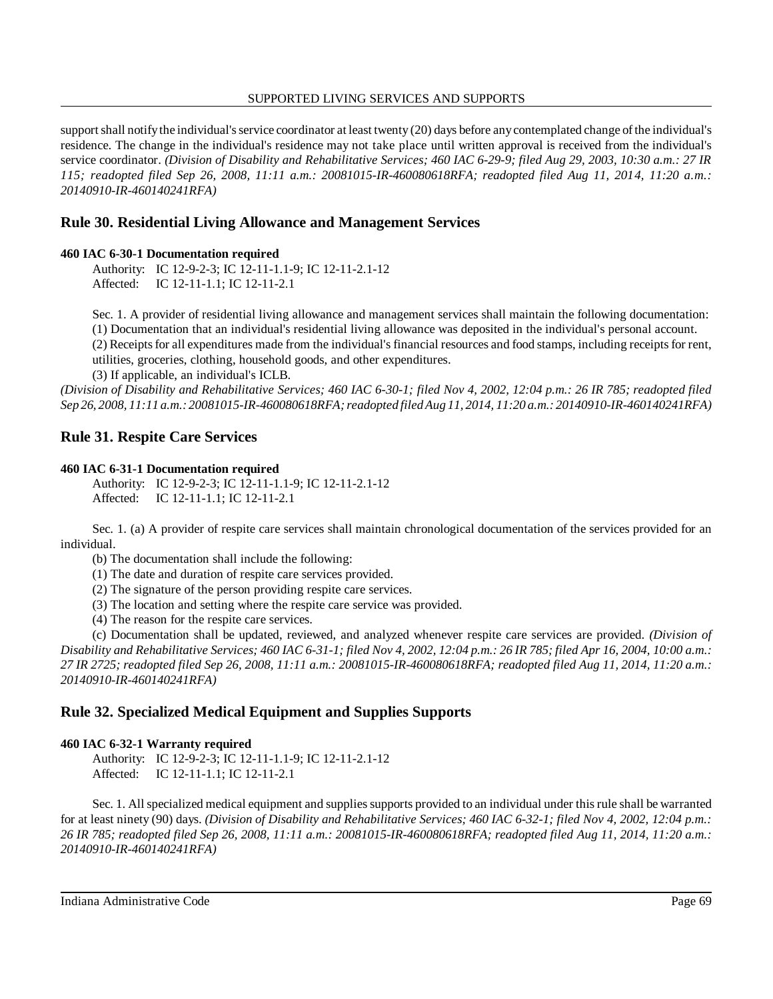support shall notifythe individual's service coordinator at least twenty (20) days before anycontemplated change of the individual's residence. The change in the individual's residence may not take place until written approval is received from the individual's service coordinator. *(Division of Disability and Rehabilitative Services; 460 IAC 6-29-9; filed Aug 29, 2003, 10:30 a.m.: 27 IR 115; readopted filed Sep 26, 2008, 11:11 a.m.: 20081015-IR-460080618RFA; readopted filed Aug 11, 2014, 11:20 a.m.: 20140910-IR-460140241RFA)* 

# **Rule 30. Residential Living Allowance and Management Services**

## **460 IAC 6-30-1 Documentation required**

Authority: IC 12-9-2-3; IC 12-11-1.1-9; IC 12-11-2.1-12 Affected: IC 12-11-1.1; IC 12-11-2.1

 Sec. 1. A provider of residential living allowance and management services shall maintain the following documentation: (1) Documentation that an individual's residential living allowance was deposited in the individual's personal account. (2) Receipts for all expenditures made from the individual's financial resources and food stamps, including receipts for rent, utilities, groceries, clothing, household goods, and other expenditures.

(3) If applicable, an individual's ICLB.

 *(Division of Disability and Rehabilitative Services; 460 IAC 6-30-1; filed Nov 4, 2002, 12:04 p.m.: 26 IR 785; readopted filed Sep 26, 2008, 11:11 a.m.: 20081015-IR-460080618RFA; readopted filed Aug 11, 2014, 11:20 a.m.: 20140910-IR-460140241RFA)* 

# **Rule 31. Respite Care Services**

## **460 IAC 6-31-1 Documentation required**

Authority: IC 12-9-2-3; IC 12-11-1.1-9; IC 12-11-2.1-12 Affected: IC 12-11-1.1; IC 12-11-2.1

 Sec. 1. (a) A provider of respite care services shall maintain chronological documentation of the services provided for an individual.

(b) The documentation shall include the following:

- (1) The date and duration of respite care services provided.
- (2) The signature of the person providing respite care services.
- (3) The location and setting where the respite care service was provided.

(4) The reason for the respite care services.

 (c) Documentation shall be updated, reviewed, and analyzed whenever respite care services are provided. *(Division of Disability and Rehabilitative Services; 460 IAC 6-31-1; filed Nov 4, 2002, 12:04 p.m.: 26 IR 785; filed Apr 16, 2004, 10:00 a.m.: 27 IR 2725; readopted filed Sep 26, 2008, 11:11 a.m.: 20081015-IR-460080618RFA; readopted filed Aug 11, 2014, 11:20 a.m.: 20140910-IR-460140241RFA)* 

# **Rule 32. Specialized Medical Equipment and Supplies Supports**

## **460 IAC 6-32-1 Warranty required**

Authority: IC 12-9-2-3; IC 12-11-1.1-9; IC 12-11-2.1-12 Affected: IC 12-11-1.1; IC 12-11-2.1

 Sec. 1. All specialized medical equipment and supplies supports provided to an individual under this rule shall be warranted for at least ninety (90) days. *(Division of Disability and Rehabilitative Services; 460 IAC 6-32-1; filed Nov 4, 2002, 12:04 p.m.: 26 IR 785; readopted filed Sep 26, 2008, 11:11 a.m.: 20081015-IR-460080618RFA; readopted filed Aug 11, 2014, 11:20 a.m.: 20140910-IR-460140241RFA)*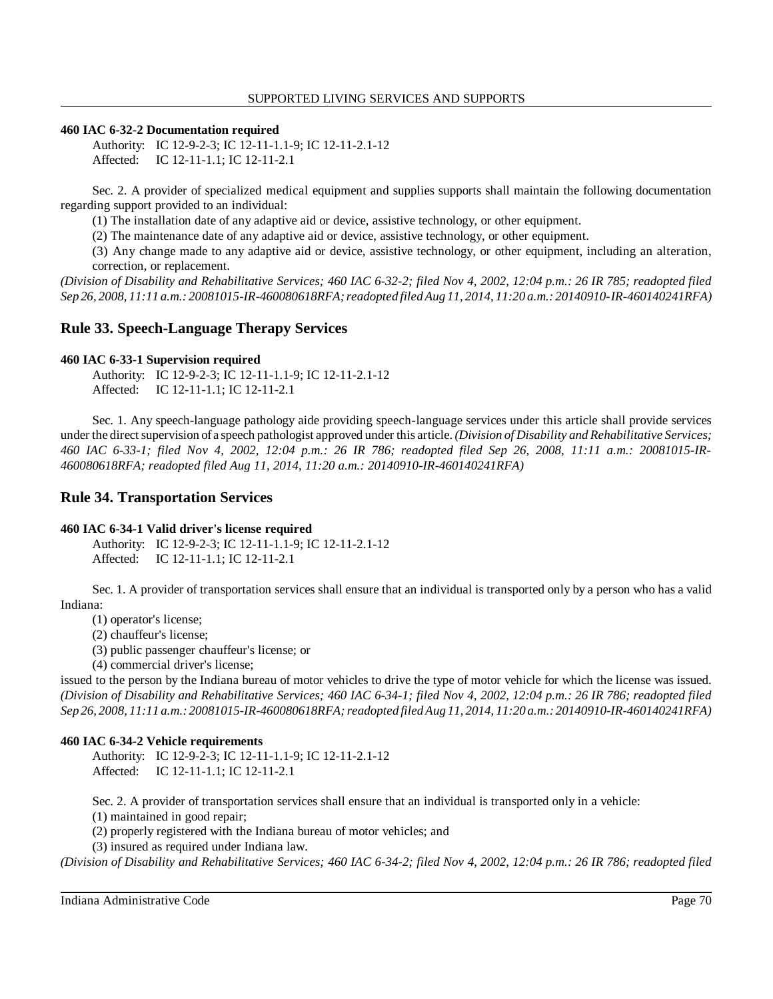#### **460 IAC 6-32-2 Documentation required**

Authority: IC 12-9-2-3; IC 12-11-1.1-9; IC 12-11-2.1-12 Affected: IC 12-11-1.1; IC 12-11-2.1

 Sec. 2. A provider of specialized medical equipment and supplies supports shall maintain the following documentation regarding support provided to an individual:

(1) The installation date of any adaptive aid or device, assistive technology, or other equipment.

(2) The maintenance date of any adaptive aid or device, assistive technology, or other equipment.

 (3) Any change made to any adaptive aid or device, assistive technology, or other equipment, including an alteration, correction, or replacement.

 *(Division of Disability and Rehabilitative Services; 460 IAC 6-32-2; filed Nov 4, 2002, 12:04 p.m.: 26 IR 785; readopted filed Sep 26, 2008, 11:11 a.m.: 20081015-IR-460080618RFA; readopted filed Aug 11, 2014, 11:20 a.m.: 20140910-IR-460140241RFA)* 

# **Rule 33. Speech-Language Therapy Services**

#### **460 IAC 6-33-1 Supervision required**

Authority: IC 12-9-2-3; IC 12-11-1.1-9; IC 12-11-2.1-12 Affected: IC 12-11-1.1; IC 12-11-2.1

 Sec. 1. Any speech-language pathology aide providing speech-language services under this article shall provide services under the direct supervision ofa speech pathologist approved under this article. *(Division of Disability and Rehabilitative Services; 460 IAC 6-33-1; filed Nov 4, 2002, 12:04 p.m.: 26 IR 786; readopted filed Sep 26, 2008, 11:11 a.m.: 20081015-IR- 460080618RFA; readopted filed Aug 11, 2014, 11:20 a.m.: 20140910-IR-460140241RFA)* 

# **Rule 34. Transportation Services**

#### **460 IAC 6-34-1 Valid driver's license required**

Authority: IC 12-9-2-3; IC 12-11-1.1-9; IC 12-11-2.1-12 Affected: IC 12-11-1.1; IC 12-11-2.1

 Sec. 1. A provider of transportation services shall ensure that an individual is transported only by a person who has a valid Indiana:

(1) operator's license;

(2) chauffeur's license;

(3) public passenger chauffeur's license; or

(4) commercial driver's license;

 issued to the person by the Indiana bureau of motor vehicles to drive the type of motor vehicle for which the license was issued.  *(Division of Disability and Rehabilitative Services; 460 IAC 6-34-1; filed Nov 4, 2002, 12:04 p.m.: 26 IR 786; readopted filed Sep 26, 2008, 11:11 a.m.: 20081015-IR-460080618RFA; readopted filed Aug 11, 2014, 11:20 a.m.: 20140910-IR-460140241RFA)* 

#### **460 IAC 6-34-2 Vehicle requirements**

Authority: IC 12-9-2-3; IC 12-11-1.1-9; IC 12-11-2.1-12 Affected: IC 12-11-1.1; IC 12-11-2.1

Sec. 2. A provider of transportation services shall ensure that an individual is transported only in a vehicle:

(1) maintained in good repair;

(2) properly registered with the Indiana bureau of motor vehicles; and

(3) insured as required under Indiana law.

 *(Division of Disability and Rehabilitative Services; 460 IAC 6-34-2; filed Nov 4, 2002, 12:04 p.m.: 26 IR 786; readopted filed*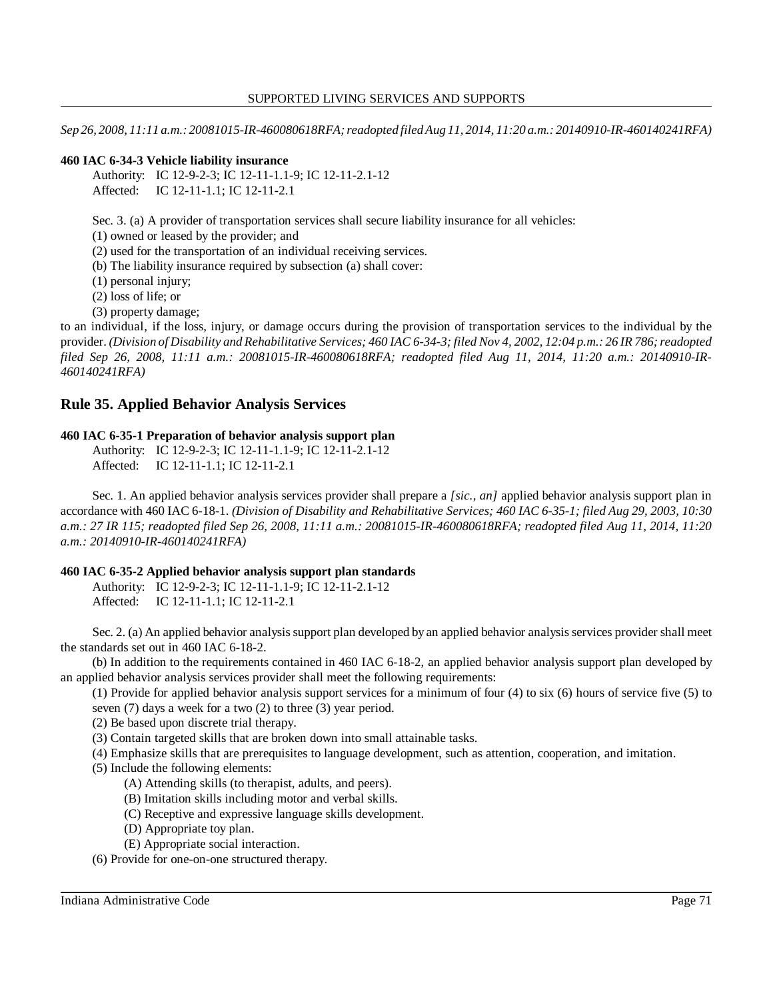*Sep 26, 2008, 11:11 a.m.: 20081015-IR-460080618RFA; readopted filed Aug 11, 2014, 11:20 a.m.: 20140910-IR-460140241RFA)* 

#### **460 IAC 6-34-3 Vehicle liability insurance**

Authority: IC 12-9-2-3; IC 12-11-1.1-9; IC 12-11-2.1-12 Affected: IC 12-11-1.1; IC 12-11-2.1

Sec. 3. (a) A provider of transportation services shall secure liability insurance for all vehicles:

(1) owned or leased by the provider; and

(2) used for the transportation of an individual receiving services.

(b) The liability insurance required by subsection (a) shall cover:

(1) personal injury;

(2) loss of life; or

(3) property damage;

 to an individual, if the loss, injury, or damage occurs during the provision of transportation services to the individual by the  provider. *(Division of Disability and Rehabilitative Services; 460 IAC 6-34-3; filed Nov 4, 2002, 12:04 p.m.: 26 IR 786; readopted filed Sep 26, 2008, 11:11 a.m.: 20081015-IR-460080618RFA; readopted filed Aug 11, 2014, 11:20 a.m.: 20140910-IR-460140241RFA)* 

# **Rule 35. Applied Behavior Analysis Services**

#### **460 IAC 6-35-1 Preparation of behavior analysis support plan**

Authority: IC 12-9-2-3; IC 12-11-1.1-9; IC 12-11-2.1-12 Affected: IC 12-11-1.1; IC 12-11-2.1

 Sec. 1. An applied behavior analysis services provider shall prepare a *[sic., an]* applied behavior analysis support plan in accordance with 460 IAC 6-18-1. *(Division of Disability and Rehabilitative Services; 460 IAC 6-35-1; filed Aug 29, 2003, 10:30 a.m.: 27 IR 115; readopted filed Sep 26, 2008, 11:11 a.m.: 20081015-IR-460080618RFA; readopted filed Aug 11, 2014, 11:20 a.m.: 20140910-IR-460140241RFA)* 

#### **460 IAC 6-35-2 Applied behavior analysis support plan standards**

Authority: IC 12-9-2-3; IC 12-11-1.1-9; IC 12-11-2.1-12 Affected: IC 12-11-1.1; IC 12-11-2.1

 Sec. 2. (a) An applied behavior analysis support plan developed by an applied behavior analysis services provider shall meet the standards set out in 460 IAC 6-18-2.

 (b) In addition to the requirements contained in 460 IAC 6-18-2, an applied behavior analysis support plan developed by an applied behavior analysis services provider shall meet the following requirements:

 (1) Provide for applied behavior analysis support services for a minimum of four (4) to six (6) hours of service five (5) to seven (7) days a week for a two (2) to three (3) year period.

(2) Be based upon discrete trial therapy.

(3) Contain targeted skills that are broken down into small attainable tasks.

(4) Emphasize skills that are prerequisites to language development, such as attention, cooperation, and imitation.

(5) Include the following elements:

(A) Attending skills (to therapist, adults, and peers).

(B) Imitation skills including motor and verbal skills.

(C) Receptive and expressive language skills development.

(D) Appropriate toy plan.

(E) Appropriate social interaction.

(6) Provide for one-on-one structured therapy.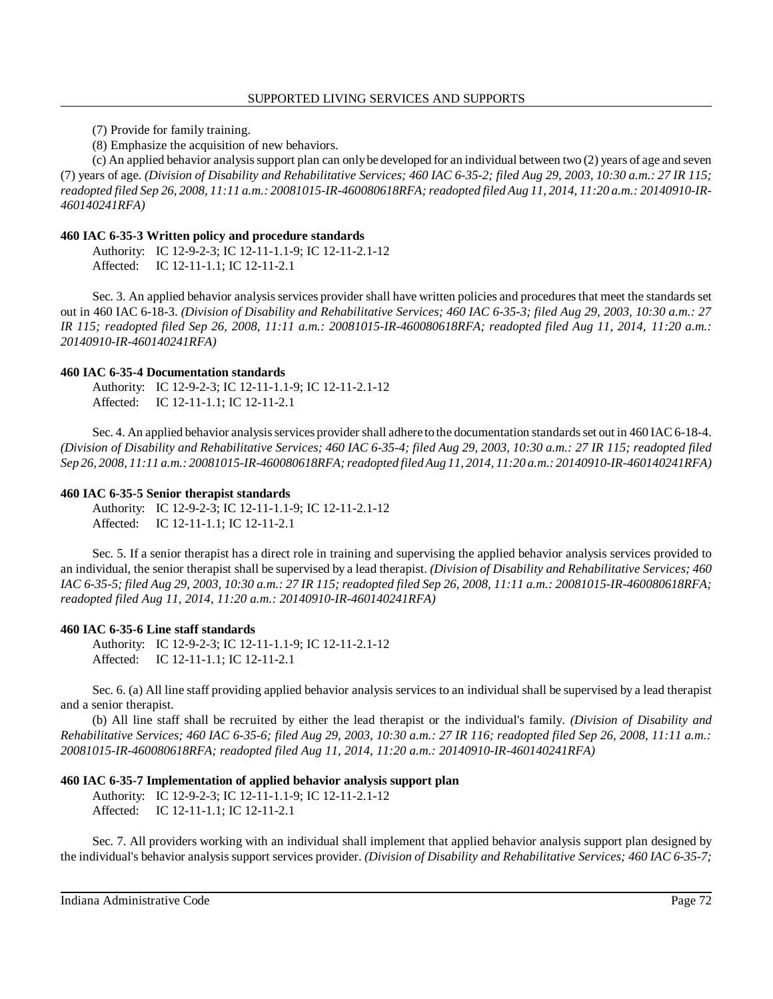(7) Provide for family training.

(8) Emphasize the acquisition of new behaviors.

 (c) An applied behavior analysis support plan can onlybe developed for an individual between two (2) years of age and seven (7) years of age. *(Division of Disability and Rehabilitative Services; 460 IAC 6-35-2; filed Aug 29, 2003, 10:30 a.m.: 27 IR 115; readopted filed Sep 26, 2008, 11:11 a.m.: 20081015-IR-460080618RFA; readopted filed Aug 11, 2014, 11:20 a.m.: 20140910-IR-460140241RFA)* 

## **460 IAC 6-35-3 Written policy and procedure standards**

Authority: IC 12-9-2-3; IC 12-11-1.1-9; IC 12-11-2.1-12 Affected: IC 12-11-1.1; IC 12-11-2.1

 Sec. 3. An applied behavior analysis services provider shall have written policies and procedures that meet the standards set out in 460 IAC 6-18-3. *(Division of Disability and Rehabilitative Services; 460 IAC 6-35-3; filed Aug 29, 2003, 10:30 a.m.: 27 IR 115; readopted filed Sep 26, 2008, 11:11 a.m.: 20081015-IR-460080618RFA; readopted filed Aug 11, 2014, 11:20 a.m.: 20140910-IR-460140241RFA)* 

#### **460 IAC 6-35-4 Documentation standards**

Authority: IC 12-9-2-3; IC 12-11-1.1-9; IC 12-11-2.1-12 Affected: IC 12-11-1.1; IC 12-11-2.1

 [Sec. 4. An](https://Sec.4.An) applied behavior analysis services provider shall adhere tothe documentation standards set out in 460 IAC 6-18-4.  *(Division of Disability and Rehabilitative Services; 460 IAC 6-35-4; filed Aug 29, 2003, 10:30 a.m.: 27 IR 115; readopted filed Sep 26, 2008, 11:11 a.m.: 20081015-IR-460080618RFA; readopted filed Aug 11, 2014, 11:20 a.m.: 20140910-IR-460140241RFA)* 

#### **460 IAC 6-35-5 Senior therapist standards**

Authority: IC 12-9-2-3; IC 12-11-1.1-9; IC 12-11-2.1-12 Affected: IC 12-11-1.1; IC 12-11-2.1

 Sec. 5. If a senior therapist has a direct role in training and supervising the applied behavior analysis services provided to an individual, the senior therapist shall be supervised by a lead therapist. *(Division of Disability and Rehabilitative Services; 460 IAC 6-35-5; filed Aug 29, 2003, 10:30 a.m.: 27 IR 115; readopted filed Sep 26, 2008, 11:11 a.m.: 20081015-IR-460080618RFA; readopted filed Aug 11, 2014, 11:20 a.m.: 20140910-IR-460140241RFA)* 

## **460 IAC 6-35-6 Line staff standards**

Authority: IC 12-9-2-3; IC 12-11-1.1-9; IC 12-11-2.1-12 Affected: IC 12-11-1.1; IC 12-11-2.1

 Sec. 6. (a) All line staff providing applied behavior analysis services to an individual shall be supervised by a lead therapist and a senior therapist.

 (b) All line staff shall be recruited by either the lead therapist or the individual's family. *(Division of Disability and Rehabilitative Services; 460 IAC 6-35-6; filed Aug 29, 2003, 10:30 a.m.: 27 IR 116; readopted filed Sep 26, 2008, 11:11 a.m.: 20081015-IR-460080618RFA; readopted filed Aug 11, 2014, 11:20 a.m.: 20140910-IR-460140241RFA)* 

## **460 IAC 6-35-7 Implementation of applied behavior analysis support plan**

Authority: IC 12-9-2-3; IC 12-11-1.1-9; IC 12-11-2.1-12 Affected: IC 12-11-1.1; IC 12-11-2.1

 Sec. 7. All providers working with an individual shall implement that applied behavior analysis support plan designed by the individual's behavior analysis support services provider. *(Division of Disability and Rehabilitative Services; 460 IAC 6-35-7;*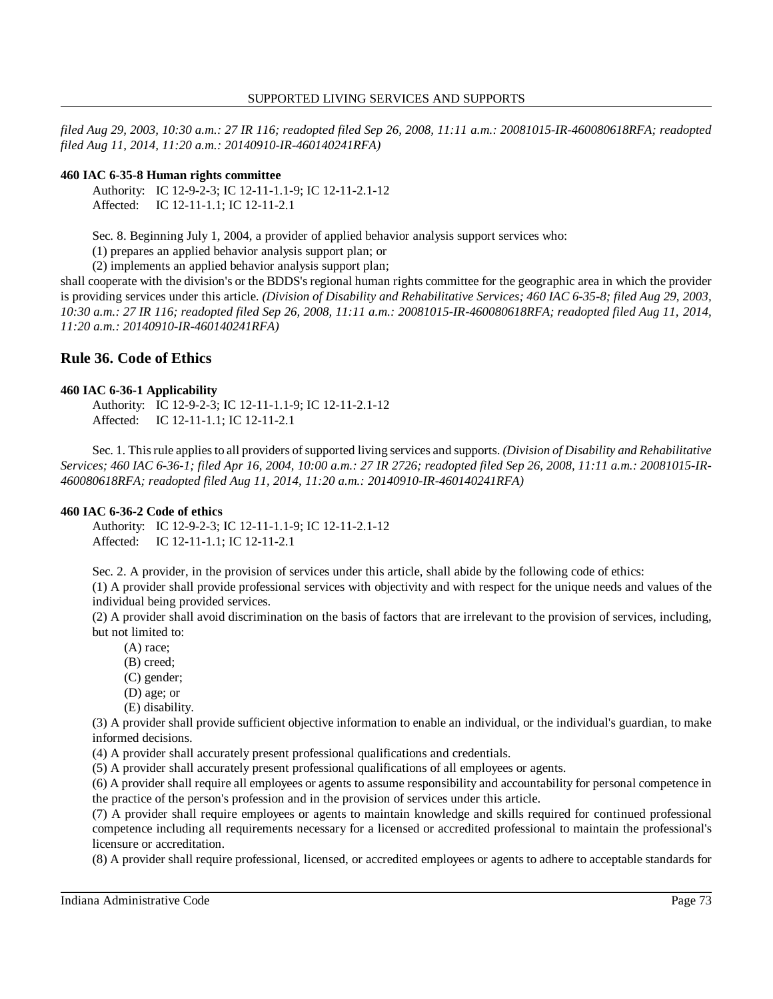*filed Aug 29, 2003, 10:30 a.m.: 27 IR 116; readopted filed Sep 26, 2008, 11:11 a.m.: 20081015-IR-460080618RFA; readopted filed Aug 11, 2014, 11:20 a.m.: 20140910-IR-460140241RFA)* 

## **460 IAC 6-35-8 Human rights committee**

Authority: IC 12-9-2-3; IC 12-11-1.1-9; IC 12-11-2.1-12 Affected: IC 12-11-1.1; IC 12-11-2.1

Sec. 8. Beginning July 1, 2004, a provider of applied behavior analysis support services who:

(1) prepares an applied behavior analysis support plan; or

(2) implements an applied behavior analysis support plan;

 shall cooperate with the division's or the BDDS's regional human rights committee for the geographic area in which the provider is providing services under this article. *(Division of Disability and Rehabilitative Services; 460 IAC 6-35-8; filed Aug 29, 2003, 10:30 a.m.: 27 IR 116; readopted filed Sep 26, 2008, 11:11 a.m.: 20081015-IR-460080618RFA; readopted filed Aug 11, 2014, 11:20 a.m.: 20140910-IR-460140241RFA)* 

# **Rule 36. Code of Ethics**

### **460 IAC 6-36-1 Applicability**

Authority: IC 12-9-2-3; IC 12-11-1.1-9; IC 12-11-2.1-12 Affected: IC 12-11-1.1; IC 12-11-2.1

 Sec. 1. This rule applies to all providers of supported living services and supports. *(Division of Disability and Rehabilitative Services; 460 IAC 6-36-1; filed Apr 16, 2004, 10:00 a.m.: 27 IR 2726; readopted filed Sep 26, 2008, 11:11 a.m.: 20081015-IR- 460080618RFA; readopted filed Aug 11, 2014, 11:20 a.m.: 20140910-IR-460140241RFA)* 

#### **460 IAC 6-36-2 Code of ethics**

Authority: IC 12-9-2-3; IC 12-11-1.1-9; IC 12-11-2.1-12 Affected: IC 12-11-1.1; IC 12-11-2.1

Sec. 2. A provider, in the provision of services under this article, shall abide by the following code of ethics:

 (1) A provider shall provide professional services with objectivity and with respect for the unique needs and values of the individual being provided services.

 (2) A provider shall avoid discrimination on the basis of factors that are irrelevant to the provision of services, including, but not limited to:

(A) race;

- (B) creed;
- (C) gender;
- (D) age; or
- (E) disability.

 (3) A provider shall provide sufficient objective information to enable an individual, or the individual's guardian, to make informed decisions.

(4) A provider shall accurately present professional qualifications and credentials.

(5) A provider shall accurately present professional qualifications of all employees or agents.

 (6) A provider shall require all employees or agents to assume responsibility and accountability for personal competence in the practice of the person's profession and in the provision of services under this article.

 (7) A provider shall require employees or agents to maintain knowledge and skills required for continued professional competence including all requirements necessary for a licensed or accredited professional to maintain the professional's licensure or accreditation.

(8) A provider shall require professional, licensed, or accredited employees or agents to adhere to acceptable standards for